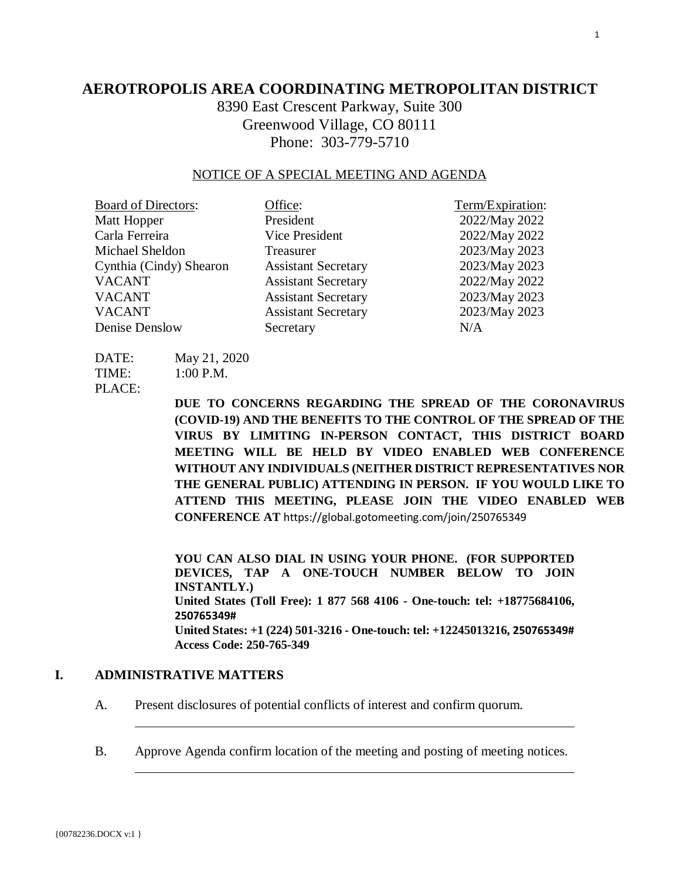# **AEROTROPOLIS AREA COORDINATING METROPOLITAN DISTRICT**

8390 East Crescent Parkway, Suite 300 Greenwood Village, CO 80111 Phone: 303-779-5710

### NOTICE OF A SPECIAL MEETING AND AGENDA

| <b>Board of Directors:</b> | Office:                    | Term/Expiration: |
|----------------------------|----------------------------|------------------|
| Matt Hopper                | President                  | 2022/May 2022    |
| Carla Ferreira             | Vice President             | 2022/May 2022    |
| Michael Sheldon            | Treasurer                  | 2023/May 2023    |
| Cynthia (Cindy) Shearon    | <b>Assistant Secretary</b> | 2023/May 2023    |
| <b>VACANT</b>              | <b>Assistant Secretary</b> | 2022/May 2022    |
| <b>VACANT</b>              | <b>Assistant Secretary</b> | 2023/May 2023    |
| <b>VACANT</b>              | <b>Assistant Secretary</b> | 2023/May 2023    |
| Denise Denslow             | Secretary                  | N/A              |

| DATE:  | May 21, 2020                |
|--------|-----------------------------|
| TIME:  | $1:00$ P.M.                 |
| PLACE: |                             |
|        | $\mathbf{N}$ II TO $\alpha$ |

**DUE TO CONCERNS REGARDING THE SPREAD OF THE CORONAVIRUS (COVID-19) AND THE BENEFITS TO THE CONTROL OF THE SPREAD OF THE VIRUS BY LIMITING IN-PERSON CONTACT, THIS DISTRICT BOARD MEETING WILL BE HELD BY VIDEO ENABLED WEB CONFERENCE WITHOUT ANY INDIVIDUALS (NEITHER DISTRICT REPRESENTATIVES NOR THE GENERAL PUBLIC) ATTENDING IN PERSON. IF YOU WOULD LIKE TO ATTEND THIS MEETING, PLEASE JOIN THE VIDEO ENABLED WEB CONFERENCE AT** https://global.gotomeeting.com/join/250765349

**YOU CAN ALSO DIAL IN USING YOUR PHONE. (FOR SUPPORTED DEVICES, TAP A ONE-TOUCH NUMBER BELOW TO JOIN INSTANTLY.) United States (Toll Free): 1 877 568 4106 - One-touch: tel: +18775684106, 250765349# United States: +1 (224) 501-3216 - One-touch: tel: +12245013216, 250765349# Access Code: 250-765-349** 

# **I. ADMINISTRATIVE MATTERS**

A. Present disclosures of potential conflicts of interest and confirm quorum.

B. Approve Agenda confirm location of the meeting and posting of meeting notices.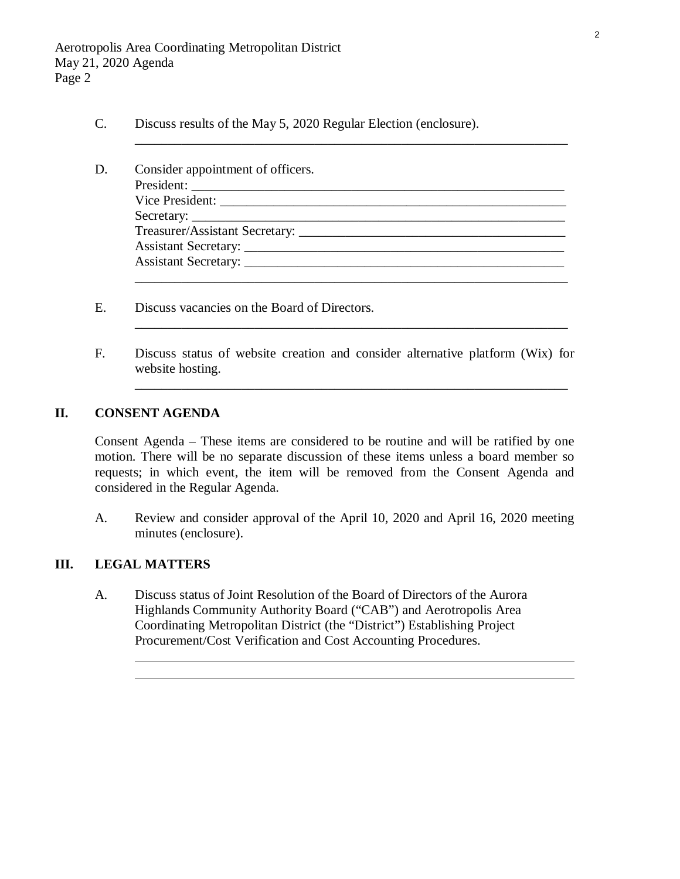- C. Discuss results of the May 5, 2020 Regular Election (enclosure).
- D. Consider appointment of officers. President: \_\_\_\_\_\_\_\_\_\_\_\_\_\_\_\_\_\_\_\_\_\_\_\_\_\_\_\_\_\_\_\_\_\_\_\_\_\_\_\_\_\_\_\_\_\_\_\_\_\_\_\_\_\_\_\_ Vice President: Secretary: Treasurer/Assistant Secretary: \_\_\_\_\_\_\_\_\_\_\_\_\_\_\_\_\_\_\_\_\_\_\_\_\_\_\_\_\_\_\_\_\_\_\_\_\_\_\_\_ Assistant Secretary: \_\_\_\_\_\_\_\_\_\_\_\_\_\_\_\_\_\_\_\_\_\_\_\_\_\_\_\_\_\_\_\_\_\_\_\_\_\_\_\_\_\_\_\_\_\_\_\_ Assistant Secretary: \_\_\_\_\_\_\_\_\_\_\_\_\_\_\_\_\_\_\_\_\_\_\_\_\_\_\_\_\_\_\_\_\_\_\_\_\_\_\_\_\_\_\_\_\_\_\_\_ \_\_\_\_\_\_\_\_\_\_\_\_\_\_\_\_\_\_\_\_\_\_\_\_\_\_\_\_\_\_\_\_\_\_\_\_\_\_\_\_\_\_\_\_\_\_\_\_\_\_\_\_\_\_\_\_\_\_\_\_\_\_\_\_\_

[\\_\\_\\_\\_\\_\\_\\_\\_\\_\\_\\_\\_\\_\\_\\_\\_\\_\\_\\_\\_\\_\\_\\_\\_\\_\\_\\_\\_\\_\\_\\_\\_\\_\\_\\_\\_\\_\\_\\_\\_\\_\\_\\_\\_\\_\\_\\_\\_\\_\\_\\_\\_\\_\\_\\_\\_\\_\\_\\_\\_\\_\\_\\_\\_\\_](#page-10-0) 

- E. Discuss vacancies on the Board of Directors.
- F. Discuss status of website creation and consider alternative platform (Wix) for website hosting.

\_\_\_\_\_\_\_\_\_\_\_\_\_\_\_\_\_\_\_\_\_\_\_\_\_\_\_\_\_\_\_\_\_\_\_\_\_\_\_\_\_\_\_\_\_\_\_\_\_\_\_\_\_\_\_\_\_\_\_\_\_\_\_\_\_

\_\_\_\_\_\_\_\_\_\_\_\_\_\_\_\_\_\_\_\_\_\_\_\_\_\_\_\_\_\_\_\_\_\_\_\_\_\_\_\_\_\_\_\_\_\_\_\_\_\_\_\_\_\_\_\_\_\_\_\_\_\_\_\_\_

# **II. CONSENT AGENDA**

Consent Agenda – These items are considered to be routine and will be ratified by one motion. There will be no separate discussion of these items unless a board member so requests; in which event, the item will be removed from the Consent Agenda and considered in the Regular Agenda.

A. Review and consider approval [of the April 10, 2020 and April 16, 2020 meeting](#page-11-0)  minutes (enclosure).

# **III. LEGAL MATTERS**

 $\overline{a}$ 

A. Discuss status of Joint Resolution of the Board of Directors of the Aurora Highlands Community Authority Board ("CAB") and Aerotropolis Area Coordinating Metropolitan District (the "District") Establishing Project Procurement/Cost Verification and Cost Accounting Procedures.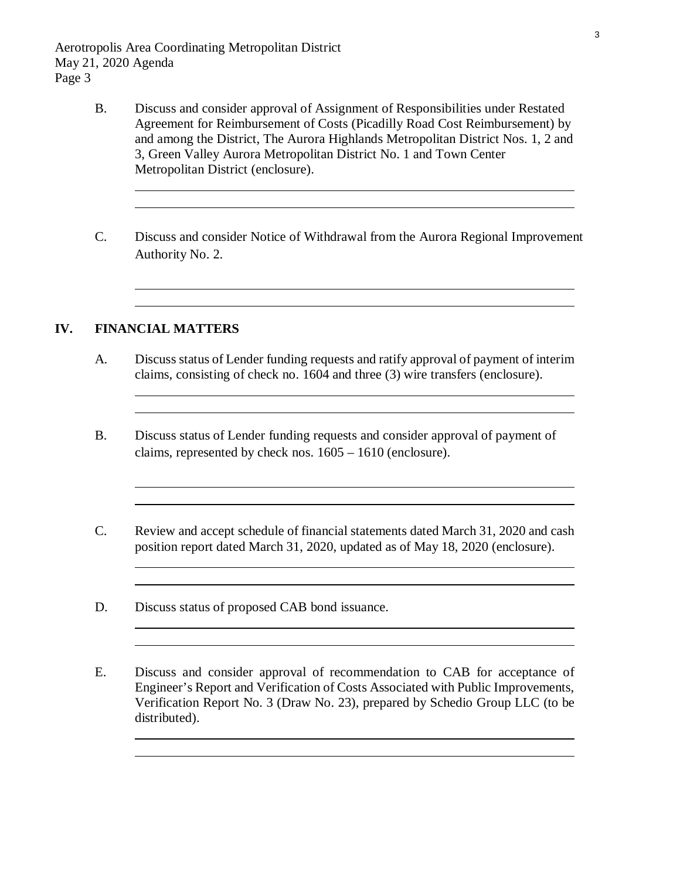Aerotropolis Area Coordinating Metropolitan District May 21, 2020 Agenda Page 3

- B. Discuss and consider approval of Assignment of Responsibilities under Restated Agreement for Reimbursement of Costs (Picadilly Road Cost Reimbursement) by [and among the District, The Aurora Highlands Metropolitan District Nos. 1, 2 and](#page-32-0)  3, Green Valley Aurora Metropolitan District No. 1 and Town Center Metropolitan District (enclosure).
- C. Discuss and consider Notice of Withdrawal from the Aurora Regional Improvement Authority No. 2.

<u> 1980 - Johann Barn, mars ann an t-Amhain Aonaich an t-Aonaich an t-Aonaich an t-Aonaich an t-Aonaich an t-Aon</u>

### **IV. FINANCIAL MATTERS**

 $\overline{a}$ 

 $\overline{a}$ 

 $\overline{a}$ 

 $\overline{a}$ 

 $\overline{a}$ 

 $\overline{a}$ 

 $\overline{a}$ 

- A. [Discuss status of Lender funding requests and ratify approval of payment of](#page-36-0) interim claims, consisting of check no. 1604 and three (3) wire transfers (enclosure).
- [B. Discuss status of Lender funding requests and consider approval of payment of](#page-45-0)  claims, represented by check nos. 1605 – 1610 (enclosure).
- C. [Review and accept schedule of financial statements dated March 31, 2020 and cash](#page-48-0)  position report dated March 31, 2020, updated as of May 18, 2020 (enclosure).
- D. Discuss status of proposed CAB bond issuance.
- E. Discuss and consider approval of recommendation to CAB for acceptance of Engineer's Report and Verification of Costs Associated with Public Improvements, Verification Report No. 3 (Draw No. 23), prepared by Schedio Group LLC (to be distributed).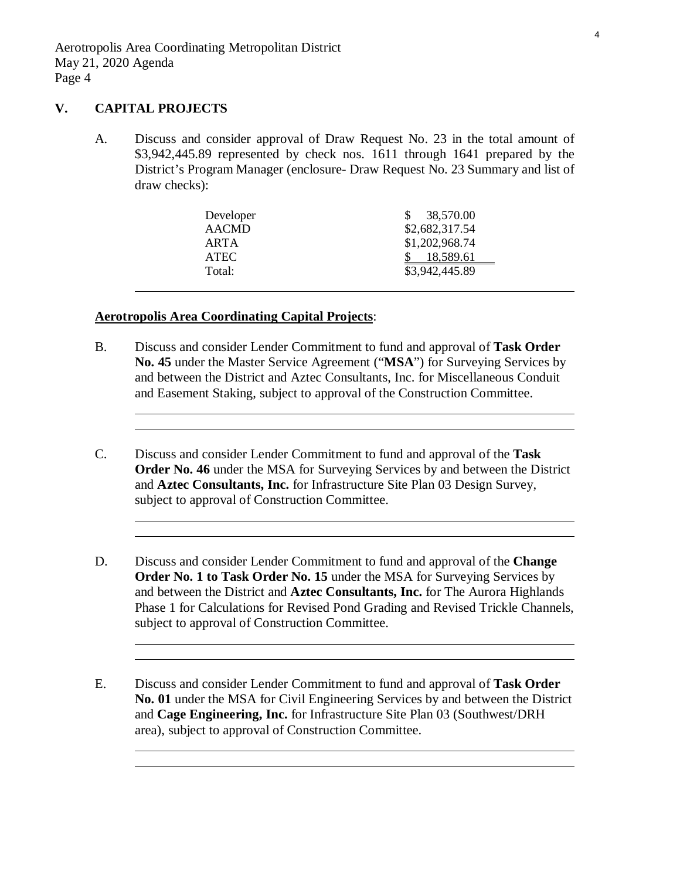## **V. CAPITAL PROJECTS**

A. Discuss and consider approval of Draw Request No. 23 in the total amount of \$3,942,445.89 represented by check nos. 1611 through 1641 prepared by the District's Program Manager (enclosure- Draw Request No. 23 Summary and list of draw checks):

| Developer    | 38,570.00      |
|--------------|----------------|
| <b>AACMD</b> | \$2,682,317.54 |
| ARTA         | \$1,202,968.74 |
| <b>ATEC</b>  | 18,589.61      |
| Total:       | \$3,942,445.89 |
|              |                |

### **Aerotropolis Area Coordinating Capital Projects**:

- B. Discuss and consider Lender Commitment to fund and approval of **Task Order No. 45** under the Master Service Agreement ("**MSA**") for Surveying Services by and between the District and Aztec Consultants, Inc. for Miscellaneous Conduit and Easement Staking, subject to approval of the Construction Committee.
- C. Discuss and consider Lender Commitment to fund and approval of the **Task Order No. 46** under the MSA for Surveying Services by and between the District and **Aztec Consultants, Inc.** for Infrastructure Site Plan 03 Design Survey, subject to approval of Construction Committee.
- D. Discuss and consider Lender Commitment to fund and approval of the **Change Order No. 1 to Task Order No. 15** under the MSA for Surveying Services by and between the District and **Aztec Consultants, Inc.** for The Aurora Highlands Phase 1 for Calculations for Revised Pond Grading and Revised Trickle Channels, subject to approval of Construction Committee.
- E. Discuss and consider Lender Commitment to fund and approval of **Task Order No. 01** under the MSA for Civil Engineering Services by and between the District and **Cage Engineering, Inc.** for Infrastructure Site Plan 03 (Southwest/DRH area), subject to approval of Construction Committee.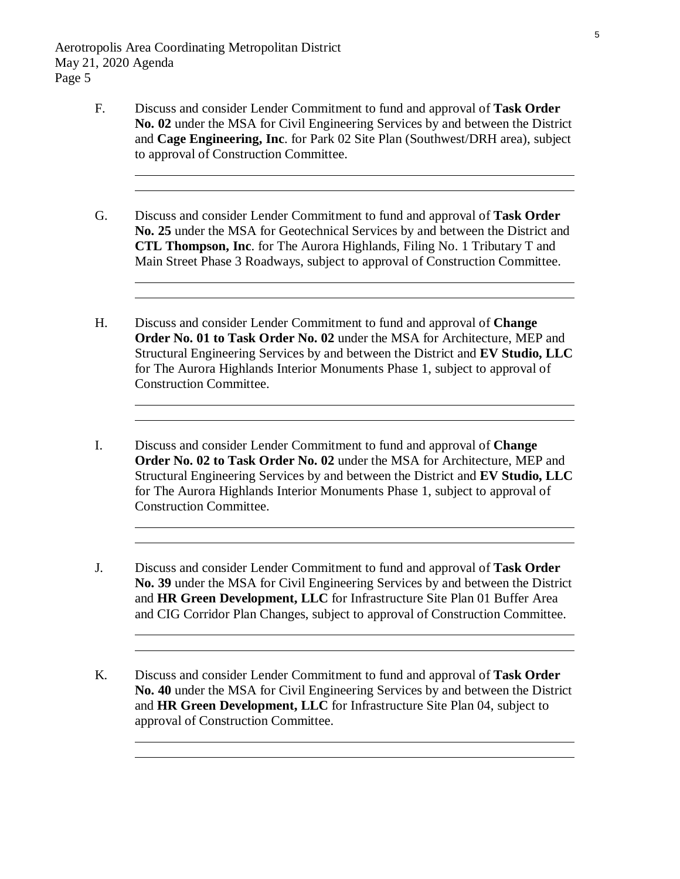- F. Discuss and consider Lender Commitment to fund and approval of **Task Order No. 02** under the MSA for Civil Engineering Services by and between the District and **Cage Engineering, Inc**. for Park 02 Site Plan (Southwest/DRH area), subject to approval of Construction Committee.
- G. Discuss and consider Lender Commitment to fund and approval of **Task Order No. 25** under the MSA for Geotechnical Services by and between the District and **CTL Thompson, Inc**. for The Aurora Highlands, Filing No. 1 Tributary T and Main Street Phase 3 Roadways, subject to approval of Construction Committee.
- H. Discuss and consider Lender Commitment to fund and approval of **Change Order No. 01 to Task Order No. 02** under the MSA for Architecture, MEP and Structural Engineering Services by and between the District and **EV Studio, LLC** for The Aurora Highlands Interior Monuments Phase 1, subject to approval of Construction Committee.
- I. Discuss and consider Lender Commitment to fund and approval of **Change Order No. 02 to Task Order No. 02** under the MSA for Architecture, MEP and Structural Engineering Services by and between the District and **EV Studio, LLC** for The Aurora Highlands Interior Monuments Phase 1, subject to approval of Construction Committee.
- J. Discuss and consider Lender Commitment to fund and approval of **Task Order No. 39** under the MSA for Civil Engineering Services by and between the District and **HR Green Development, LLC** for Infrastructure Site Plan 01 Buffer Area and CIG Corridor Plan Changes, subject to approval of Construction Committee.

K. Discuss and consider Lender Commitment to fund and approval of **Task Order No. 40** under the MSA for Civil Engineering Services by and between the District and **HR Green Development, LLC** for Infrastructure Site Plan 04, subject to approval of Construction Committee.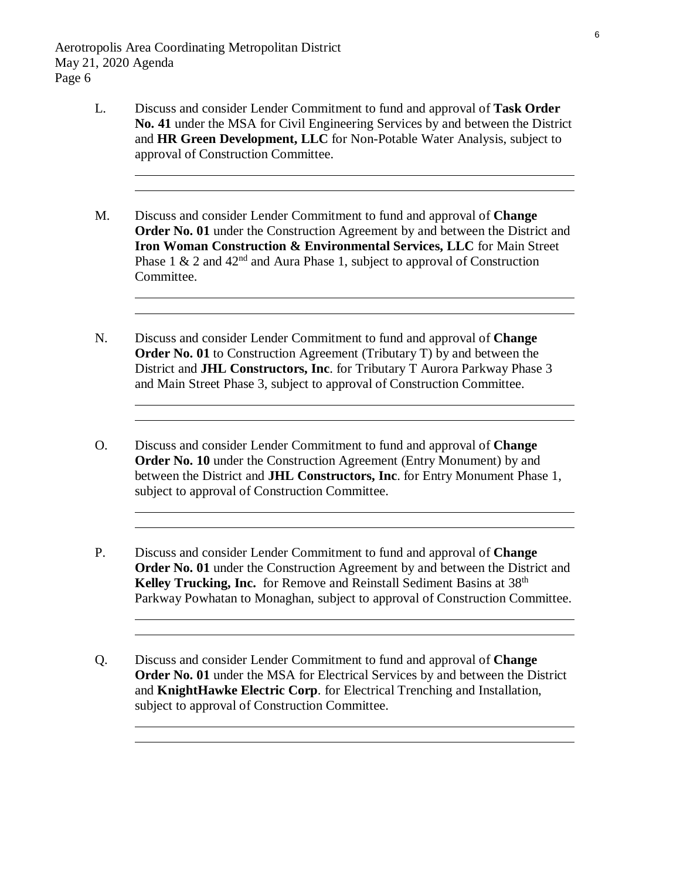- L. Discuss and consider Lender Commitment to fund and approval of **Task Order No. 41** under the MSA for Civil Engineering Services by and between the District and **HR Green Development, LLC** for Non-Potable Water Analysis, subject to approval of Construction Committee.
- M. Discuss and consider Lender Commitment to fund and approval of **Change Order No. 01** under the Construction Agreement by and between the District and **Iron Woman Construction & Environmental Services, LLC** for Main Street Phase 1  $\&$  2 and 42<sup>nd</sup> and Aura Phase 1, subject to approval of Construction Committee.
- N. Discuss and consider Lender Commitment to fund and approval of **Change Order No. 01** to Construction Agreement (Tributary T) by and between the District and **JHL Constructors, Inc**. for Tributary T Aurora Parkway Phase 3 and Main Street Phase 3, subject to approval of Construction Committee.
- O. Discuss and consider Lender Commitment to fund and approval of **Change Order No. 10** under the Construction Agreement (Entry Monument) by and between the District and **JHL Constructors, Inc**. for Entry Monument Phase 1, subject to approval of Construction Committee.
- P. Discuss and consider Lender Commitment to fund and approval of **Change Order No. 01** under the Construction Agreement by and between the District and Kelley Trucking, Inc. for Remove and Reinstall Sediment Basins at 38<sup>th</sup> Parkway Powhatan to Monaghan, subject to approval of Construction Committee.
- Q. Discuss and consider Lender Commitment to fund and approval of **Change Order No. 01** under the MSA for Electrical Services by and between the District and **KnightHawke Electric Corp**. for Electrical Trenching and Installation, subject to approval of Construction Committee.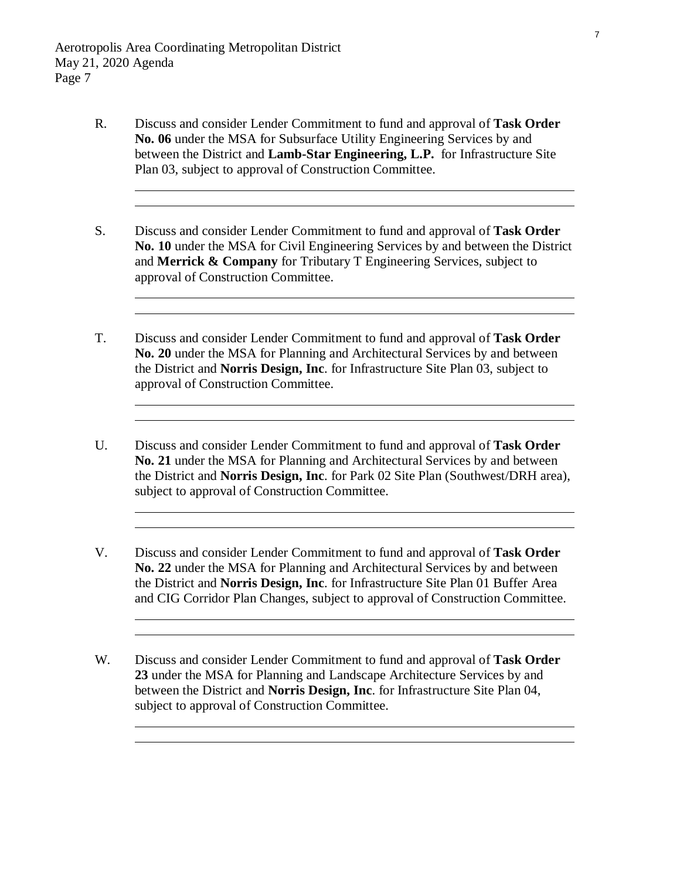- R. Discuss and consider Lender Commitment to fund and approval of **Task Order No. 06** under the MSA for Subsurface Utility Engineering Services by and between the District and **Lamb-Star Engineering, L.P.** for Infrastructure Site Plan 03, subject to approval of Construction Committee.
- S. Discuss and consider Lender Commitment to fund and approval of **Task Order No. 10** under the MSA for Civil Engineering Services by and between the District and **Merrick & Company** for Tributary T Engineering Services, subject to approval of Construction Committee.
- T. Discuss and consider Lender Commitment to fund and approval of **Task Order No. 20** under the MSA for Planning and Architectural Services by and between the District and **Norris Design, Inc**. for Infrastructure Site Plan 03, subject to approval of Construction Committee.
- U. Discuss and consider Lender Commitment to fund and approval of **Task Order No. 21** under the MSA for Planning and Architectural Services by and between the District and **Norris Design, Inc**. for Park 02 Site Plan (Southwest/DRH area), subject to approval of Construction Committee.
- V. Discuss and consider Lender Commitment to fund and approval of **Task Order No. 22** under the MSA for Planning and Architectural Services by and between the District and **Norris Design, Inc**. for Infrastructure Site Plan 01 Buffer Area and CIG Corridor Plan Changes, subject to approval of Construction Committee.
- W. Discuss and consider Lender Commitment to fund and approval of **Task Order 23** under the MSA for Planning and Landscape Architecture Services by and between the District and **Norris Design, Inc**. for Infrastructure Site Plan 04, subject to approval of Construction Committee.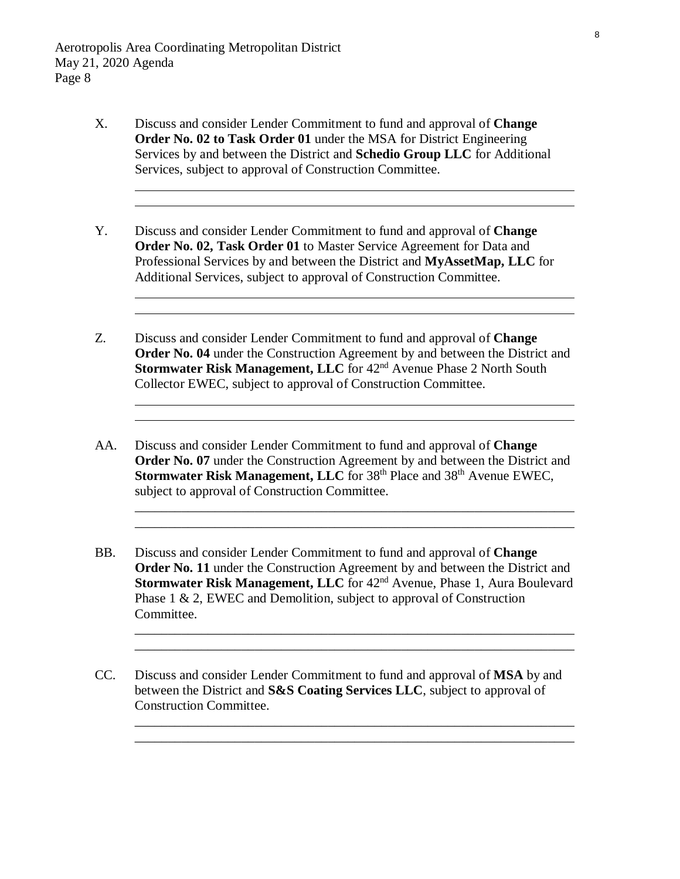- X. Discuss and consider Lender Commitment to fund and approval of **Change Order No. 02 to Task Order 01** under the MSA for District Engineering Services by and between the District and **Schedio Group LLC** for Additional Services, subject to approval of Construction Committee.
- Y. Discuss and consider Lender Commitment to fund and approval of **Change Order No. 02, Task Order 01** to Master Service Agreement for Data and Professional Services by and between the District and **MyAssetMap, LLC** for Additional Services, subject to approval of Construction Committee.
- Z. Discuss and consider Lender Commitment to fund and approval of **Change Order No. 04** under the Construction Agreement by and between the District and **Stormwater Risk Management, LLC** for 42<sup>nd</sup> Avenue Phase 2 North South Collector EWEC, subject to approval of Construction Committee.
- AA. Discuss and consider Lender Commitment to fund and approval of **Change Order No. 07** under the Construction Agreement by and between the District and **Stormwater Risk Management, LLC** for 38<sup>th</sup> Place and 38<sup>th</sup> Avenue EWEC, subject to approval of Construction Committee.

\_\_\_\_\_\_\_\_\_\_\_\_\_\_\_\_\_\_\_\_\_\_\_\_\_\_\_\_\_\_\_\_\_\_\_\_\_\_\_\_\_\_\_\_\_\_\_\_\_\_\_\_\_\_\_\_\_\_\_\_\_\_\_\_\_\_ \_\_\_\_\_\_\_\_\_\_\_\_\_\_\_\_\_\_\_\_\_\_\_\_\_\_\_\_\_\_\_\_\_\_\_\_\_\_\_\_\_\_\_\_\_\_\_\_\_\_\_\_\_\_\_\_\_\_\_\_\_\_\_\_\_\_

\_\_\_\_\_\_\_\_\_\_\_\_\_\_\_\_\_\_\_\_\_\_\_\_\_\_\_\_\_\_\_\_\_\_\_\_\_\_\_\_\_\_\_\_\_\_\_\_\_\_\_\_\_\_\_\_\_\_\_\_\_\_\_\_\_\_ \_\_\_\_\_\_\_\_\_\_\_\_\_\_\_\_\_\_\_\_\_\_\_\_\_\_\_\_\_\_\_\_\_\_\_\_\_\_\_\_\_\_\_\_\_\_\_\_\_\_\_\_\_\_\_\_\_\_\_\_\_\_\_\_\_\_

\_\_\_\_\_\_\_\_\_\_\_\_\_\_\_\_\_\_\_\_\_\_\_\_\_\_\_\_\_\_\_\_\_\_\_\_\_\_\_\_\_\_\_\_\_\_\_\_\_\_\_\_\_\_\_\_\_\_\_\_\_\_\_\_\_\_ \_\_\_\_\_\_\_\_\_\_\_\_\_\_\_\_\_\_\_\_\_\_\_\_\_\_\_\_\_\_\_\_\_\_\_\_\_\_\_\_\_\_\_\_\_\_\_\_\_\_\_\_\_\_\_\_\_\_\_\_\_\_\_\_\_\_

- BB. Discuss and consider Lender Commitment to fund and approval of **Change Order No. 11** under the Construction Agreement by and between the District and **Stormwater Risk Management, LLC** for 42<sup>nd</sup> Avenue, Phase 1, Aura Boulevard Phase 1 & 2, EWEC and Demolition, subject to approval of Construction Committee.
- CC. Discuss and consider Lender Commitment to fund and approval of **MSA** by and between the District and **S&S Coating Services LLC**, subject to approval of Construction Committee.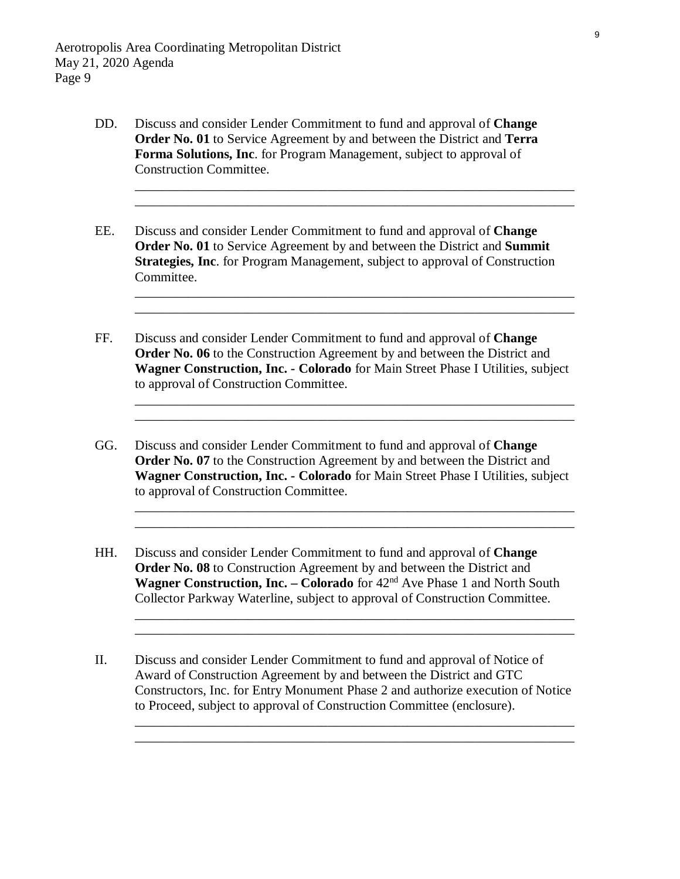- DD. Discuss and consider Lender Commitment to fund and approval of **Change Order No. 01** to Service Agreement by and between the District and **Terra Forma Solutions, Inc**. for Program Management, subject to approval of Construction Committee.
- EE. Discuss and consider Lender Commitment to fund and approval of **Change Order No. 01** to Service Agreement by and between the District and **Summit Strategies, Inc**. for Program Management, subject to approval of Construction Committee.

\_\_\_\_\_\_\_\_\_\_\_\_\_\_\_\_\_\_\_\_\_\_\_\_\_\_\_\_\_\_\_\_\_\_\_\_\_\_\_\_\_\_\_\_\_\_\_\_\_\_\_\_\_\_\_\_\_\_\_\_\_\_\_\_\_\_ \_\_\_\_\_\_\_\_\_\_\_\_\_\_\_\_\_\_\_\_\_\_\_\_\_\_\_\_\_\_\_\_\_\_\_\_\_\_\_\_\_\_\_\_\_\_\_\_\_\_\_\_\_\_\_\_\_\_\_\_\_\_\_\_\_\_

\_\_\_\_\_\_\_\_\_\_\_\_\_\_\_\_\_\_\_\_\_\_\_\_\_\_\_\_\_\_\_\_\_\_\_\_\_\_\_\_\_\_\_\_\_\_\_\_\_\_\_\_\_\_\_\_\_\_\_\_\_\_\_\_\_\_ \_\_\_\_\_\_\_\_\_\_\_\_\_\_\_\_\_\_\_\_\_\_\_\_\_\_\_\_\_\_\_\_\_\_\_\_\_\_\_\_\_\_\_\_\_\_\_\_\_\_\_\_\_\_\_\_\_\_\_\_\_\_\_\_\_\_

\_\_\_\_\_\_\_\_\_\_\_\_\_\_\_\_\_\_\_\_\_\_\_\_\_\_\_\_\_\_\_\_\_\_\_\_\_\_\_\_\_\_\_\_\_\_\_\_\_\_\_\_\_\_\_\_\_\_\_\_\_\_\_\_\_\_ \_\_\_\_\_\_\_\_\_\_\_\_\_\_\_\_\_\_\_\_\_\_\_\_\_\_\_\_\_\_\_\_\_\_\_\_\_\_\_\_\_\_\_\_\_\_\_\_\_\_\_\_\_\_\_\_\_\_\_\_\_\_\_\_\_\_

\_\_\_\_\_\_\_\_\_\_\_\_\_\_\_\_\_\_\_\_\_\_\_\_\_\_\_\_\_\_\_\_\_\_\_\_\_\_\_\_\_\_\_\_\_\_\_\_\_\_\_\_\_\_\_\_\_\_\_\_\_\_\_\_\_\_ \_\_\_\_\_\_\_\_\_\_\_\_\_\_\_\_\_\_\_\_\_\_\_\_\_\_\_\_\_\_\_\_\_\_\_\_\_\_\_\_\_\_\_\_\_\_\_\_\_\_\_\_\_\_\_\_\_\_\_\_\_\_\_\_\_\_

\_\_\_\_\_\_\_\_\_\_\_\_\_\_\_\_\_\_\_\_\_\_\_\_\_\_\_\_\_\_\_\_\_\_\_\_\_\_\_\_\_\_\_\_\_\_\_\_\_\_\_\_\_\_\_\_\_\_\_\_\_\_\_\_\_\_ \_\_\_\_\_\_\_\_\_\_\_\_\_\_\_\_\_\_\_\_\_\_\_\_\_\_\_\_\_\_\_\_\_\_\_\_\_\_\_\_\_\_\_\_\_\_\_\_\_\_\_\_\_\_\_\_\_\_\_\_\_\_\_\_\_\_

\_\_\_\_\_\_\_\_\_\_\_\_\_\_\_\_\_\_\_\_\_\_\_\_\_\_\_\_\_\_\_\_\_\_\_\_\_\_\_\_\_\_\_\_\_\_\_\_\_\_\_\_\_\_\_\_\_\_\_\_\_\_\_\_\_\_ \_\_\_\_\_\_\_\_\_\_\_\_\_\_\_\_\_\_\_\_\_\_\_\_\_\_\_\_\_\_\_\_\_\_\_\_\_\_\_\_\_\_\_\_\_\_\_\_\_\_\_\_\_\_\_\_\_\_\_\_\_\_\_\_\_\_

- FF. Discuss and consider Lender Commitment to fund and approval of **Change Order No. 06** to the Construction Agreement by and between the District and **Wagner Construction, Inc. - Colorado** for Main Street Phase I Utilities, subject to approval of Construction Committee.
- GG. Discuss and consider Lender Commitment to fund and approval of **Change Order No. 07** to the Construction Agreement by and between the District and **Wagner Construction, Inc. - Colorado** for Main Street Phase I Utilities, subject to approval of Construction Committee.
- HH. Discuss and consider Lender Commitment to fund and approval of **Change Order No. 08** to Construction Agreement by and between the District and **Wagner Construction, Inc. – Colorado** for 42<sup>nd</sup> Ave Phase 1 and North South Collector Parkway Waterline, subject to approval of Construction Committee.
- II. Discuss and consider Lender Commitment to fund and approval of Notice of Award of Construction Agreement by and between the District and GTC Constructors, Inc. for Entry Monument Phase 2 and authorize execution of Notice to Proceed, subject to approval of Construction Committee (enclosure).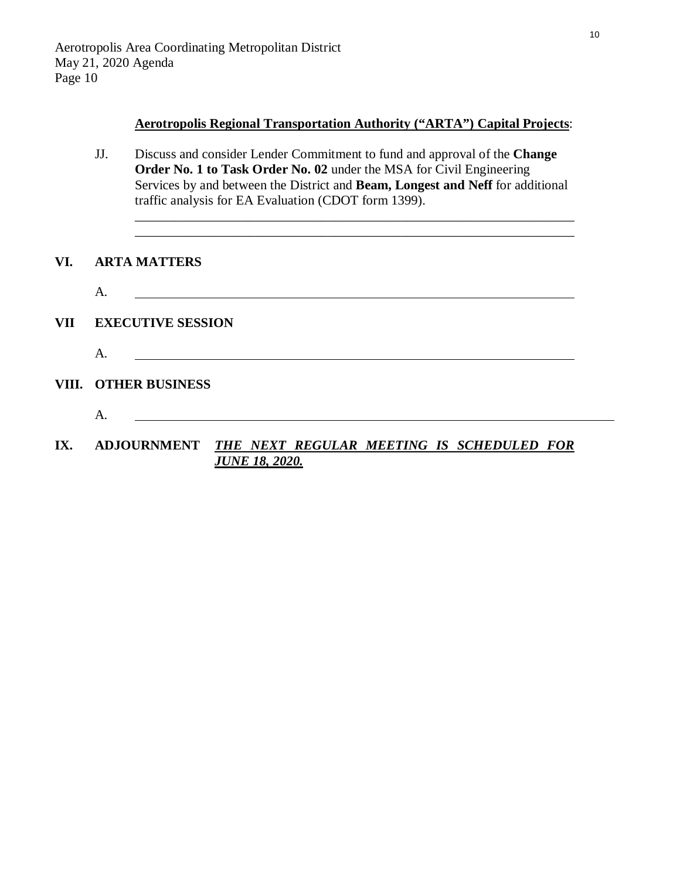### **Aerotropolis Regional Transportation Authority ("ARTA") Capital Projects**:

\_\_\_\_\_\_\_\_\_\_\_\_\_\_\_\_\_\_\_\_\_\_\_\_\_\_\_\_\_\_\_\_\_\_\_\_\_\_\_\_\_\_\_\_\_\_\_\_\_\_\_\_\_\_\_\_\_\_\_\_\_\_\_\_\_\_ \_\_\_\_\_\_\_\_\_\_\_\_\_\_\_\_\_\_\_\_\_\_\_\_\_\_\_\_\_\_\_\_\_\_\_\_\_\_\_\_\_\_\_\_\_\_\_\_\_\_\_\_\_\_\_\_\_\_\_\_\_\_\_\_\_\_

JJ. Discuss and consider Lender Commitment to fund and approval of the **Change Order No. 1 to Task Order No. 02** under the MSA for Civil Engineering Services by and between the District and **Beam, Longest and Neff** for additional traffic analysis for EA Evaluation (CDOT form 1399).

### **VI. ARTA MATTERS**

|     | Α.                       |
|-----|--------------------------|
| VII | <b>EXECUTIVE SESSION</b> |

**VIII. OTHER BUSINESS**

A.

- A.
- **IX. ADJOURNMENT** *THE NEXT REGULAR MEETING IS SCHEDULED FOR JUNE 18, 2020.*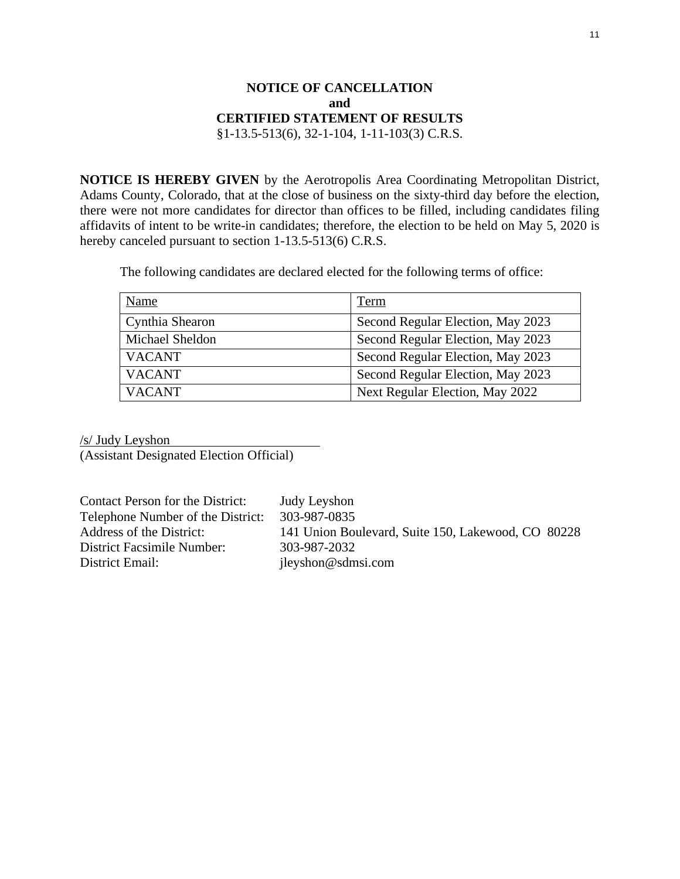## **NOTICE OF CANCELLATION and CERTIFIED STATEMENT OF RESULTS** §1-13.5-513(6), 32-1-104, 1-11-103(3) C.R.S.

<span id="page-10-0"></span>**NOTICE IS HEREBY GIVEN** by the Aerotropolis Area Coordinating Metropolitan District, Adams County, Colorado, that at the close of business on the sixty-third day before the election, there were not more candidates for director than offices to be filled, including candidates filing affidavits of intent to be write-in candidates; therefore, the election to be held on May 5, 2020 is hereby canceled pursuant to section 1-13.5-513(6) C.R.S.

The following candidates are declared elected for the following terms of office:

| Name            | Term                              |
|-----------------|-----------------------------------|
| Cynthia Shearon | Second Regular Election, May 2023 |
| Michael Sheldon | Second Regular Election, May 2023 |
| <b>VACANT</b>   | Second Regular Election, May 2023 |
| <b>VACANT</b>   | Second Regular Election, May 2023 |
| <b>VACANT</b>   | Next Regular Election, May 2022   |

/s/ Judy Leyshon

(Assistant Designated Election Official)

Contact Person for the District: Judy Leyshon Telephone Number of the District: 303-987-0835 District Facsimile Number: 303-987-2032<br>District Email: ilevshon@sdm

Address of the District: 141 Union Boulevard, Suite 150, Lakewood, CO 80228 jleyshon@sdmsi.com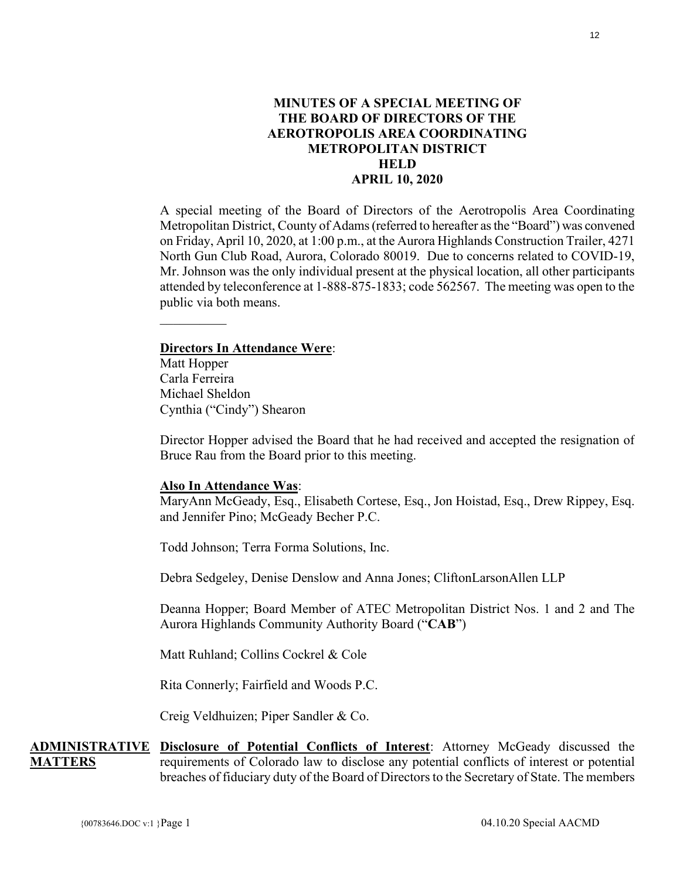# **MINUTES OF A SPECIAL MEETING OF THE BOARD OF DIRECTORS OF THE AEROTROPOLIS AREA COORDINATING METROPOLITAN DISTRICT HELD APRIL 10, 2020**

<span id="page-11-0"></span>A special meeting of the Board of Directors of the Aerotropolis Area Coordinating Metropolitan District, County of Adams(referred to hereafter as the "Board") was convened on Friday, April 10, 2020, at 1:00 p.m., at the Aurora Highlands Construction Trailer, 4271 North Gun Club Road, Aurora, Colorado 80019. Due to concerns related to COVID-19, Mr. Johnson was the only individual present at the physical location, all other participants attended by teleconference at 1-888-875-1833; code 562567. The meeting was open to the public via both means.

### **Directors In Attendance Were**:

Matt Hopper Carla Ferreira Michael Sheldon Cynthia ("Cindy") Shearon

Director Hopper advised the Board that he had received and accepted the resignation of Bruce Rau from the Board prior to this meeting.

### **Also In Attendance Was**:

MaryAnn McGeady, Esq., Elisabeth Cortese, Esq., Jon Hoistad, Esq., Drew Rippey, Esq. and Jennifer Pino; McGeady Becher P.C.

Todd Johnson; Terra Forma Solutions, Inc.

Debra Sedgeley, Denise Denslow and Anna Jones; CliftonLarsonAllen LLP

Deanna Hopper; Board Member of ATEC Metropolitan District Nos. 1 and 2 and The Aurora Highlands Community Authority Board ("**CAB**")

Matt Ruhland; Collins Cockrel & Cole

Rita Connerly; Fairfield and Woods P.C.

Creig Veldhuizen; Piper Sandler & Co.

**ADMINISTRATIVE MATTERS Disclosure of Potential Conflicts of Interest**: Attorney McGeady discussed the requirements of Colorado law to disclose any potential conflicts of interest or potential breaches of fiduciary duty of the Board of Directors to the Secretary of State. The members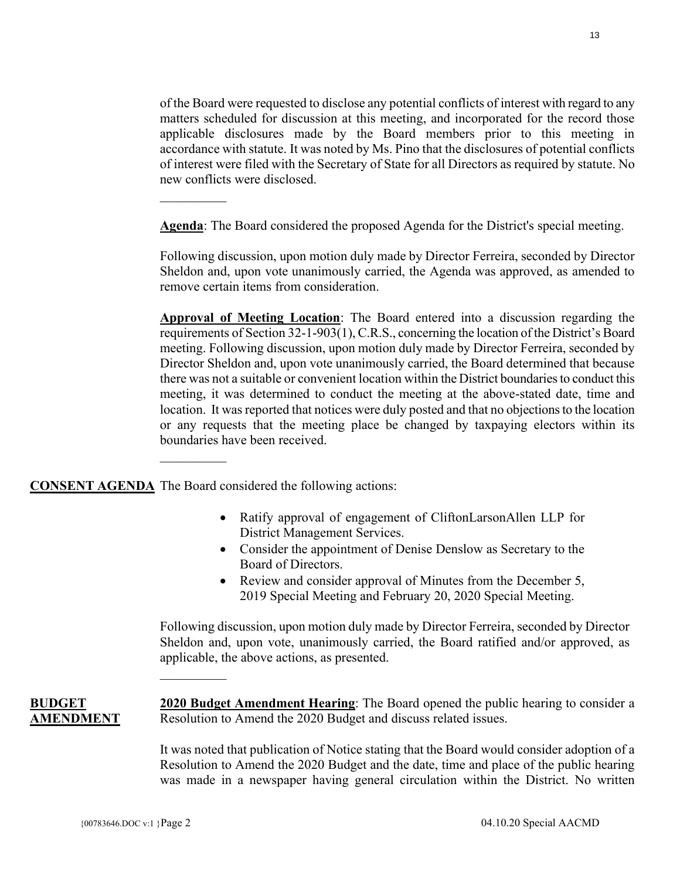of the Board were requested to disclose any potential conflicts of interest with regard to any matters scheduled for discussion at this meeting, and incorporated for the record those applicable disclosures made by the Board members prior to this meeting in accordance with statute. It was noted by Ms. Pino that the disclosures of potential conflicts of interest were filed with the Secretary of State for all Directors as required by statute. No new conflicts were disclosed.

**Agenda**: The Board considered the proposed Agenda for the District's special meeting.

Following discussion, upon motion duly made by Director Ferreira, seconded by Director Sheldon and, upon vote unanimously carried, the Agenda was approved, as amended to remove certain items from consideration.

**Approval of Meeting Location**: The Board entered into a discussion regarding the requirements of Section 32-1-903(1), C.R.S., concerning the location of the District's Board meeting. Following discussion, upon motion duly made by Director Ferreira, seconded by Director Sheldon and, upon vote unanimously carried, the Board determined that because there was not a suitable or convenient location within the District boundaries to conduct this meeting, it was determined to conduct the meeting at the above-stated date, time and location. It was reported that notices were duly posted and that no objections to the location or any requests that the meeting place be changed by taxpaying electors within its boundaries have been received.

**CONSENT AGENDA** The Board considered the following actions:

 $\mathcal{L}_\text{max}$ 

 $\mathcal{L}_\text{max}$ 

 $\mathcal{L}_\text{max}$ 

- Ratify approval of engagement of CliftonLarsonAllen LLP for District Management Services.
- Consider the appointment of Denise Denslow as Secretary to the Board of Directors.
- Review and consider approval of Minutes from the December 5, 2019 Special Meeting and February 20, 2020 Special Meeting.

Following discussion, upon motion duly made by Director Ferreira, seconded by Director Sheldon and, upon vote, unanimously carried, the Board ratified and/or approved, as applicable, the above actions, as presented.

**BUDGET AMENDMENT**

**2020 Budget Amendment Hearing**: The Board opened the public hearing to consider a Resolution to Amend the 2020 Budget and discuss related issues.

It was noted that publication of Notice stating that the Board would consider adoption of a Resolution to Amend the 2020 Budget and the date, time and place of the public hearing was made in a newspaper having general circulation within the District. No written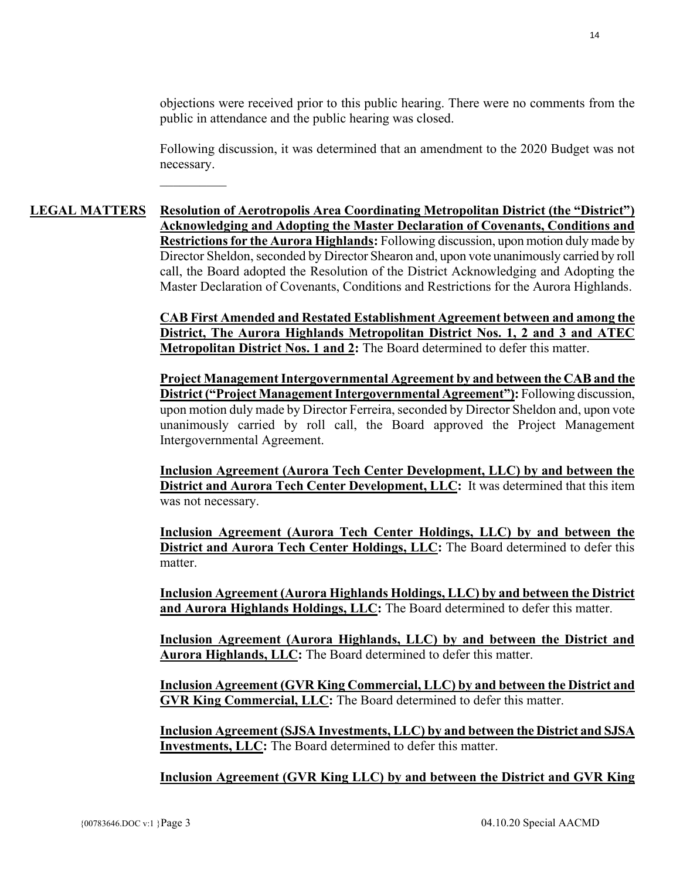objections were received prior to this public hearing. There were no comments from the public in attendance and the public hearing was closed.

Following discussion, it was determined that an amendment to the 2020 Budget was not necessary.

# **LEGAL MATTERS Resolution of Aerotropolis Area Coordinating Metropolitan District (the "District") Acknowledging and Adopting the Master Declaration of Covenants, Conditions and Restrictions for the Aurora Highlands:** Following discussion, upon motion duly made by Director Sheldon, seconded by Director Shearon and, upon vote unanimously carried by roll call, the Board adopted the Resolution of the District Acknowledging and Adopting the Master Declaration of Covenants, Conditions and Restrictions for the Aurora Highlands.

 $\mathcal{L}_\text{max}$ 

**CAB First Amended and Restated Establishment Agreement between and among the District, The Aurora Highlands Metropolitan District Nos. 1, 2 and 3 and ATEC Metropolitan District Nos. 1 and 2:** The Board determined to defer this matter.

**Project Management Intergovernmental Agreement by and between the CAB and the District ("Project Management Intergovernmental Agreement"):** Following discussion, upon motion duly made by Director Ferreira, seconded by Director Sheldon and, upon vote unanimously carried by roll call, the Board approved the Project Management Intergovernmental Agreement.

**Inclusion Agreement (Aurora Tech Center Development, LLC) by and between the District and Aurora Tech Center Development, LLC:** It was determined that this item was not necessary.

**Inclusion Agreement (Aurora Tech Center Holdings, LLC) by and between the District and Aurora Tech Center Holdings, LLC:** The Board determined to defer this matter.

**Inclusion Agreement (Aurora Highlands Holdings, LLC) by and between the District and Aurora Highlands Holdings, LLC:** The Board determined to defer this matter.

**Inclusion Agreement (Aurora Highlands, LLC) by and between the District and Aurora Highlands, LLC:** The Board determined to defer this matter.

**Inclusion Agreement (GVR King Commercial, LLC) by and between the District and GVR King Commercial, LLC:** The Board determined to defer this matter.

**Inclusion Agreement (SJSA Investments, LLC) by and between the District and SJSA Investments, LLC:** The Board determined to defer this matter.

**Inclusion Agreement (GVR King LLC) by and between the District and GVR King**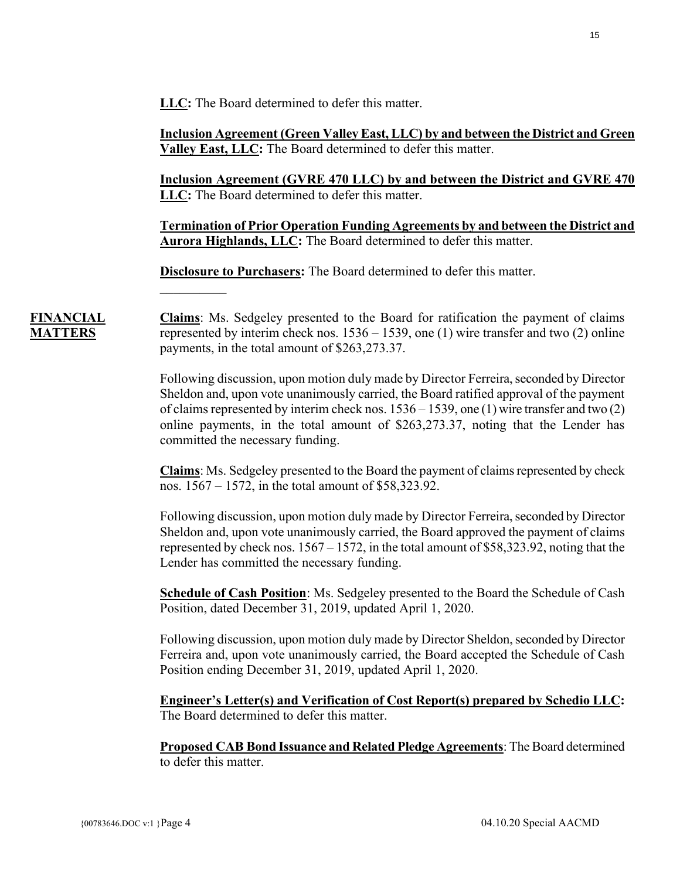**LLC:** The Board determined to defer this matter.

**Inclusion Agreement (Green Valley East, LLC) by and between the District and Green Valley East, LLC:** The Board determined to defer this matter.

**Inclusion Agreement (GVRE 470 LLC) by and between the District and GVRE 470 LLC:** The Board determined to defer this matter.

**Termination of Prior Operation Funding Agreements by and between the District and Aurora Highlands, LLC:** The Board determined to defer this matter.

**Disclosure to Purchasers:** The Board determined to defer this matter.

**Claims**: Ms. Sedgeley presented to the Board for ratification the payment of claims represented by interim check nos. 1536 – 1539, one (1) wire transfer and two (2) online payments, in the total amount of \$263,273.37.

Following discussion, upon motion duly made by Director Ferreira, seconded by Director Sheldon and, upon vote unanimously carried, the Board ratified approval of the payment of claims represented by interim check nos. 1536 – 1539, one (1) wire transfer and two (2) online payments, in the total amount of \$263,273.37, noting that the Lender has committed the necessary funding.

**Claims**: Ms. Sedgeley presented to the Board the payment of claims represented by check nos. 1567 – 1572, in the total amount of \$58,323.92.

Following discussion, upon motion duly made by Director Ferreira, seconded by Director Sheldon and, upon vote unanimously carried, the Board approved the payment of claims represented by check nos. 1567 – 1572, in the total amount of \$58,323.92, noting that the Lender has committed the necessary funding.

**Schedule of Cash Position**: Ms. Sedgeley presented to the Board the Schedule of Cash Position, dated December 31, 2019, updated April 1, 2020.

Following discussion, upon motion duly made by Director Sheldon, seconded by Director Ferreira and, upon vote unanimously carried, the Board accepted the Schedule of Cash Position ending December 31, 2019, updated April 1, 2020.

**Engineer's Letter(s) and Verification of Cost Report(s) prepared by Schedio LLC:**  The Board determined to defer this matter.

**Proposed CAB Bond Issuance and Related Pledge Agreements**: The Board determined to defer this matter.

**FINANCIAL MATTERS**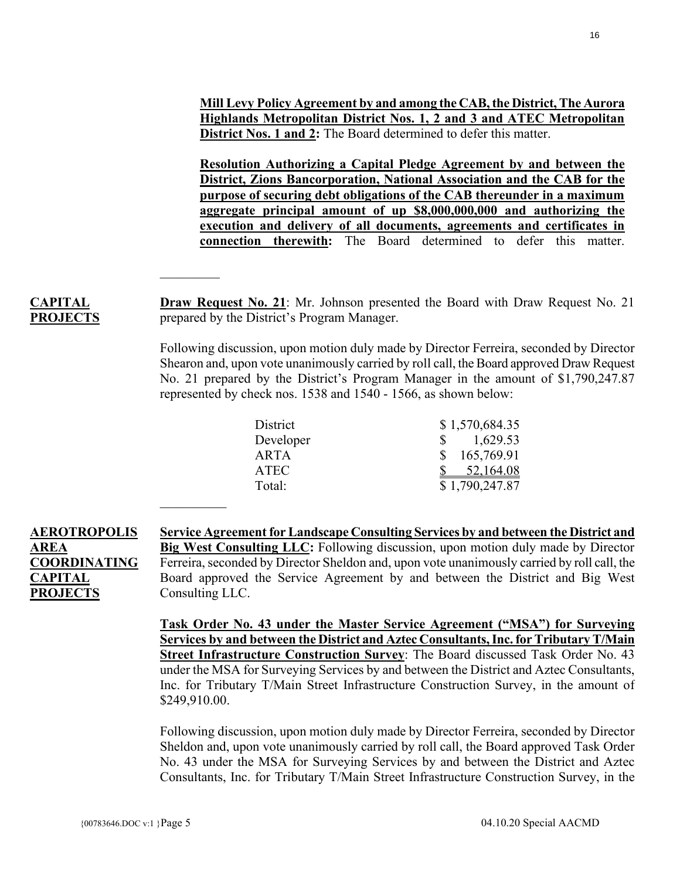**Mill Levy Policy Agreement by and among the CAB, the District, The Aurora Highlands Metropolitan District Nos. 1, 2 and 3 and ATEC Metropolitan District Nos. 1 and 2:** The Board determined to defer this matter.

**Resolution Authorizing a Capital Pledge Agreement by and between the District, Zions Bancorporation, National Association and the CAB for the purpose of securing debt obligations of the CAB thereunder in a maximum aggregate principal amount of up \$8,000,000,000 and authorizing the execution and delivery of all documents, agreements and certificates in connection therewith:** The Board determined to defer this matter.

**Draw Request No. 21**: Mr. Johnson presented the Board with Draw Request No. 21 prepared by the District's Program Manager.

Following discussion, upon motion duly made by Director Ferreira, seconded by Director Shearon and, upon vote unanimously carried by roll call, the Board approved Draw Request No. 21 prepared by the District's Program Manager in the amount of \$1,790,247.87 represented by check nos. 1538 and 1540 - 1566, as shown below:

| District  | \$1,570,684.35                |
|-----------|-------------------------------|
| Developer | 1,629.53<br>$S_{\mathcal{S}}$ |
| ARTA      | 165,769.91<br>S.              |
| ATEC      | 52,164.08                     |
| Total:    | \$1,790,247.87                |

**AEROTROPOLIS AREA COORDINATING CAPITAL PROJECTS Service Agreement for Landscape Consulting Services by and between the District and Big West Consulting LLC:** Following discussion, upon motion duly made by Director Ferreira, seconded by Director Sheldon and, upon vote unanimously carried by roll call, the Board approved the Service Agreement by and between the District and Big West Consulting LLC.

> **Task Order No. 43 under the Master Service Agreement ("MSA") for Surveying Services by and between the District and Aztec Consultants, Inc. for Tributary T/Main Street Infrastructure Construction Survey**: The Board discussed Task Order No. 43 under the MSA for Surveying Services by and between the District and Aztec Consultants, Inc. for Tributary T/Main Street Infrastructure Construction Survey, in the amount of \$249,910.00.

> Following discussion, upon motion duly made by Director Ferreira, seconded by Director Sheldon and, upon vote unanimously carried by roll call, the Board approved Task Order No. 43 under the MSA for Surveying Services by and between the District and Aztec Consultants, Inc. for Tributary T/Main Street Infrastructure Construction Survey, in the

 $\mathcal{L}_\text{max}$ 

**CAPITAL PROJECTS**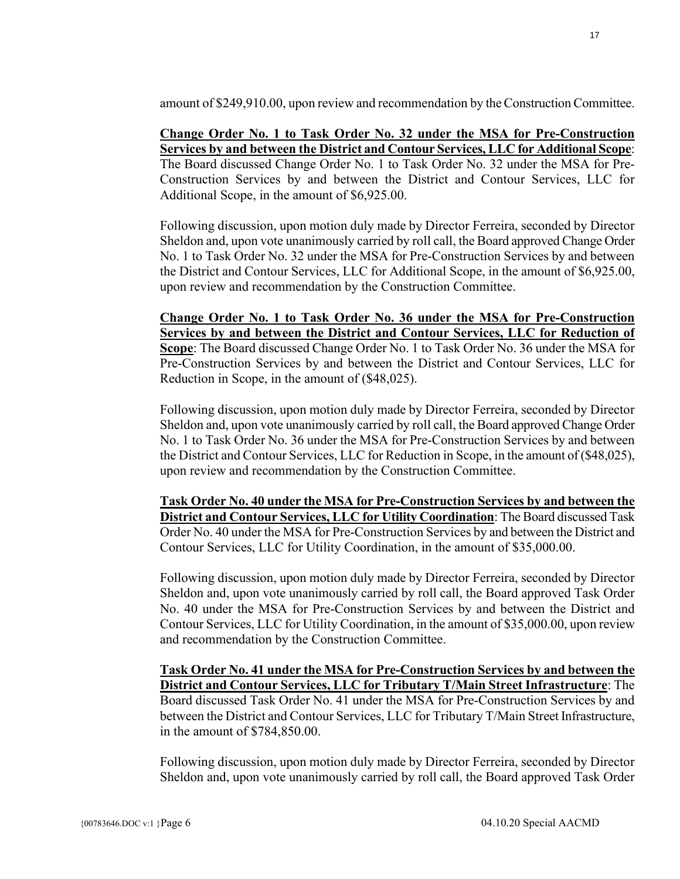amount of \$249,910.00, upon review and recommendation by the Construction Committee.

# **Change Order No. 1 to Task Order No. 32 under the MSA for Pre-Construction Services by and between the District and Contour Services, LLC for Additional Scope**:

The Board discussed Change Order No. 1 to Task Order No. 32 under the MSA for Pre-Construction Services by and between the District and Contour Services, LLC for Additional Scope, in the amount of \$6,925.00.

Following discussion, upon motion duly made by Director Ferreira, seconded by Director Sheldon and, upon vote unanimously carried by roll call, the Board approved Change Order No. 1 to Task Order No. 32 under the MSA for Pre-Construction Services by and between the District and Contour Services, LLC for Additional Scope, in the amount of \$6,925.00, upon review and recommendation by the Construction Committee.

**Change Order No. 1 to Task Order No. 36 under the MSA for Pre-Construction Services by and between the District and Contour Services, LLC for Reduction of Scope**: The Board discussed Change Order No. 1 to Task Order No. 36 under the MSA for Pre-Construction Services by and between the District and Contour Services, LLC for Reduction in Scope, in the amount of (\$48,025).

Following discussion, upon motion duly made by Director Ferreira, seconded by Director Sheldon and, upon vote unanimously carried by roll call, the Board approved Change Order No. 1 to Task Order No. 36 under the MSA for Pre-Construction Services by and between the District and Contour Services, LLC for Reduction in Scope, in the amount of (\$48,025), upon review and recommendation by the Construction Committee.

**Task Order No. 40 under the MSA for Pre-Construction Services by and between the District and Contour Services, LLC for Utility Coordination**: The Board discussed Task Order No. 40 under the MSA for Pre-Construction Services by and between the District and Contour Services, LLC for Utility Coordination, in the amount of \$35,000.00.

Following discussion, upon motion duly made by Director Ferreira, seconded by Director Sheldon and, upon vote unanimously carried by roll call, the Board approved Task Order No. 40 under the MSA for Pre-Construction Services by and between the District and Contour Services, LLC for Utility Coordination, in the amount of \$35,000.00, upon review and recommendation by the Construction Committee.

**Task Order No. 41 under the MSA for Pre-Construction Services by and between the District and Contour Services, LLC for Tributary T/Main Street Infrastructure**: The Board discussed Task Order No. 41 under the MSA for Pre-Construction Services by and between the District and Contour Services, LLC for Tributary T/Main Street Infrastructure, in the amount of \$784,850.00.

Following discussion, upon motion duly made by Director Ferreira, seconded by Director Sheldon and, upon vote unanimously carried by roll call, the Board approved Task Order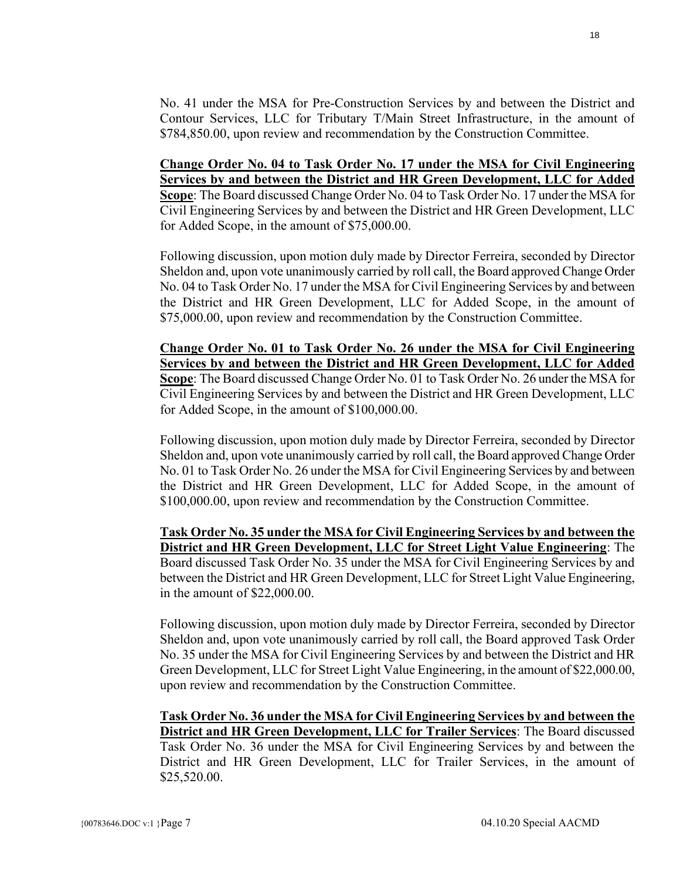No. 41 under the MSA for Pre-Construction Services by and between the District and Contour Services, LLC for Tributary T/Main Street Infrastructure, in the amount of \$784,850.00, upon review and recommendation by the Construction Committee.

**Change Order No. 04 to Task Order No. 17 under the MSA for Civil Engineering Services by and between the District and HR Green Development, LLC for Added Scope**: The Board discussed Change Order No. 04 to Task Order No. 17 under the MSA for Civil Engineering Services by and between the District and HR Green Development, LLC for Added Scope, in the amount of \$75,000.00.

Following discussion, upon motion duly made by Director Ferreira, seconded by Director Sheldon and, upon vote unanimously carried by roll call, the Board approved Change Order No. 04 to Task Order No. 17 under the MSA for Civil Engineering Services by and between the District and HR Green Development, LLC for Added Scope, in the amount of \$75,000.00, upon review and recommendation by the Construction Committee.

**Change Order No. 01 to Task Order No. 26 under the MSA for Civil Engineering Services by and between the District and HR Green Development, LLC for Added Scope**: The Board discussed Change Order No. 01 to Task Order No. 26 under the MSA for Civil Engineering Services by and between the District and HR Green Development, LLC for Added Scope, in the amount of \$100,000.00.

Following discussion, upon motion duly made by Director Ferreira, seconded by Director Sheldon and, upon vote unanimously carried by roll call, the Board approved Change Order No. 01 to Task Order No. 26 under the MSA for Civil Engineering Services by and between the District and HR Green Development, LLC for Added Scope, in the amount of \$100,000.00, upon review and recommendation by the Construction Committee.

**Task Order No. 35 under the MSA for Civil Engineering Services by and between the District and HR Green Development, LLC for Street Light Value Engineering**: The Board discussed Task Order No. 35 under the MSA for Civil Engineering Services by and between the District and HR Green Development, LLC for Street Light Value Engineering, in the amount of \$22,000.00.

Following discussion, upon motion duly made by Director Ferreira, seconded by Director Sheldon and, upon vote unanimously carried by roll call, the Board approved Task Order No. 35 under the MSA for Civil Engineering Services by and between the District and HR Green Development, LLC for Street Light Value Engineering, in the amount of \$22,000.00, upon review and recommendation by the Construction Committee.

**Task Order No. 36 under the MSA for Civil Engineering Services by and between the District and HR Green Development, LLC for Trailer Services**: The Board discussed Task Order No. 36 under the MSA for Civil Engineering Services by and between the District and HR Green Development, LLC for Trailer Services, in the amount of \$25,520.00.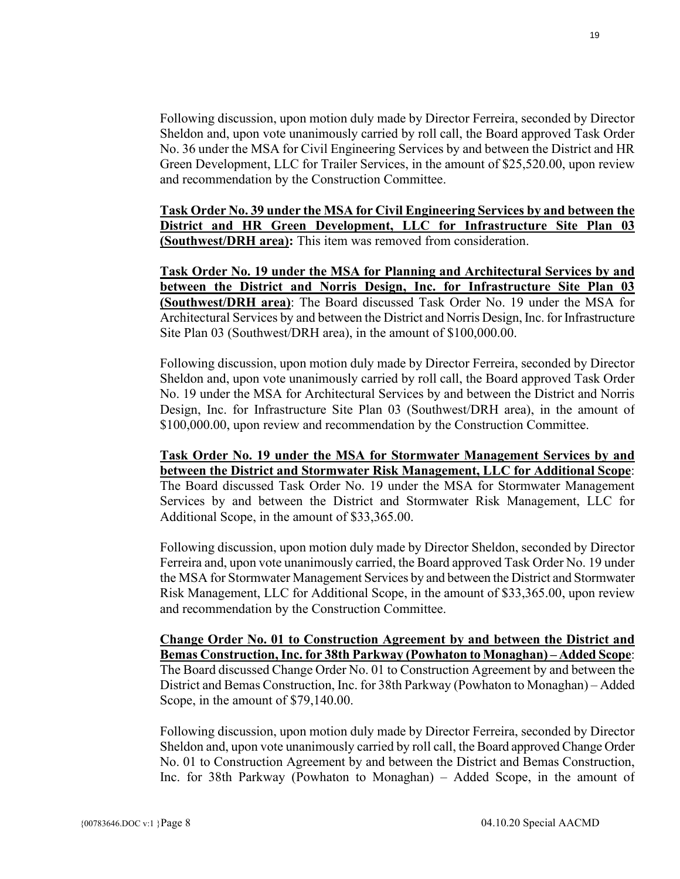Following discussion, upon motion duly made by Director Ferreira, seconded by Director Sheldon and, upon vote unanimously carried by roll call, the Board approved Task Order No. 36 under the MSA for Civil Engineering Services by and between the District and HR Green Development, LLC for Trailer Services, in the amount of \$25,520.00, upon review and recommendation by the Construction Committee.

**Task Order No. 39 under the MSA for Civil Engineering Services by and between the District and HR Green Development, LLC for Infrastructure Site Plan 03 (Southwest/DRH area):** This item was removed from consideration.

**Task Order No. 19 under the MSA for Planning and Architectural Services by and between the District and Norris Design, Inc. for Infrastructure Site Plan 03 (Southwest/DRH area)**: The Board discussed Task Order No. 19 under the MSA for Architectural Services by and between the District and Norris Design, Inc. for Infrastructure Site Plan 03 (Southwest/DRH area), in the amount of \$100,000.00.

Following discussion, upon motion duly made by Director Ferreira, seconded by Director Sheldon and, upon vote unanimously carried by roll call, the Board approved Task Order No. 19 under the MSA for Architectural Services by and between the District and Norris Design, Inc. for Infrastructure Site Plan 03 (Southwest/DRH area), in the amount of \$100,000.00, upon review and recommendation by the Construction Committee.

**Task Order No. 19 under the MSA for Stormwater Management Services by and between the District and Stormwater Risk Management, LLC for Additional Scope**: The Board discussed Task Order No. 19 under the MSA for Stormwater Management Services by and between the District and Stormwater Risk Management, LLC for Additional Scope, in the amount of \$33,365.00.

Following discussion, upon motion duly made by Director Sheldon, seconded by Director Ferreira and, upon vote unanimously carried, the Board approved Task Order No. 19 under the MSA for Stormwater Management Services by and between the District and Stormwater Risk Management, LLC for Additional Scope, in the amount of \$33,365.00, upon review and recommendation by the Construction Committee.

**Change Order No. 01 to Construction Agreement by and between the District and Bemas Construction, Inc. for 38th Parkway (Powhaton to Monaghan) – Added Scope**: The Board discussed Change Order No. 01 to Construction Agreement by and between the District and Bemas Construction, Inc. for 38th Parkway (Powhaton to Monaghan) – Added Scope, in the amount of \$79,140.00.

Following discussion, upon motion duly made by Director Ferreira, seconded by Director Sheldon and, upon vote unanimously carried by roll call, the Board approved Change Order No. 01 to Construction Agreement by and between the District and Bemas Construction, Inc. for 38th Parkway (Powhaton to Monaghan) – Added Scope, in the amount of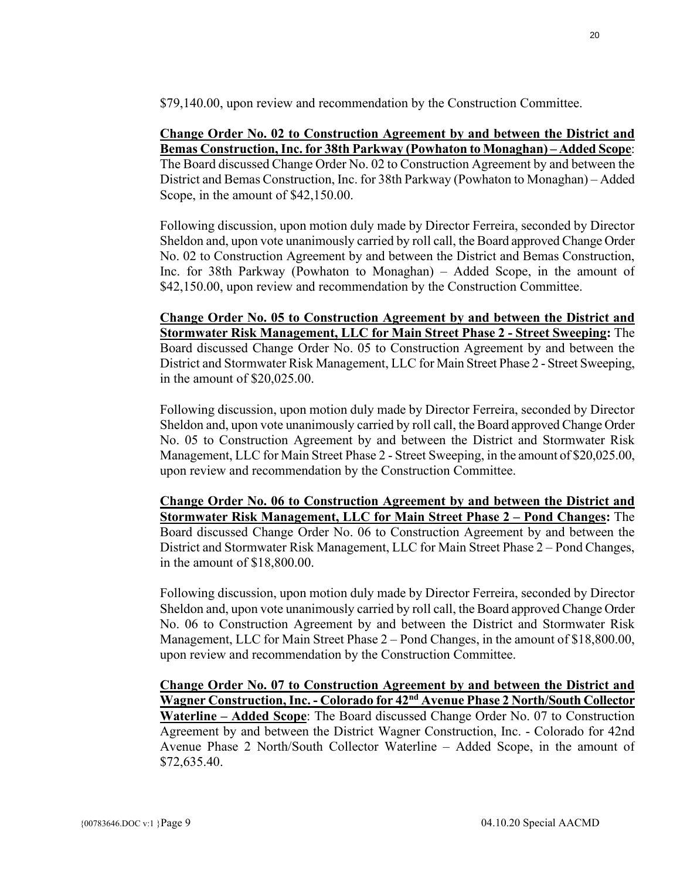\$79,140.00, upon review and recommendation by the Construction Committee.

# **Change Order No. 02 to Construction Agreement by and between the District and Bemas Construction, Inc. for 38th Parkway (Powhaton to Monaghan) – Added Scope**:

The Board discussed Change Order No. 02 to Construction Agreement by and between the District and Bemas Construction, Inc. for 38th Parkway (Powhaton to Monaghan) – Added Scope, in the amount of \$42,150.00.

Following discussion, upon motion duly made by Director Ferreira, seconded by Director Sheldon and, upon vote unanimously carried by roll call, the Board approved Change Order No. 02 to Construction Agreement by and between the District and Bemas Construction, Inc. for 38th Parkway (Powhaton to Monaghan) – Added Scope, in the amount of \$42,150.00, upon review and recommendation by the Construction Committee.

**Change Order No. 05 to Construction Agreement by and between the District and Stormwater Risk Management, LLC for Main Street Phase 2 - Street Sweeping:** The Board discussed Change Order No. 05 to Construction Agreement by and between the District and Stormwater Risk Management, LLC for Main Street Phase 2 - Street Sweeping, in the amount of \$20,025.00.

Following discussion, upon motion duly made by Director Ferreira, seconded by Director Sheldon and, upon vote unanimously carried by roll call, the Board approved Change Order No. 05 to Construction Agreement by and between the District and Stormwater Risk Management, LLC for Main Street Phase 2 - Street Sweeping, in the amount of \$20,025.00, upon review and recommendation by the Construction Committee.

**Change Order No. 06 to Construction Agreement by and between the District and Stormwater Risk Management, LLC for Main Street Phase 2 – Pond Changes:** The Board discussed Change Order No. 06 to Construction Agreement by and between the District and Stormwater Risk Management, LLC for Main Street Phase 2 – Pond Changes, in the amount of \$18,800.00.

Following discussion, upon motion duly made by Director Ferreira, seconded by Director Sheldon and, upon vote unanimously carried by roll call, the Board approved Change Order No. 06 to Construction Agreement by and between the District and Stormwater Risk Management, LLC for Main Street Phase 2 – Pond Changes, in the amount of \$18,800.00, upon review and recommendation by the Construction Committee.

**Change Order No. 07 to Construction Agreement by and between the District and Wagner Construction, Inc. - Colorado for 42nd Avenue Phase 2 North/South Collector Waterline – Added Scope**: The Board discussed Change Order No. 07 to Construction Agreement by and between the District Wagner Construction, Inc. - Colorado for 42nd Avenue Phase 2 North/South Collector Waterline – Added Scope, in the amount of \$72,635.40.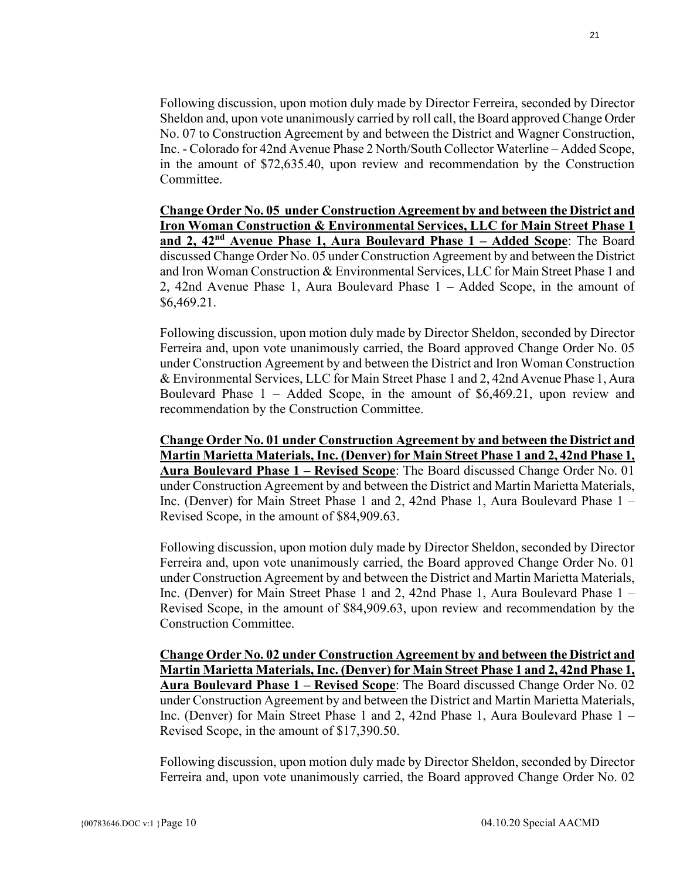Following discussion, upon motion duly made by Director Ferreira, seconded by Director Sheldon and, upon vote unanimously carried by roll call, the Board approved Change Order No. 07 to Construction Agreement by and between the District and Wagner Construction, Inc. - Colorado for 42nd Avenue Phase 2 North/South Collector Waterline – Added Scope, in the amount of \$72,635.40, upon review and recommendation by the Construction Committee.

**Change Order No. 05 under Construction Agreement by and between the District and Iron Woman Construction & Environmental Services, LLC for Main Street Phase 1 and 2, 42nd Avenue Phase 1, Aura Boulevard Phase 1 – Added Scope**: The Board discussed Change Order No. 05 under Construction Agreement by and between the District and Iron Woman Construction & Environmental Services, LLC for Main Street Phase 1 and 2, 42nd Avenue Phase 1, Aura Boulevard Phase 1 – Added Scope, in the amount of \$6,469.21.

Following discussion, upon motion duly made by Director Sheldon, seconded by Director Ferreira and, upon vote unanimously carried, the Board approved Change Order No. 05 under Construction Agreement by and between the District and Iron Woman Construction & Environmental Services, LLC for Main Street Phase 1 and 2, 42nd Avenue Phase 1, Aura Boulevard Phase 1 – Added Scope, in the amount of \$6,469.21, upon review and recommendation by the Construction Committee.

**Change Order No. 01 under Construction Agreement by and between the District and Martin Marietta Materials, Inc. (Denver) for Main Street Phase 1 and 2, 42nd Phase 1, Aura Boulevard Phase 1 – Revised Scope**: The Board discussed Change Order No. 01 under Construction Agreement by and between the District and Martin Marietta Materials, Inc. (Denver) for Main Street Phase 1 and 2, 42nd Phase 1, Aura Boulevard Phase 1 – Revised Scope, in the amount of \$84,909.63.

Following discussion, upon motion duly made by Director Sheldon, seconded by Director Ferreira and, upon vote unanimously carried, the Board approved Change Order No. 01 under Construction Agreement by and between the District and Martin Marietta Materials, Inc. (Denver) for Main Street Phase 1 and 2, 42nd Phase 1, Aura Boulevard Phase 1 – Revised Scope, in the amount of \$84,909.63, upon review and recommendation by the Construction Committee.

**Change Order No. 02 under Construction Agreement by and between the District and Martin Marietta Materials, Inc. (Denver) for Main Street Phase 1 and 2, 42nd Phase 1, Aura Boulevard Phase 1 – Revised Scope**: The Board discussed Change Order No. 02 under Construction Agreement by and between the District and Martin Marietta Materials, Inc. (Denver) for Main Street Phase 1 and 2, 42nd Phase 1, Aura Boulevard Phase 1 – Revised Scope, in the amount of \$17,390.50.

Following discussion, upon motion duly made by Director Sheldon, seconded by Director Ferreira and, upon vote unanimously carried, the Board approved Change Order No. 02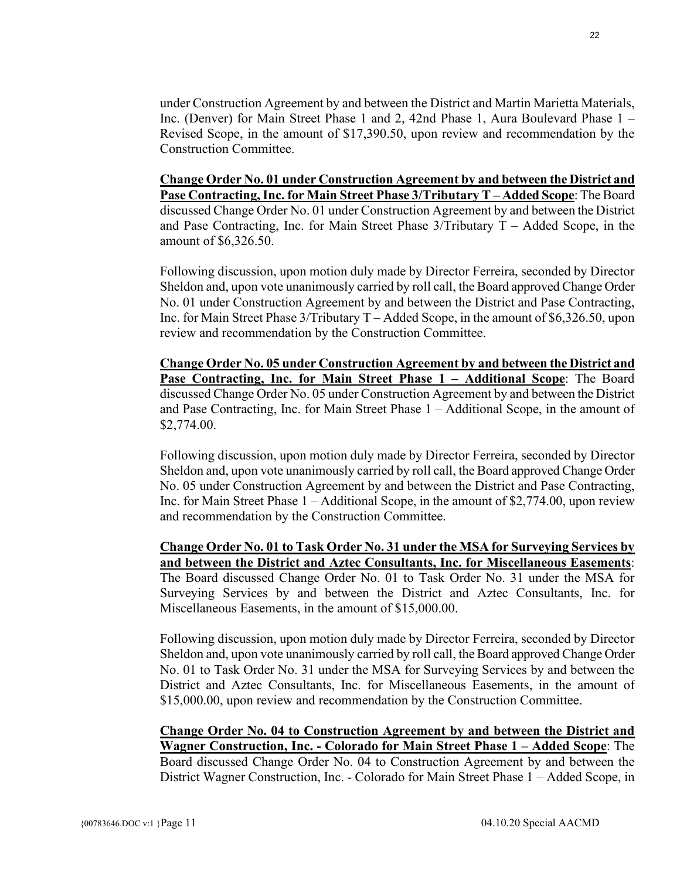under Construction Agreement by and between the District and Martin Marietta Materials, Inc. (Denver) for Main Street Phase 1 and 2, 42nd Phase 1, Aura Boulevard Phase 1 – Revised Scope, in the amount of \$17,390.50, upon review and recommendation by the Construction Committee.

**Change Order No. 01 under Construction Agreement by and between the District and Pase Contracting, Inc. for Main Street Phase 3/Tributary T – Added Scope**: The Board discussed Change Order No. 01 under Construction Agreement by and between the District and Pase Contracting, Inc. for Main Street Phase 3/Tributary T – Added Scope, in the amount of \$6,326.50.

Following discussion, upon motion duly made by Director Ferreira, seconded by Director Sheldon and, upon vote unanimously carried by roll call, the Board approved Change Order No. 01 under Construction Agreement by and between the District and Pase Contracting, Inc. for Main Street Phase 3/Tributary T – Added Scope, in the amount of \$6,326.50, upon review and recommendation by the Construction Committee.

**Change Order No. 05 under Construction Agreement by and between the District and Pase Contracting, Inc. for Main Street Phase 1 – Additional Scope**: The Board discussed Change Order No. 05 under Construction Agreement by and between the District and Pase Contracting, Inc. for Main Street Phase 1 – Additional Scope, in the amount of \$2,774.00.

Following discussion, upon motion duly made by Director Ferreira, seconded by Director Sheldon and, upon vote unanimously carried by roll call, the Board approved Change Order No. 05 under Construction Agreement by and between the District and Pase Contracting, Inc. for Main Street Phase 1 – Additional Scope, in the amount of \$2,774.00, upon review and recommendation by the Construction Committee.

**Change Order No. 01 to Task Order No. 31 under the MSA for Surveying Services by and between the District and Aztec Consultants, Inc. for Miscellaneous Easements**: The Board discussed Change Order No. 01 to Task Order No. 31 under the MSA for Surveying Services by and between the District and Aztec Consultants, Inc. for Miscellaneous Easements, in the amount of \$15,000.00.

Following discussion, upon motion duly made by Director Ferreira, seconded by Director Sheldon and, upon vote unanimously carried by roll call, the Board approved Change Order No. 01 to Task Order No. 31 under the MSA for Surveying Services by and between the District and Aztec Consultants, Inc. for Miscellaneous Easements, in the amount of \$15,000.00, upon review and recommendation by the Construction Committee.

**Change Order No. 04 to Construction Agreement by and between the District and Wagner Construction, Inc. - Colorado for Main Street Phase 1 – Added Scope**: The Board discussed Change Order No. 04 to Construction Agreement by and between the District Wagner Construction, Inc. - Colorado for Main Street Phase 1 – Added Scope, in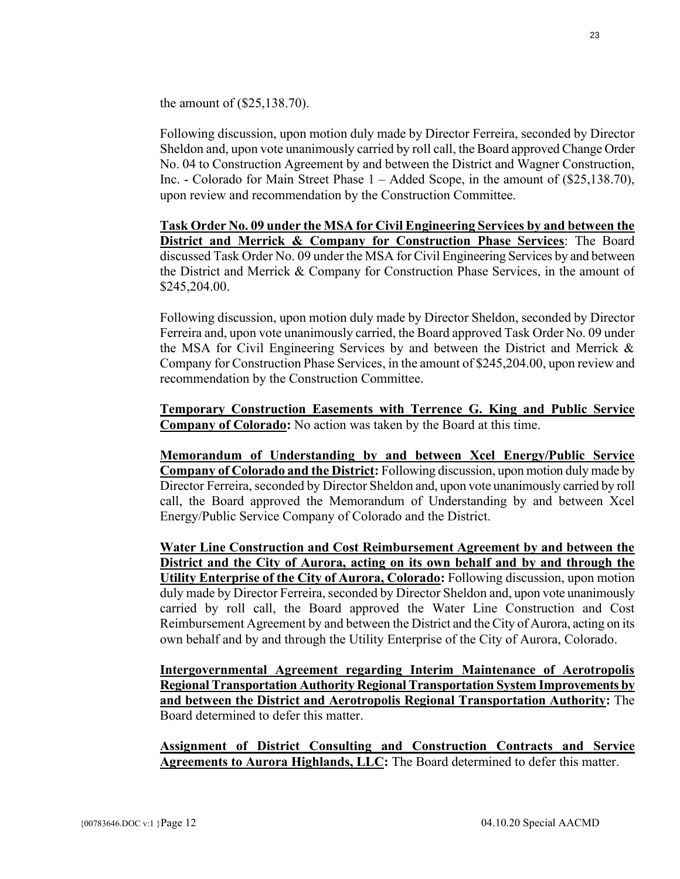the amount of (\$25,138.70).

Following discussion, upon motion duly made by Director Ferreira, seconded by Director Sheldon and, upon vote unanimously carried by roll call, the Board approved Change Order No. 04 to Construction Agreement by and between the District and Wagner Construction, Inc. - Colorado for Main Street Phase 1 – Added Scope, in the amount of (\$25,138.70), upon review and recommendation by the Construction Committee.

**Task Order No. 09 under the MSA for Civil Engineering Services by and between the District and Merrick & Company for Construction Phase Services**: The Board discussed Task Order No. 09 under the MSA for Civil Engineering Services by and between the District and Merrick & Company for Construction Phase Services, in the amount of \$245,204.00.

Following discussion, upon motion duly made by Director Sheldon, seconded by Director Ferreira and, upon vote unanimously carried, the Board approved Task Order No. 09 under the MSA for Civil Engineering Services by and between the District and Merrick & Company for Construction Phase Services, in the amount of \$245,204.00, upon review and recommendation by the Construction Committee.

**Temporary Construction Easements with Terrence G. King and Public Service Company of Colorado:** No action was taken by the Board at this time.

**Memorandum of Understanding by and between Xcel Energy/Public Service Company of Colorado and the District:** Following discussion, upon motion duly made by Director Ferreira, seconded by Director Sheldon and, upon vote unanimously carried by roll call, the Board approved the Memorandum of Understanding by and between Xcel Energy/Public Service Company of Colorado and the District.

**Water Line Construction and Cost Reimbursement Agreement by and between the District and the City of Aurora, acting on its own behalf and by and through the Utility Enterprise of the City of Aurora, Colorado:** Following discussion, upon motion duly made by Director Ferreira, seconded by Director Sheldon and, upon vote unanimously carried by roll call, the Board approved the Water Line Construction and Cost Reimbursement Agreement by and between the District and the City of Aurora, acting on its own behalf and by and through the Utility Enterprise of the City of Aurora, Colorado.

**Intergovernmental Agreement regarding Interim Maintenance of Aerotropolis Regional Transportation Authority Regional Transportation System Improvements by and between the District and Aerotropolis Regional Transportation Authority:** The Board determined to defer this matter.

**Assignment of District Consulting and Construction Contracts and Service Agreements to Aurora Highlands, LLC:** The Board determined to defer this matter.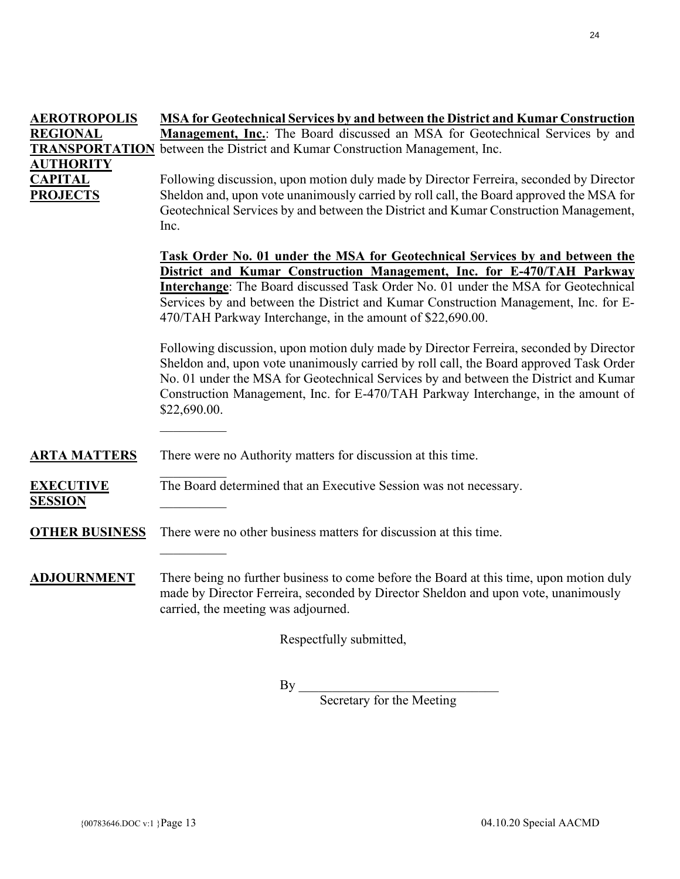| <b>AEROTROPOLIS</b>   | <b>MSA for Geotechnical Services by and between the District and Kumar Construction</b>                                                                                                                              |  |  |  |  |  |
|-----------------------|----------------------------------------------------------------------------------------------------------------------------------------------------------------------------------------------------------------------|--|--|--|--|--|
| <b>REGIONAL</b>       | Management, Inc.: The Board discussed an MSA for Geotechnical Services by and<br><b>TRANSPORTATION</b> between the District and Kumar Construction Management, Inc.                                                  |  |  |  |  |  |
| <b>AUTHORITY</b>      |                                                                                                                                                                                                                      |  |  |  |  |  |
| <b>CAPITAL</b>        | Following discussion, upon motion duly made by Director Ferreira, seconded by Director                                                                                                                               |  |  |  |  |  |
| <b>PROJECTS</b>       | Sheldon and, upon vote unanimously carried by roll call, the Board approved the MSA for<br>Geotechnical Services by and between the District and Kumar Construction Management,                                      |  |  |  |  |  |
|                       | Inc.                                                                                                                                                                                                                 |  |  |  |  |  |
|                       | <b>Task Order No. 01 under the MSA for Geotechnical Services by and between the</b>                                                                                                                                  |  |  |  |  |  |
|                       | District and Kumar Construction Management, Inc. for E-470/TAH Parkway                                                                                                                                               |  |  |  |  |  |
|                       | Interchange: The Board discussed Task Order No. 01 under the MSA for Geotechnical<br>Services by and between the District and Kumar Construction Management, Inc. for E-                                             |  |  |  |  |  |
|                       | 470/TAH Parkway Interchange, in the amount of \$22,690.00.                                                                                                                                                           |  |  |  |  |  |
|                       | Following discussion, upon motion duly made by Director Ferreira, seconded by Director                                                                                                                               |  |  |  |  |  |
|                       | Sheldon and, upon vote unanimously carried by roll call, the Board approved Task Order<br>No. 01 under the MSA for Geotechnical Services by and between the District and Kumar                                       |  |  |  |  |  |
|                       | Construction Management, Inc. for E-470/TAH Parkway Interchange, in the amount of<br>\$22,690.00.                                                                                                                    |  |  |  |  |  |
|                       |                                                                                                                                                                                                                      |  |  |  |  |  |
| <b>ARTA MATTERS</b>   | There were no Authority matters for discussion at this time.                                                                                                                                                         |  |  |  |  |  |
| <b>EXECUTIVE</b>      | The Board determined that an Executive Session was not necessary.                                                                                                                                                    |  |  |  |  |  |
| <b>SESSION</b>        |                                                                                                                                                                                                                      |  |  |  |  |  |
| <b>OTHER BUSINESS</b> | There were no other business matters for discussion at this time.                                                                                                                                                    |  |  |  |  |  |
|                       |                                                                                                                                                                                                                      |  |  |  |  |  |
| <b>ADJOURNMENT</b>    | There being no further business to come before the Board at this time, upon motion duly<br>made by Director Ferreira, seconded by Director Sheldon and upon vote, unanimously<br>carried, the meeting was adjourned. |  |  |  |  |  |
|                       | Respectfully submitted,                                                                                                                                                                                              |  |  |  |  |  |
|                       |                                                                                                                                                                                                                      |  |  |  |  |  |

 $\mathop{\rm By}\nolimits$ 

Secretary for the Meeting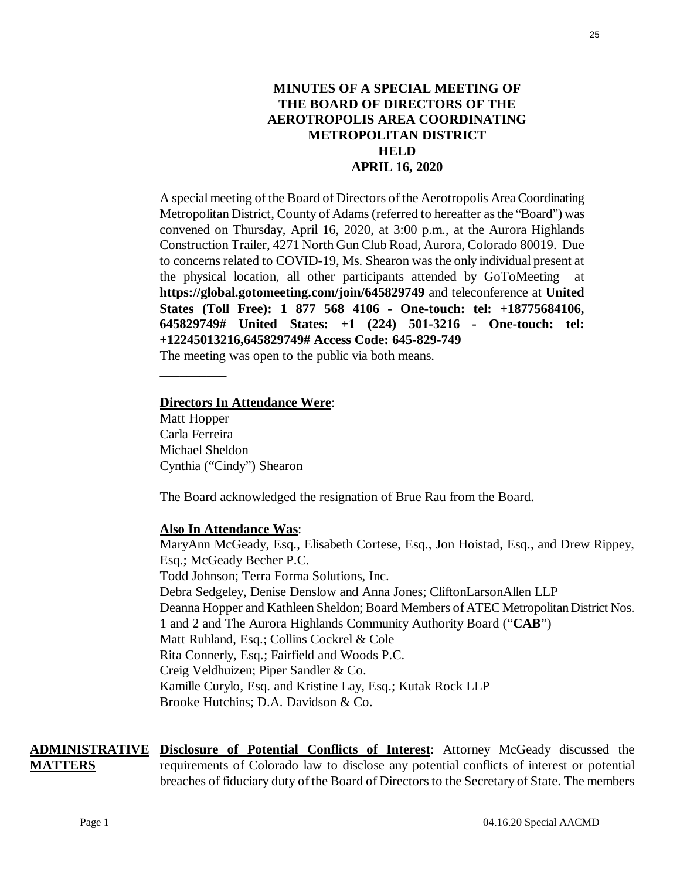# **MINUTES OF A SPECIAL MEETING OF THE BOARD OF DIRECTORS OF THE AEROTROPOLIS AREA COORDINATING METROPOLITAN DISTRICT HELD APRIL 16, 2020**

A special meeting of the Board of Directors of the Aerotropolis Area Coordinating Metropolitan District, County of Adams(referred to hereafter as the "Board") was convened on Thursday, April 16, 2020, at 3:00 p.m., at the Aurora Highlands Construction Trailer, 4271 North Gun Club Road, Aurora, Colorado 80019. Due to concerns related to COVID-19, Ms. Shearon was the only individual present at the physical location, all other participants attended by GoToMeeting at **https://global.gotomeeting.com/join/645829749** and teleconference at **United States (Toll Free): 1 877 568 4106 - One-touch: tel: +18775684106, 645829749# United States: +1 (224) 501-3216 - One-touch: tel: +12245013216,645829749# Access Code: 645-829-749** 

The meeting was open to the public via both means.

### **Directors In Attendance Were**:

Matt Hopper Carla Ferreira Michael Sheldon Cynthia ("Cindy") Shearon

\_\_\_\_\_\_\_\_\_\_

The Board acknowledged the resignation of Brue Rau from the Board.

### **Also In Attendance Was**:

MaryAnn McGeady, Esq., Elisabeth Cortese, Esq., Jon Hoistad, Esq., and Drew Rippey, Esq.; McGeady Becher P.C. Todd Johnson; Terra Forma Solutions, Inc. Debra Sedgeley, Denise Denslow and Anna Jones; CliftonLarsonAllen LLP Deanna Hopper and Kathleen Sheldon; Board Members of ATEC Metropolitan District Nos. 1 and 2 and The Aurora Highlands Community Authority Board ("**CAB**") Matt Ruhland, Esq.; Collins Cockrel & Cole Rita Connerly, Esq.; Fairfield and Woods P.C. Creig Veldhuizen; Piper Sandler & Co. Kamille Curylo, Esq. and Kristine Lay, Esq.; Kutak Rock LLP Brooke Hutchins; D.A. Davidson & Co.

**ADMINISTRATIVE Disclosure of Potential Conflicts of Interest**: Attorney McGeady discussed the **MATTERS** requirements of Colorado law to disclose any potential conflicts of interest or potential breaches of fiduciary duty of the Board of Directors to the Secretary of State. The members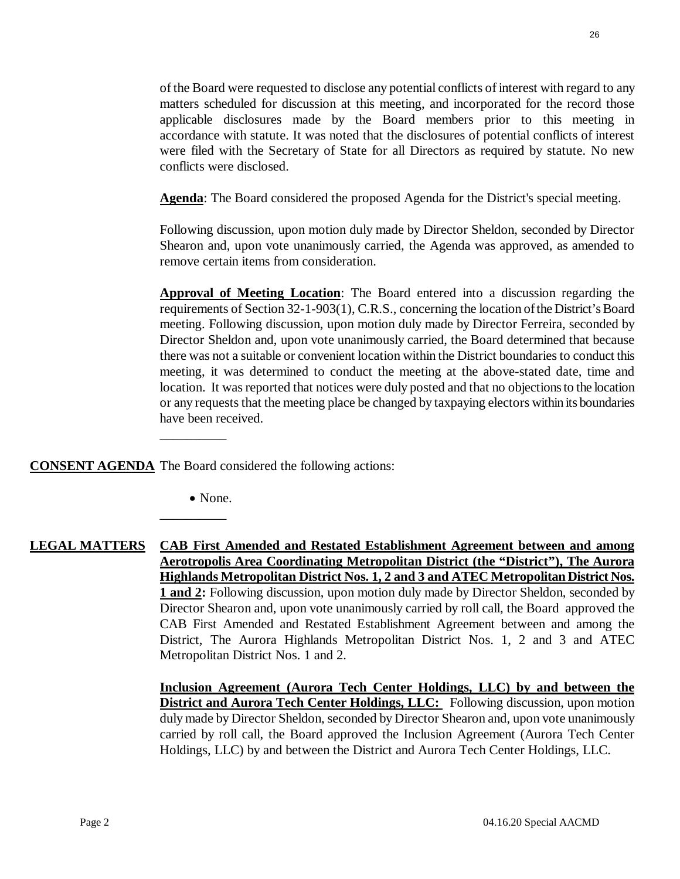of the Board were requested to disclose any potential conflicts of interest with regard to any matters scheduled for discussion at this meeting, and incorporated for the record those applicable disclosures made by the Board members prior to this meeting in accordance with statute. It was noted that the disclosures of potential conflicts of interest were filed with the Secretary of State for all Directors as required by statute. No new conflicts were disclosed.

**Agenda**: The Board considered the proposed Agenda for the District's special meeting.

Following discussion, upon motion duly made by Director Sheldon, seconded by Director Shearon and, upon vote unanimously carried, the Agenda was approved, as amended to remove certain items from consideration.

**Approval of Meeting Location**: The Board entered into a discussion regarding the requirements of Section 32-1-903(1), C.R.S., concerning the location of the District's Board meeting. Following discussion, upon motion duly made by Director Ferreira, seconded by Director Sheldon and, upon vote unanimously carried, the Board determined that because there was not a suitable or convenient location within the District boundaries to conduct this meeting, it was determined to conduct the meeting at the above-stated date, time and location. It was reported that notices were duly posted and that no objections to the location or any requests that the meeting place be changed by taxpaying electors within its boundaries have been received.

**CONSENT AGENDA** The Board considered the following actions:

\_\_\_\_\_\_\_\_\_\_

\_\_\_\_\_\_\_\_\_\_

• None.

**LEGAL MATTERS CAB First Amended and Restated Establishment Agreement between and among Aerotropolis Area Coordinating Metropolitan District (the "District"), The Aurora Highlands Metropolitan District Nos. 1, 2 and 3 and ATEC Metropolitan District Nos. 1 and 2:** Following discussion, upon motion duly made by Director Sheldon, seconded by Director Shearon and, upon vote unanimously carried by roll call, the Board approved the CAB First Amended and Restated Establishment Agreement between and among the District, The Aurora Highlands Metropolitan District Nos. 1, 2 and 3 and ATEC Metropolitan District Nos. 1 and 2.

> **Inclusion Agreement (Aurora Tech Center Holdings, LLC) by and between the District and Aurora Tech Center Holdings, LLC:** Following discussion, upon motion duly made by Director Sheldon, seconded by Director Shearon and, upon vote unanimously carried by roll call, the Board approved the Inclusion Agreement (Aurora Tech Center Holdings, LLC) by and between the District and Aurora Tech Center Holdings, LLC.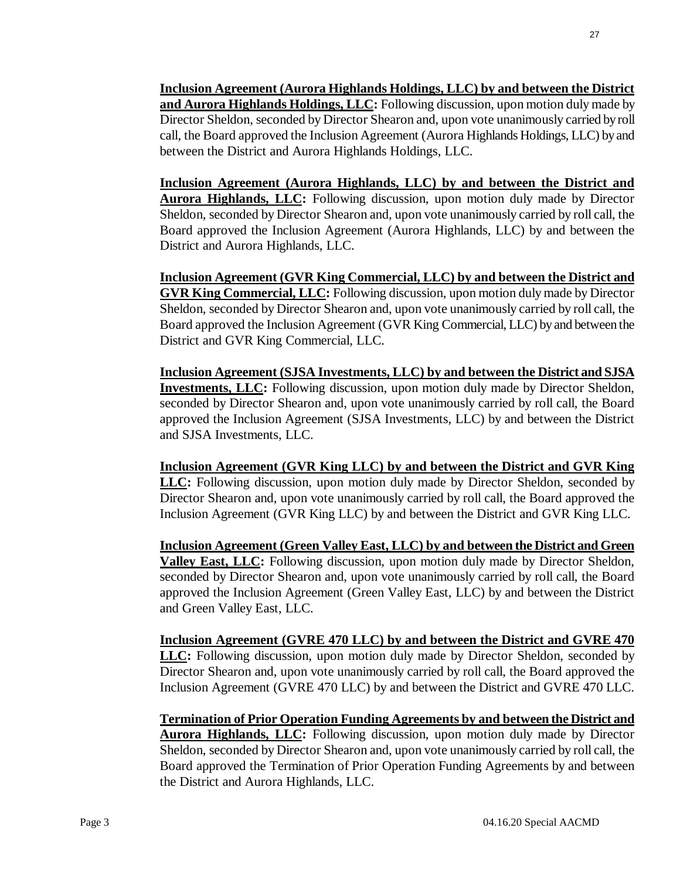**Inclusion Agreement (Aurora Highlands Holdings, LLC) by and between the District and Aurora Highlands Holdings, LLC:** Following discussion, upon motion duly made by Director Sheldon, seconded by Director Shearon and, upon vote unanimously carried by roll call, the Board approved the Inclusion Agreement (Aurora Highlands Holdings, LLC) by and between the District and Aurora Highlands Holdings, LLC.

**Inclusion Agreement (Aurora Highlands, LLC) by and between the District and Aurora Highlands, LLC:** Following discussion, upon motion duly made by Director Sheldon, seconded by Director Shearon and, upon vote unanimously carried by roll call, the Board approved the Inclusion Agreement (Aurora Highlands, LLC) by and between the District and Aurora Highlands, LLC.

**Inclusion Agreement (GVR King Commercial, LLC) by and between the District and GVR King Commercial, LLC:** Following discussion, upon motion duly made by Director Sheldon, seconded by Director Shearon and, upon vote unanimously carried by roll call, the Board approved the Inclusion Agreement (GVR King Commercial, LLC) by and between the District and GVR King Commercial, LLC.

**Inclusion Agreement (SJSA Investments, LLC) by and between the District and SJSA Investments, LLC:** Following discussion, upon motion duly made by Director Sheldon, seconded by Director Shearon and, upon vote unanimously carried by roll call, the Board approved the Inclusion Agreement (SJSA Investments, LLC) by and between the District and SJSA Investments, LLC.

**Inclusion Agreement (GVR King LLC) by and between the District and GVR King LLC:** Following discussion, upon motion duly made by Director Sheldon, seconded by Director Shearon and, upon vote unanimously carried by roll call, the Board approved the Inclusion Agreement (GVR King LLC) by and between the District and GVR King LLC.

**Inclusion Agreement (Green Valley East, LLC) by and between the District and Green Valley East, LLC:** Following discussion, upon motion duly made by Director Sheldon, seconded by Director Shearon and, upon vote unanimously carried by roll call, the Board approved the Inclusion Agreement (Green Valley East, LLC) by and between the District and Green Valley East, LLC.

**Inclusion Agreement (GVRE 470 LLC) by and between the District and GVRE 470 LLC:** Following discussion, upon motion duly made by Director Sheldon, seconded by Director Shearon and, upon vote unanimously carried by roll call, the Board approved the Inclusion Agreement (GVRE 470 LLC) by and between the District and GVRE 470 LLC.

**Termination of Prior Operation Funding Agreements by and between the District and Aurora Highlands, LLC:** Following discussion, upon motion duly made by Director Sheldon, seconded by Director Shearon and, upon vote unanimously carried by roll call, the Board approved the Termination of Prior Operation Funding Agreements by and between the District and Aurora Highlands, LLC.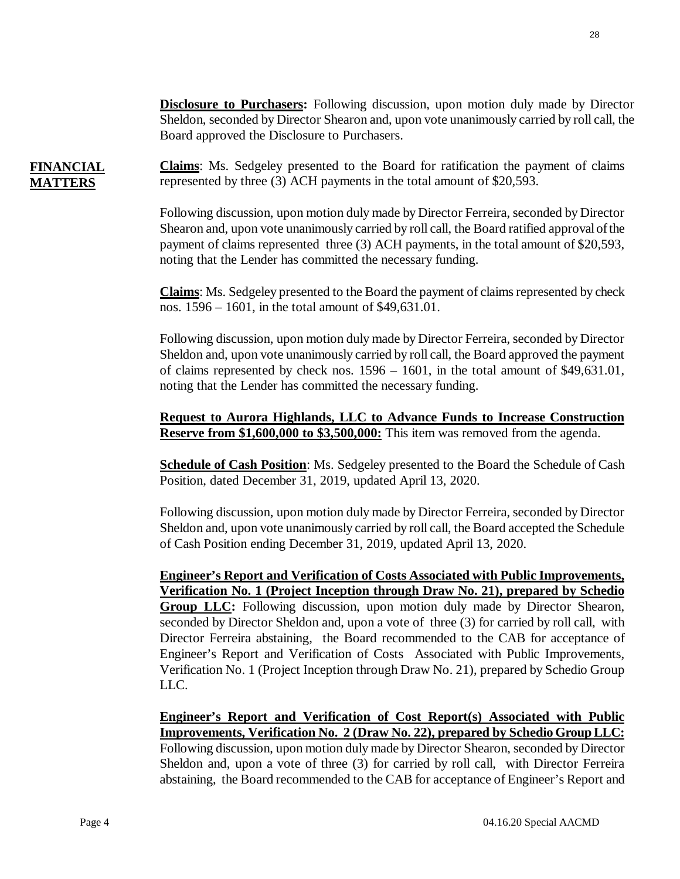**Disclosure to Purchasers:** Following discussion, upon motion duly made by Director Sheldon, seconded by Director Shearon and, upon vote unanimously carried by roll call, the Board approved the Disclosure to Purchasers.

**FINANCIAL MATTERS Claims**: Ms. Sedgeley presented to the Board for ratification the payment of claims represented by three (3) ACH payments in the total amount of \$20,593.

> Following discussion, upon motion duly made by Director Ferreira, seconded by Director Shearon and, upon vote unanimously carried by roll call, the Board ratified approval of the payment of claims represented three (3) ACH payments, in the total amount of \$20,593, noting that the Lender has committed the necessary funding.

> **Claims**: Ms. Sedgeley presented to the Board the payment of claims represented by check nos. 1596 – 1601, in the total amount of \$49,631.01.

> Following discussion, upon motion duly made by Director Ferreira, seconded by Director Sheldon and, upon vote unanimously carried by roll call, the Board approved the payment of claims represented by check nos. 1596 – 1601, in the total amount of \$49,631.01, noting that the Lender has committed the necessary funding.

> **Request to Aurora Highlands, LLC to Advance Funds to Increase Construction Reserve from \$1,600,000 to \$3,500,000:** This item was removed from the agenda.

> **Schedule of Cash Position**: Ms. Sedgeley presented to the Board the Schedule of Cash Position, dated December 31, 2019, updated April 13, 2020.

> Following discussion, upon motion duly made by Director Ferreira, seconded by Director Sheldon and, upon vote unanimously carried by roll call, the Board accepted the Schedule of Cash Position ending December 31, 2019, updated April 13, 2020.

> **Engineer's Report and Verification of Costs Associated with Public Improvements, Verification No. 1 (Project Inception through Draw No. 21), prepared by Schedio Group LLC:** Following discussion, upon motion duly made by Director Shearon, seconded by Director Sheldon and, upon a vote of three (3) for carried by roll call, with Director Ferreira abstaining, the Board recommended to the CAB for acceptance of Engineer's Report and Verification of Costs Associated with Public Improvements, Verification No. 1 (Project Inception through Draw No. 21), prepared by Schedio Group LLC.

> **Engineer's Report and Verification of Cost Report(s) Associated with Public Improvements, Verification No. 2 (Draw No. 22), prepared by Schedio Group LLC:** Following discussion, upon motion duly made by Director Shearon, seconded by Director Sheldon and, upon a vote of three (3) for carried by roll call, with Director Ferreira abstaining, the Board recommended to the CAB for acceptance of Engineer's Report and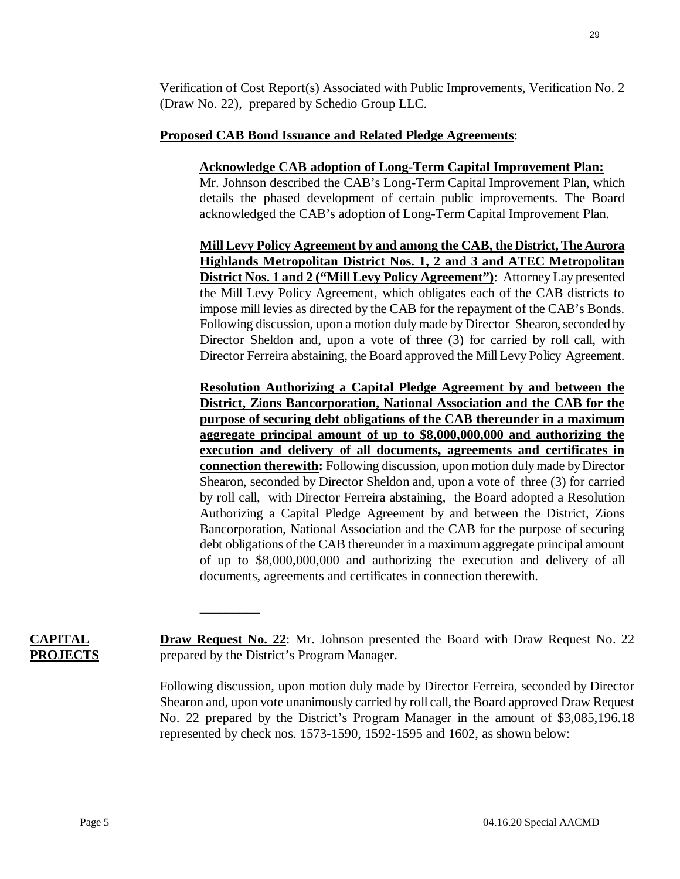Verification of Cost Report(s) Associated with Public Improvements, Verification No. 2 (Draw No. 22), prepared by Schedio Group LLC.

### **Proposed CAB Bond Issuance and Related Pledge Agreements**:

### **Acknowledge CAB adoption of Long-Term Capital Improvement Plan:**

Mr. Johnson described the CAB's Long-Term Capital Improvement Plan, which details the phased development of certain public improvements. The Board acknowledged the CAB's adoption of Long-Term Capital Improvement Plan.

**Mill Levy Policy Agreement by and among the CAB, the District, The Aurora Highlands Metropolitan District Nos. 1, 2 and 3 and ATEC Metropolitan District Nos. 1 and 2 ("Mill Levy Policy Agreement")**: Attorney Lay presented the Mill Levy Policy Agreement, which obligates each of the CAB districts to impose mill levies as directed by the CAB for the repayment of the CAB's Bonds. Following discussion, upon a motion duly made by Director Shearon, seconded by Director Sheldon and, upon a vote of three (3) for carried by roll call, with Director Ferreira abstaining, the Board approved the Mill Levy Policy Agreement.

**Resolution Authorizing a Capital Pledge Agreement by and between the District, Zions Bancorporation, National Association and the CAB for the purpose of securing debt obligations of the CAB thereunder in a maximum aggregate principal amount of up to \$8,000,000,000 and authorizing the execution and delivery of all documents, agreements and certificates in connection therewith:** Following discussion, upon motion duly made by Director Shearon, seconded by Director Sheldon and, upon a vote of three (3) for carried by roll call, with Director Ferreira abstaining, the Board adopted a Resolution Authorizing a Capital Pledge Agreement by and between the District, Zions Bancorporation, National Association and the CAB for the purpose of securing debt obligations of the CAB thereunder in a maximum aggregate principal amount of up to \$8,000,000,000 and authorizing the execution and delivery of all documents, agreements and certificates in connection therewith.

**CAPITAL PROJECTS** **Draw Request No. 22**: Mr. Johnson presented the Board with Draw Request No. 22 prepared by the District's Program Manager.

 $\overline{\phantom{a}}$  , where  $\overline{\phantom{a}}$ 

Following discussion, upon motion duly made by Director Ferreira, seconded by Director Shearon and, upon vote unanimously carried by roll call, the Board approved Draw Request No. 22 prepared by the District's Program Manager in the amount of \$3,085,196.18 represented by check nos. 1573-1590, 1592-1595 and 1602, as shown below: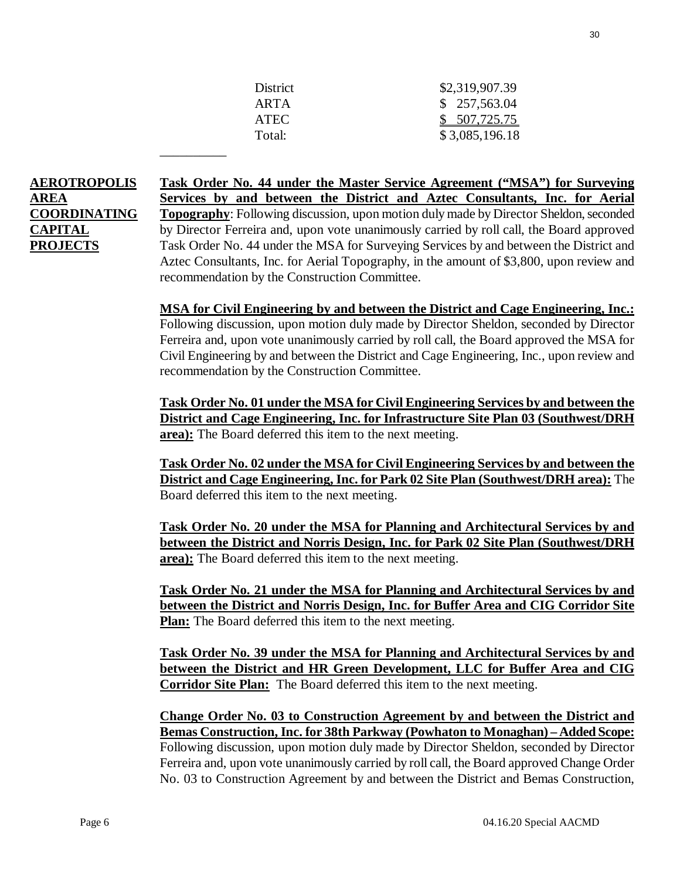| <b>District</b> | \$2,319,907.39 |
|-----------------|----------------|
| ARTA            | \$257,563.04   |
| <b>ATEC</b>     | \$507,725.75   |
| Total:          | \$3,085,196.18 |

# **AEROTROPOLIS AREA COORDINATING CAPITAL PROJECTS**

\_\_\_\_\_\_\_\_\_\_

**Task Order No. 44 under the Master Service Agreement ("MSA") for Surveying Services by and between the District and Aztec Consultants, Inc. for Aerial Topography**: Following discussion, upon motion duly made by Director Sheldon, seconded by Director Ferreira and, upon vote unanimously carried by roll call, the Board approved Task Order No. 44 under the MSA for Surveying Services by and between the District and Aztec Consultants, Inc. for Aerial Topography, in the amount of \$3,800, upon review and recommendation by the Construction Committee.

**MSA for Civil Engineering by and between the District and Cage Engineering, Inc.:**  Following discussion, upon motion duly made by Director Sheldon, seconded by Director Ferreira and, upon vote unanimously carried by roll call, the Board approved the MSA for Civil Engineering by and between the District and Cage Engineering, Inc., upon review and recommendation by the Construction Committee.

**Task Order No. 01 under the MSA for Civil Engineering Services by and between the District and Cage Engineering, Inc. for Infrastructure Site Plan 03 (Southwest/DRH area):** The Board deferred this item to the next meeting.

**Task Order No. 02 under the MSA for Civil Engineering Services by and between the District and Cage Engineering, Inc. for Park 02 Site Plan (Southwest/DRH area):** The Board deferred this item to the next meeting.

**Task Order No. 20 under the MSA for Planning and Architectural Services by and between the District and Norris Design, Inc. for Park 02 Site Plan (Southwest/DRH area):** The Board deferred this item to the next meeting.

**Task Order No. 21 under the MSA for Planning and Architectural Services by and between the District and Norris Design, Inc. for Buffer Area and CIG Corridor Site Plan:** The Board deferred this item to the next meeting.

**Task Order No. 39 under the MSA for Planning and Architectural Services by and between the District and HR Green Development, LLC for Buffer Area and CIG Corridor Site Plan:** The Board deferred this item to the next meeting.

**Change Order No. 03 to Construction Agreement by and between the District and Bemas Construction, Inc. for 38th Parkway (Powhaton to Monaghan) – Added Scope:** Following discussion, upon motion duly made by Director Sheldon, seconded by Director Ferreira and, upon vote unanimously carried by roll call, the Board approved Change Order No. 03 to Construction Agreement by and between the District and Bemas Construction,

30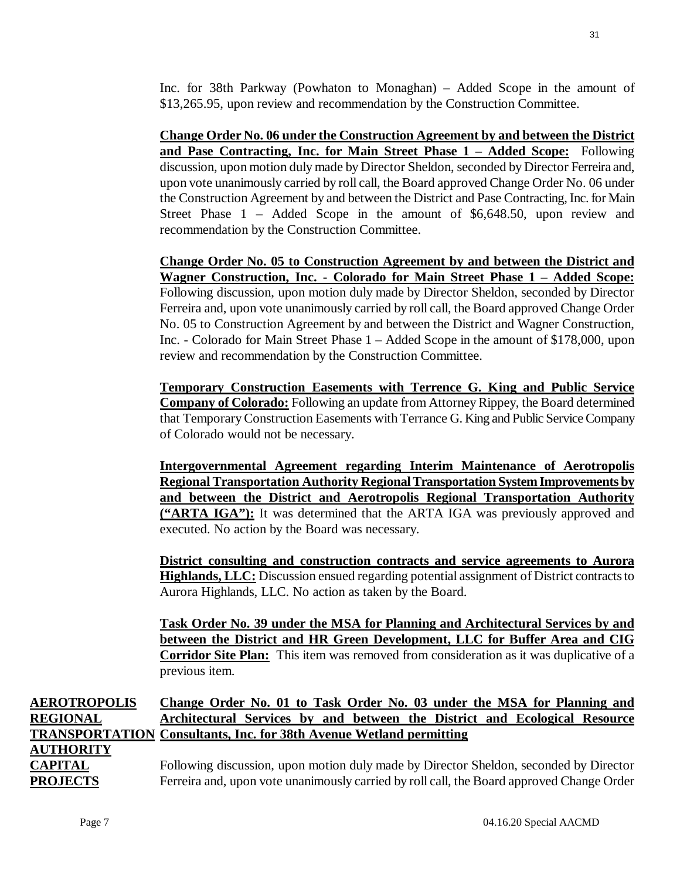**Change Order No. 06 under the Construction Agreement by and between the District and Pase Contracting, Inc. for Main Street Phase 1 – Added Scope:** Following discussion, upon motion duly made by Director Sheldon, seconded by Director Ferreira and, upon vote unanimously carried by roll call, the Board approved Change Order No. 06 under the Construction Agreement by and between the District and Pase Contracting, Inc. for Main Street Phase 1 – Added Scope in the amount of \$6,648.50, upon review and recommendation by the Construction Committee.

**Change Order No. 05 to Construction Agreement by and between the District and Wagner Construction, Inc. - Colorado for Main Street Phase 1 – Added Scope:** Following discussion, upon motion duly made by Director Sheldon, seconded by Director Ferreira and, upon vote unanimously carried by roll call, the Board approved Change Order No. 05 to Construction Agreement by and between the District and Wagner Construction, Inc. - Colorado for Main Street Phase 1 – Added Scope in the amount of \$178,000, upon review and recommendation by the Construction Committee.

**Temporary Construction Easements with Terrence G. King and Public Service Company of Colorado:** Following an update from Attorney Rippey, the Board determined that Temporary Construction Easements with Terrance G. King and Public Service Company of Colorado would not be necessary.

**Intergovernmental Agreement regarding Interim Maintenance of Aerotropolis Regional Transportation Authority Regional Transportation System Improvements by and between the District and Aerotropolis Regional Transportation Authority ("ARTA IGA"):** It was determined that the ARTA IGA was previously approved and executed. No action by the Board was necessary.

**District consulting and construction contracts and service agreements to Aurora Highlands, LLC:** Discussion ensued regarding potential assignment of District contracts to Aurora Highlands, LLC. No action as taken by the Board.

**Task Order No. 39 under the MSA for Planning and Architectural Services by and between the District and HR Green Development, LLC for Buffer Area and CIG Corridor Site Plan:** This item was removed from consideration as it was duplicative of a previous item.

### **AEROTROPOLIS REGIONAL TRANSPORTATION Consultants, Inc. for 38th Avenue Wetland permitting AUTHORITY CAPITAL PROJECTS Change Order No. 01 to Task Order No. 03 under the MSA for Planning and Architectural Services by and between the District and Ecological Resource**  Following discussion, upon motion duly made by Director Sheldon, seconded by Director Ferreira and, upon vote unanimously carried by roll call, the Board approved Change Order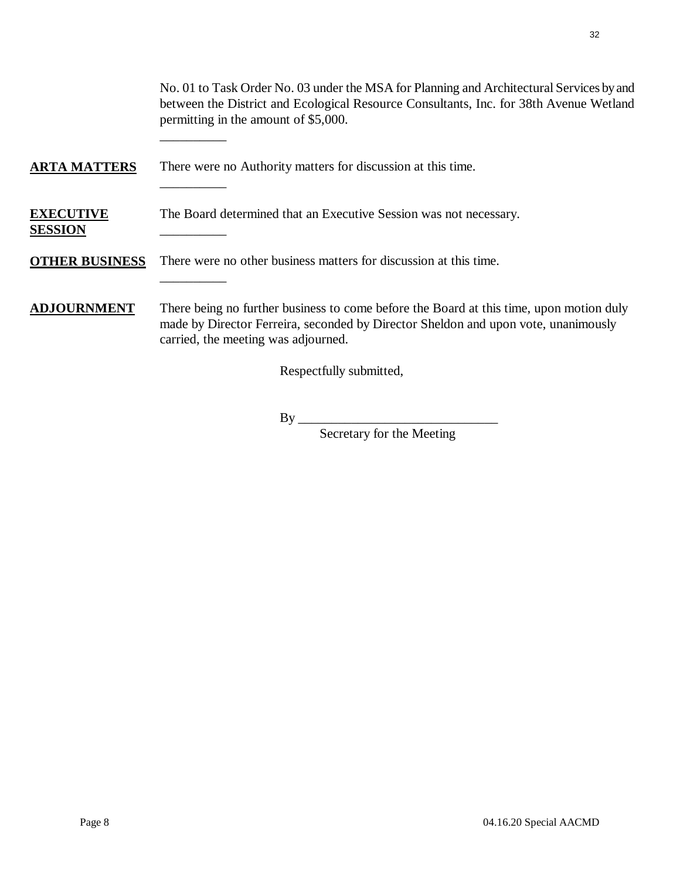No. 01 to Task Order No. 03 under the MSA for Planning and Architectural Services by and between the District and Ecological Resource Consultants, Inc. for 38th Avenue Wetland permitting in the amount of \$5,000.

# **ARTA MATTERS** There were no Authority matters for discussion at this time.

\_\_\_\_\_\_\_\_\_\_

\_\_\_\_\_\_\_\_\_\_

\_\_\_\_\_\_\_\_\_\_

#### **EXECUTIVE SESSION**  The Board determined that an Executive Session was not necessary. \_\_\_\_\_\_\_\_\_\_

# **OTHER BUSINESS** There were no other business matters for discussion at this time.

# **ADJOURNMENT** There being no further business to come before the Board at this time, upon motion duly made by Director Ferreira, seconded by Director Sheldon and upon vote, unanimously carried, the meeting was adjourned.

Respectfully submitted,

# $By \_\_$

Secretary for the Meeting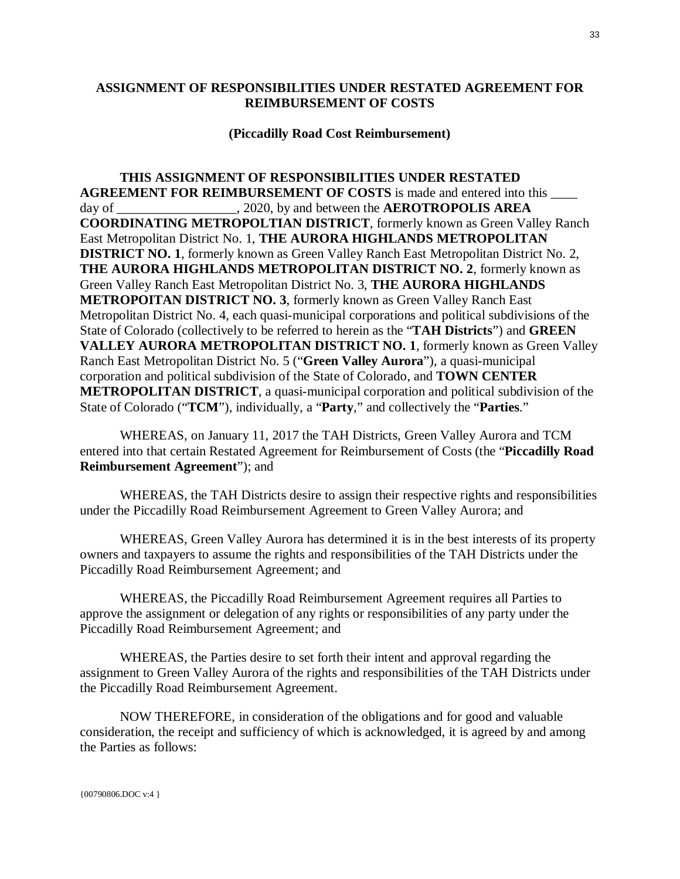### <span id="page-32-0"></span>**ASSIGNMENT OF RESPONSIBILITIES UNDER RESTATED AGREEMENT FOR REIMBURSEMENT OF COSTS**

### **(Piccadilly Road Cost Reimbursement)**

**THIS ASSIGNMENT OF RESPONSIBILITIES UNDER RESTATED AGREEMENT FOR REIMBURSEMENT OF COSTS** is made and entered into this \_\_\_\_ day of  $.2020$ , by and between the **AEROTROPOLIS AREA COORDINATING METROPOLTIAN DISTRICT**, formerly known as Green Valley Ranch East Metropolitan District No. 1, **THE AURORA HIGHLANDS METROPOLITAN DISTRICT NO. 1**, formerly known as Green Valley Ranch East Metropolitan District No. 2, **THE AURORA HIGHLANDS METROPOLITAN DISTRICT NO. 2**, formerly known as Green Valley Ranch East Metropolitan District No. 3, **THE AURORA HIGHLANDS METROPOITAN DISTRICT NO. 3**, formerly known as Green Valley Ranch East Metropolitan District No. 4, each quasi-municipal corporations and political subdivisions of the State of Colorado (collectively to be referred to herein as the "**TAH Districts**") and **GREEN VALLEY AURORA METROPOLITAN DISTRICT NO. 1**, formerly known as Green Valley Ranch East Metropolitan District No. 5 ("**Green Valley Aurora**"), a quasi-municipal corporation and political subdivision of the State of Colorado, and **TOWN CENTER METROPOLITAN DISTRICT**, a quasi-municipal corporation and political subdivision of the State of Colorado ("**TCM**"), individually, a "**Party**," and collectively the "**Parties**."

WHEREAS, on January 11, 2017 the TAH Districts, Green Valley Aurora and TCM entered into that certain Restated Agreement for Reimbursement of Costs (the "**Piccadilly Road Reimbursement Agreement**"); and

WHEREAS, the TAH Districts desire to assign their respective rights and responsibilities under the Piccadilly Road Reimbursement Agreement to Green Valley Aurora; and

WHEREAS, Green Valley Aurora has determined it is in the best interests of its property owners and taxpayers to assume the rights and responsibilities of the TAH Districts under the Piccadilly Road Reimbursement Agreement; and

WHEREAS, the Piccadilly Road Reimbursement Agreement requires all Parties to approve the assignment or delegation of any rights or responsibilities of any party under the Piccadilly Road Reimbursement Agreement; and

WHEREAS, the Parties desire to set forth their intent and approval regarding the assignment to Green Valley Aurora of the rights and responsibilities of the TAH Districts under the Piccadilly Road Reimbursement Agreement.

NOW THEREFORE, in consideration of the obligations and for good and valuable consideration, the receipt and sufficiency of which is acknowledged, it is agreed by and among the Parties as follows: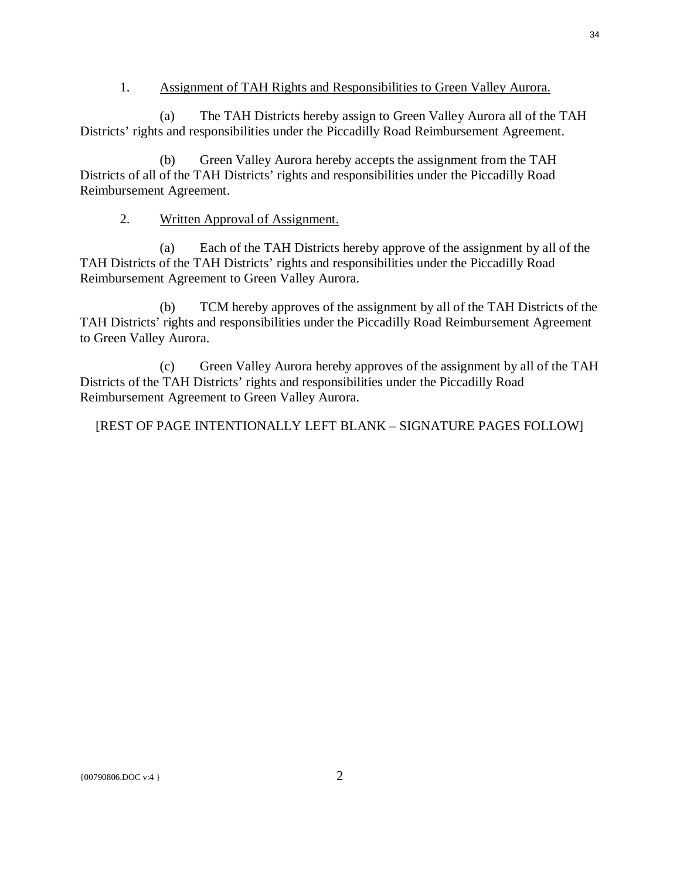### 1. Assignment of TAH Rights and Responsibilities to Green Valley Aurora.

(a) The TAH Districts hereby assign to Green Valley Aurora all of the TAH Districts' rights and responsibilities under the Piccadilly Road Reimbursement Agreement.

(b) Green Valley Aurora hereby accepts the assignment from the TAH Districts of all of the TAH Districts' rights and responsibilities under the Piccadilly Road Reimbursement Agreement.

### 2. Written Approval of Assignment.

(a) Each of the TAH Districts hereby approve of the assignment by all of the TAH Districts of the TAH Districts' rights and responsibilities under the Piccadilly Road Reimbursement Agreement to Green Valley Aurora.

(b) TCM hereby approves of the assignment by all of the TAH Districts of the TAH Districts' rights and responsibilities under the Piccadilly Road Reimbursement Agreement to Green Valley Aurora.

(c) Green Valley Aurora hereby approves of the assignment by all of the TAH Districts of the TAH Districts' rights and responsibilities under the Piccadilly Road Reimbursement Agreement to Green Valley Aurora.

[REST OF PAGE INTENTIONALLY LEFT BLANK – SIGNATURE PAGES FOLLOW]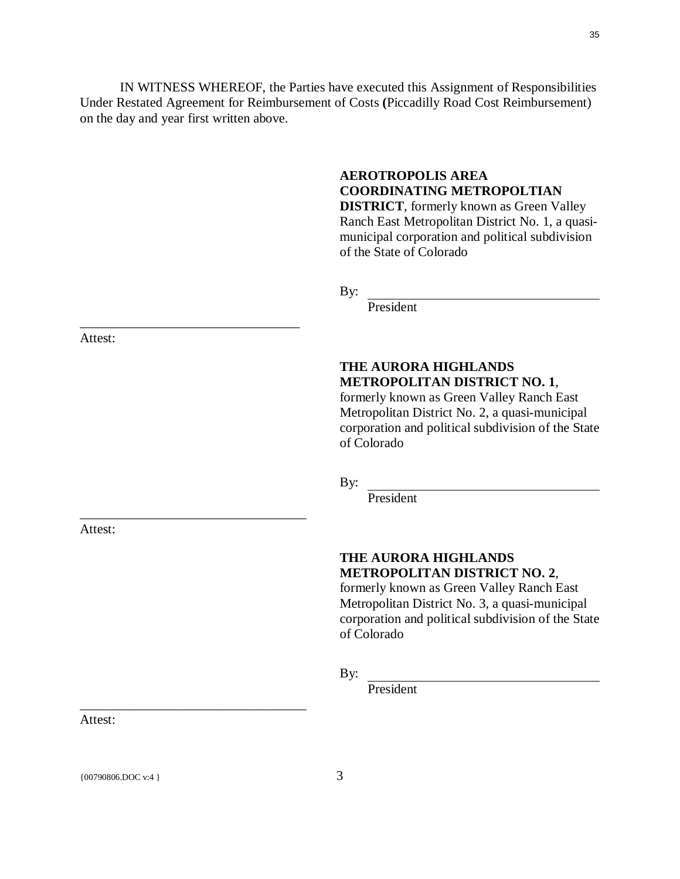IN WITNESS WHEREOF, the Parties have executed this Assignment of Responsibilities Under Restated Agreement for Reimbursement of Costs **(**Piccadilly Road Cost Reimbursement) on the day and year first written above.

# **AEROTROPOLIS AREA COORDINATING METROPOLTIAN**

**DISTRICT**, formerly known as Green Valley Ranch East Metropolitan District No. 1, a quasimunicipal corporation and political subdivision of the State of Colorado

By:

President

# **THE AURORA HIGHLANDS METROPOLITAN DISTRICT NO. 1**,

formerly known as Green Valley Ranch East Metropolitan District No. 2, a quasi-municipal corporation and political subdivision of the State of Colorado

By:

President

# **THE AURORA HIGHLANDS METROPOLITAN DISTRICT NO. 2**,

formerly known as Green Valley Ranch East Metropolitan District No. 3, a quasi-municipal corporation and political subdivision of the State of Colorado

By:

President

Attest:

\_\_\_\_\_\_\_\_\_\_\_\_\_\_\_\_\_\_\_\_\_\_\_\_\_\_\_\_\_\_\_\_\_

\_\_\_\_\_\_\_\_\_\_\_\_\_\_\_\_\_\_\_\_\_\_\_\_\_\_\_\_\_\_\_\_\_\_

\_\_\_\_\_\_\_\_\_\_\_\_\_\_\_\_\_\_\_\_\_\_\_\_\_\_\_\_\_\_\_\_\_\_

Attest:

Attest:

{ $00790806.DOC$  v:4 } 3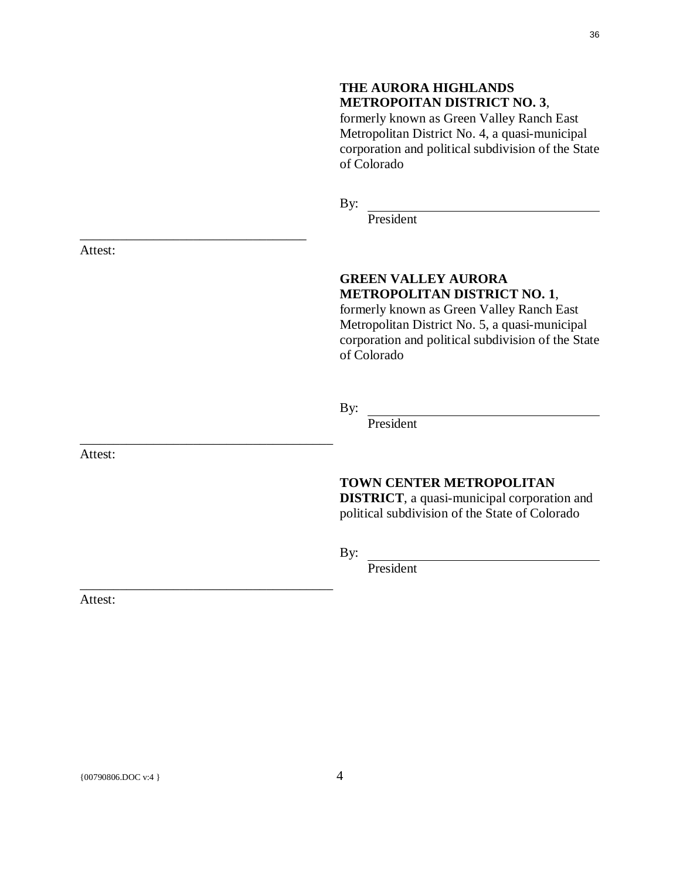### **THE AURORA HIGHLANDS METROPOITAN DISTRICT NO. 3**,

formerly known as Green Valley Ranch East Metropolitan District No. 4, a quasi-municipal corporation and political subdivision of the State of Colorado

By:

President

# **GREEN VALLEY AURORA METROPOLITAN DISTRICT NO. 1**,

formerly known as Green Valley Ranch East Metropolitan District No. 5, a quasi-municipal corporation and political subdivision of the State of Colorado

By:

President

# **TOWN CENTER METROPOLITAN**

**DISTRICT**, a quasi-municipal corporation and political subdivision of the State of Colorado

By:

President

Attest:

Attest:

### Attest:

\_\_\_\_\_\_\_\_\_\_\_\_\_\_\_\_\_\_\_\_\_\_\_\_\_\_\_\_\_\_\_\_\_\_

\_\_\_\_\_\_\_\_\_\_\_\_\_\_\_\_\_\_\_\_\_\_\_\_\_\_\_\_\_\_\_\_\_\_\_\_\_\_

\_\_\_\_\_\_\_\_\_\_\_\_\_\_\_\_\_\_\_\_\_\_\_\_\_\_\_\_\_\_\_\_\_\_\_\_\_\_

 ${00790806. \text{DOC v:4}}$  4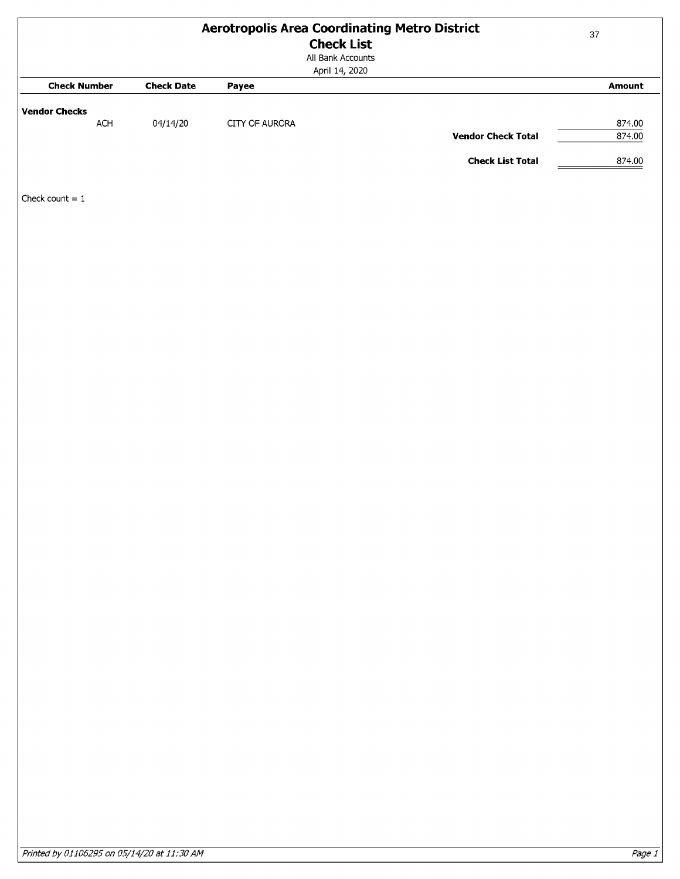<span id="page-36-0"></span>

| <b>Aerotropolis Area Coordinating Metro District</b><br><b>Check List</b><br>All Bank Accounts<br>April 14, 2020 |                   |                | $37\,$                    |                  |
|------------------------------------------------------------------------------------------------------------------|-------------------|----------------|---------------------------|------------------|
| <b>Check Number</b>                                                                                              | <b>Check Date</b> | Payee          |                           | Amount           |
| <b>Vendor Checks</b>                                                                                             |                   |                |                           |                  |
| ACH                                                                                                              | 04/14/20          | CITY OF AURORA | <b>Vendor Check Total</b> | 874.00<br>874.00 |
|                                                                                                                  |                   |                | <b>Check List Total</b>   | 874.00           |
|                                                                                                                  |                   |                |                           |                  |
| Check count $= 1$                                                                                                |                   |                |                           |                  |
|                                                                                                                  |                   |                |                           |                  |
|                                                                                                                  |                   |                |                           |                  |
|                                                                                                                  |                   |                |                           |                  |
|                                                                                                                  |                   |                |                           |                  |
|                                                                                                                  |                   |                |                           |                  |
|                                                                                                                  |                   |                |                           |                  |
|                                                                                                                  |                   |                |                           |                  |
|                                                                                                                  |                   |                |                           |                  |
|                                                                                                                  |                   |                |                           |                  |
|                                                                                                                  |                   |                |                           |                  |
|                                                                                                                  |                   |                |                           |                  |
|                                                                                                                  |                   |                |                           |                  |
|                                                                                                                  |                   |                |                           |                  |
|                                                                                                                  |                   |                |                           |                  |
|                                                                                                                  |                   |                |                           |                  |
|                                                                                                                  |                   |                |                           |                  |
|                                                                                                                  |                   |                |                           |                  |
|                                                                                                                  |                   |                |                           |                  |
|                                                                                                                  |                   |                |                           |                  |
|                                                                                                                  |                   |                |                           |                  |
|                                                                                                                  |                   |                |                           |                  |
|                                                                                                                  |                   |                |                           |                  |
|                                                                                                                  |                   |                |                           |                  |
|                                                                                                                  |                   |                |                           |                  |
|                                                                                                                  |                   |                |                           |                  |
|                                                                                                                  |                   |                |                           |                  |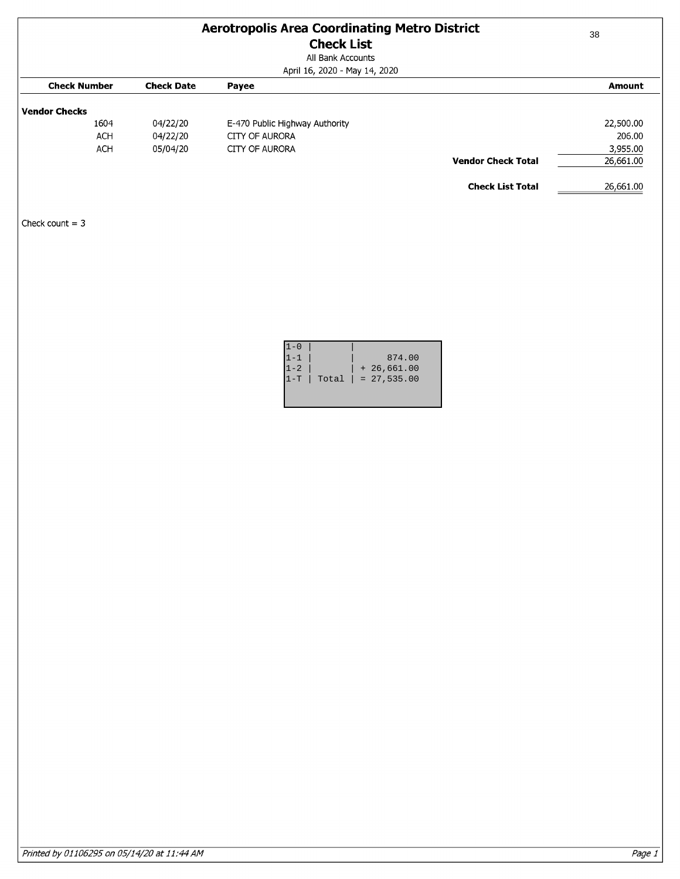| <b>Aerotropolis Area Coordinating Metro District</b><br><b>Check List</b><br>All Bank Accounts |                      |                                                    | 38                    |
|------------------------------------------------------------------------------------------------|----------------------|----------------------------------------------------|-----------------------|
| <b>Check Number</b>                                                                            | <b>Check Date</b>    | April 16, 2020 - May 14, 2020<br>Payee             | <b>Amount</b>         |
| <b>Vendor Checks</b><br>1604<br><b>ACH</b>                                                     | 04/22/20<br>04/22/20 | E-470 Public Highway Authority<br>CITY OF AURORA   | 22,500.00<br>206.00   |
| <b>ACH</b>                                                                                     | 05/04/20             | <b>CITY OF AURORA</b><br><b>Vendor Check Total</b> | 3,955.00<br>26,661.00 |
| Check count $=$ 3                                                                              |                      | <b>Check List Total</b>                            | 26,661.00             |

| $1 - 0$ |                     |
|---------|---------------------|
| $1 - 1$ | 874.00              |
| $1 - 2$ | $+26,661.00$        |
| $1-T$   | $Total = 27,535.00$ |
|         |                     |
|         |                     |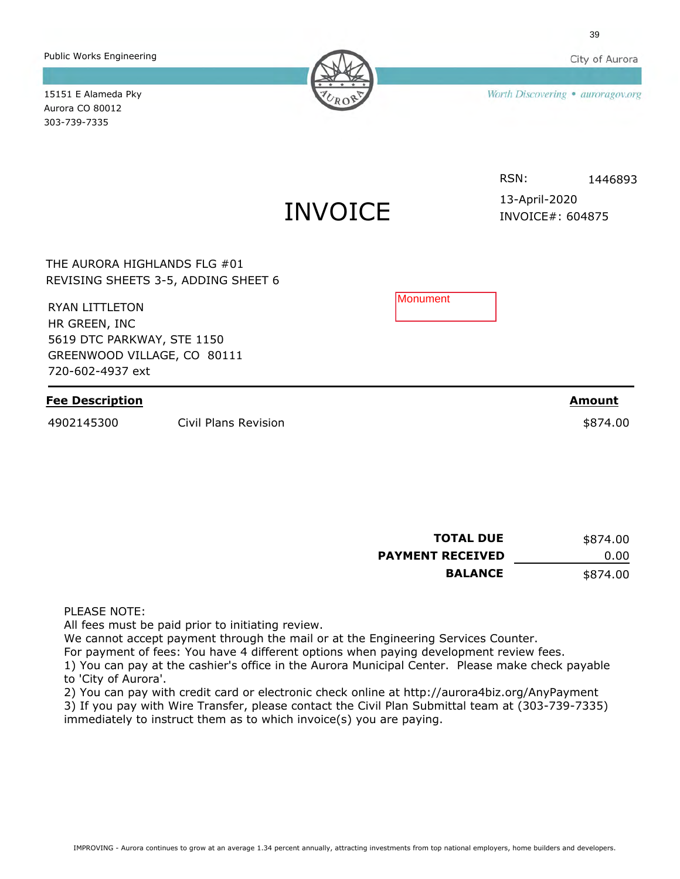IMPROVING - Aurora continues to grow at an average 1.34 percent annually, attracting investments from top national employers, home builders and developers.

Public Works Engineering

Aurora CO 80012 303-739-7335

| THE AURORA HIGHLANDS FLG #01<br>REVISING SHEETS 3-5, ADDING SHEET 6                                                     |                      |                  |               |
|-------------------------------------------------------------------------------------------------------------------------|----------------------|------------------|---------------|
| <b>RYAN LITTLETON</b><br>HR GREEN, INC<br>5619 DTC PARKWAY, STE 1150<br>GREENWOOD VILLAGE, CO 80111<br>720-602-4937 ext |                      | <b>IMonument</b> |               |
| <b>Fee Description</b>                                                                                                  |                      |                  | <b>Amount</b> |
| 4902145300                                                                                                              | Civil Plans Revision |                  | \$874.00      |

INVOICE

15151 E Alameda Pky

Worth Discovering . auroragov.org

#### RSN: 1446893

INVOICE#: 604875 13-April-2020

**TOTAL DUE PAYMENT RECEIVED BALANCE** 0.00 \$874.00 \$874.00

PLEASE NOTE:

All fees must be paid prior to initiating review.

We cannot accept payment through the mail or at the Engineering Services Counter.

For payment of fees: You have 4 different options when paying development review fees.

1) You can pay at the cashier's office in the Aurora Municipal Center. Please make check payable to 'City of Aurora'.

2) You can pay with credit card or electronic check online at http://aurora4biz.org/AnyPayment

3) If you pay with Wire Transfer, please contact the Civil Plan Submittal team at (303-739-7335) immediately to instruct them as to which invoice(s) you are paying.

City of Aurora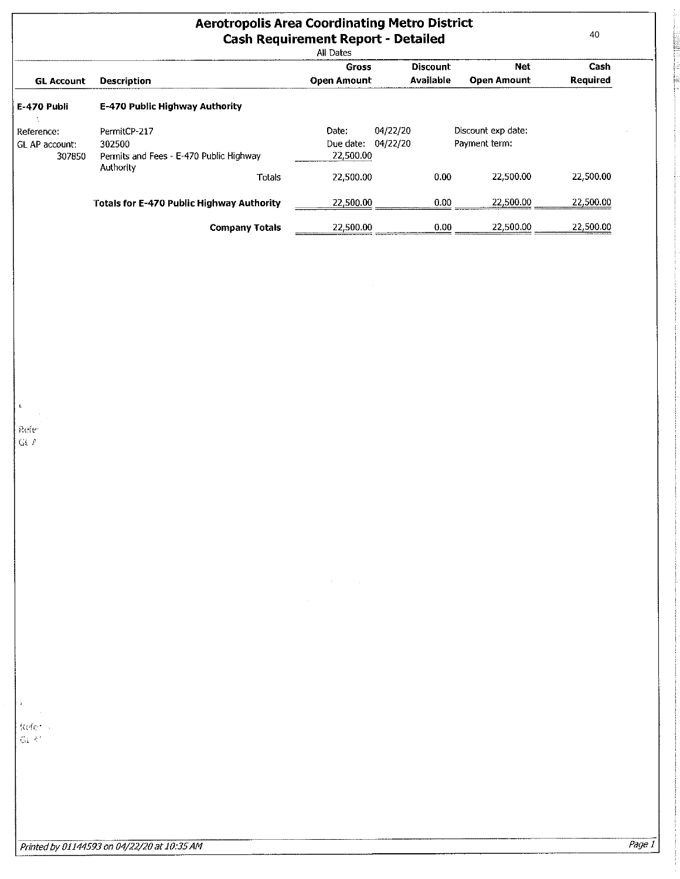| <b>Aerotropolis Area Coordinating Metro District</b><br><b>Cash Requirement Report - Detailed</b><br>All Dates |                                                  |                       |                 |                    |           |
|----------------------------------------------------------------------------------------------------------------|--------------------------------------------------|-----------------------|-----------------|--------------------|-----------|
|                                                                                                                |                                                  | <b>Gross</b>          | <b>Discount</b> | <b>Net</b>         | Cash      |
| <b>GL Account</b>                                                                                              | <b>Description</b>                               | <b>Open Amount</b>    | Available       | Open Amount        | Required  |
| E-470 Publi                                                                                                    | E-470 Public Highway Authority                   |                       |                 |                    |           |
| Reference:                                                                                                     | PermitCP-217                                     | 04/22/20<br>Date:     |                 | Discount exp date: |           |
| GL AP account:                                                                                                 | 302500                                           | 04/22/20<br>Due date: |                 | Payment term:      |           |
| 307850                                                                                                         | Permits and Fees - E-470 Public Highway          | 22,500.00             |                 |                    |           |
|                                                                                                                | Authority<br>Totals                              | 22,500.00             | 0.00            | 22,500.00          | 22,500.00 |
|                                                                                                                | <b>Totals for E-470 Public Highway Authority</b> | 22,500.00             | 0.00            | 22,500.00          | 22,500.00 |
|                                                                                                                | <b>Company Totals</b>                            | 22.500.00             | 0.00            | 22.500.00          | 22,500.00 |

 $\sim$ 

Refe- $\tilde{\mathbf{G}}$  (  $\tilde{\mathbf{F}}$ 

 $\mathbf{r}$ 

Refer  $\mathcal{G}_k(\mathcal{C})$ 

 $\chi^2$ 

**TELESTING** 

È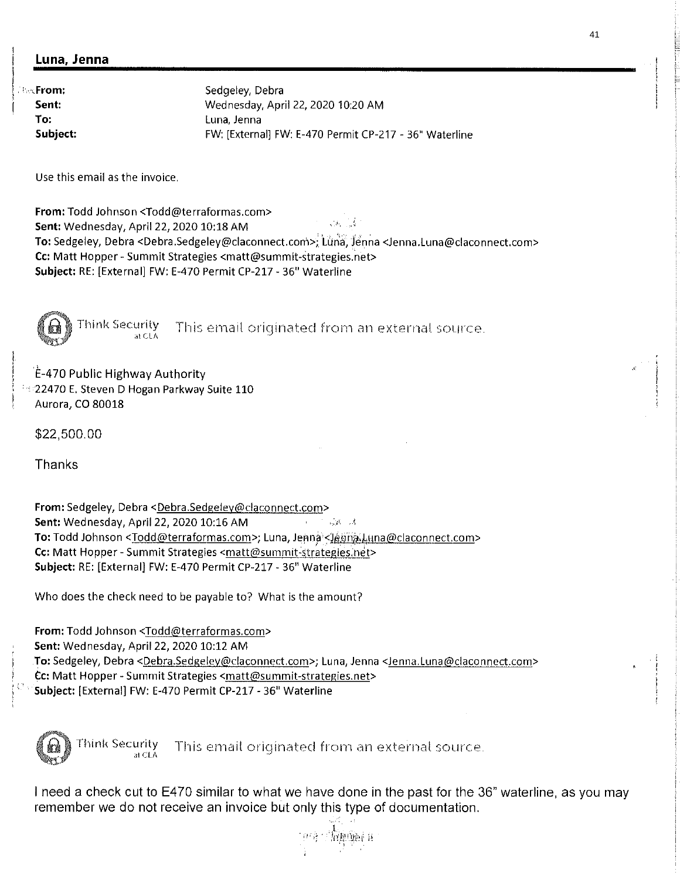# Luna, Jenna

*<b>BecFrom:* Sent: To: Subject:

Sedgeley, Debra Wednesday, April 22, 2020 10:20 AM Luna, Jenna FW: [External] FW: E-470 Permit CP-217 - 36' Waterline

Use this email as the invoice.

From: Todd Johnson <Todd@terraformas.com>  $\sqrt{3}$  ,  $\sqrt{3}$ Sent: Wednesday, April 22, 2020 10:18 AM To: Sedgeley, Debra <Debra.Sedgeley@claconnect.com>; Luna, Jenna <Jenna.Luna@claconnect.com> Cc: Matt Hopper - Summit Strategies <matt@summit-strategies.net> Subject: RE: [External] FW: E-470 Permit CP-217 - 36" Waterline

Think Security This email originated from an external source.

E-470 Public Highway Authority **22470 E. Steven D Hogan Parkway Suite 110** Aurora, CO 80018

\$22,500.00

**Thanks** 

From: Sedgeley, Debra <Debra.Sedgeley@claconnect.com> Sent: Wednesday, April 22, 2020 10:16 AM 二回二活 To: Todd Johnson <Todd@terraformas.com>; Luna, Jenna <JennaLuna@claconnect.com> Cc: Matt Hopper - Summit Strategies <matt@summit-strategies.net> Subject: RE: [External] FW: E-470 Permit CP-217 - 36" Waterline

Who does the check need to be payable to? What is the amount?

From: Todd Johnson <Todd@terraformas.com> Sent: Wednesday, April 22, 2020 10:12 AM To: Sedgeley, Debra <Debra.Sedgeley@claconnect.com>; Luna, Jenna <Jenna.Luna@claconnect.com> Cc: Matt Hopper - Summit Strategies <matt@summit-strategies.net> Subject: [External] FW: E-470 Permit CP-217 - 36" Waterline



Think Security  $\sum_{a \in CA}$  This email originated from an external source.

<sup>I</sup> need a check cut to E470 similar to what we have done in the past for the 36" Waterline, as you may remember we do not receive an invoice but only this type of documentation.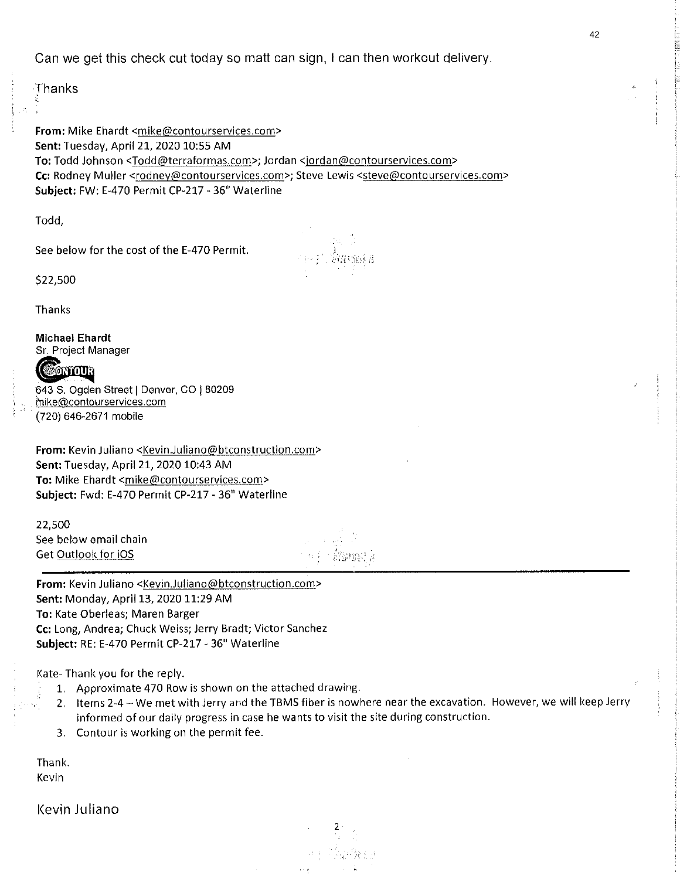Can we get this check cut today so matt can sign, I can then workout delivery.

Thanks

From: Mike Ehardt <mike@contourservices.com> Sent: Tuesday, April 21, 2020 10:55 AM To: Todd Johnson <Todd@terraformas.com>; Jordan <jordan@contourservices.com> Cc: Rodney Muller <rodney@contourservices.com>; Steve Lewis <steve@contourservices.com> Subject: FW: E-470 Permit CP-217 - 36" Waterline

Todd,

See below for the cost of the E-470 Permit.

\$22,500

Thanks

Michael Ehardt Sr. Project Manager



643 S. Ogden Street | Denver, CO | 80209 nike(äcontourservices.com (720) 646-2671 mobile

From: Kevin Juliano <Kevin.Juliano@btconstruction.com> Sent: Tuesday, April 21, 2020 10:43 AM To: Mike Ehardt <mike@contourservices.com> Subject: Fwd: E-470 Permit CP-217 - 36" Waterline

22,500 See below email chain Get Outlook for IOS

From: Kevin Juliano <Kevin.Juliano@btconstruction.com> Sent: Monday, April 13, 2020 11:29 AM To: Kate Oberleas; Maren Barger Cc: Long, Andrea; Chuck Weiss; Jerry Bradt; Victor Sanchez Subject: RE: E-470 Permit CP-217 - 36" Waterline

Kate- Thank you for the reply.

- 1. Approximate 470 Row is shown on the attached drawing.
- 2. Items 2-4 We met with Jerry and the TBMS fiber is nowhere near the excavation. However, we will keep Jerry informed of our daily progress in case he wants to visit the site during construction.

2

3. Contour is working on the permit fee.

Thank. Kevin

Kevin Juliano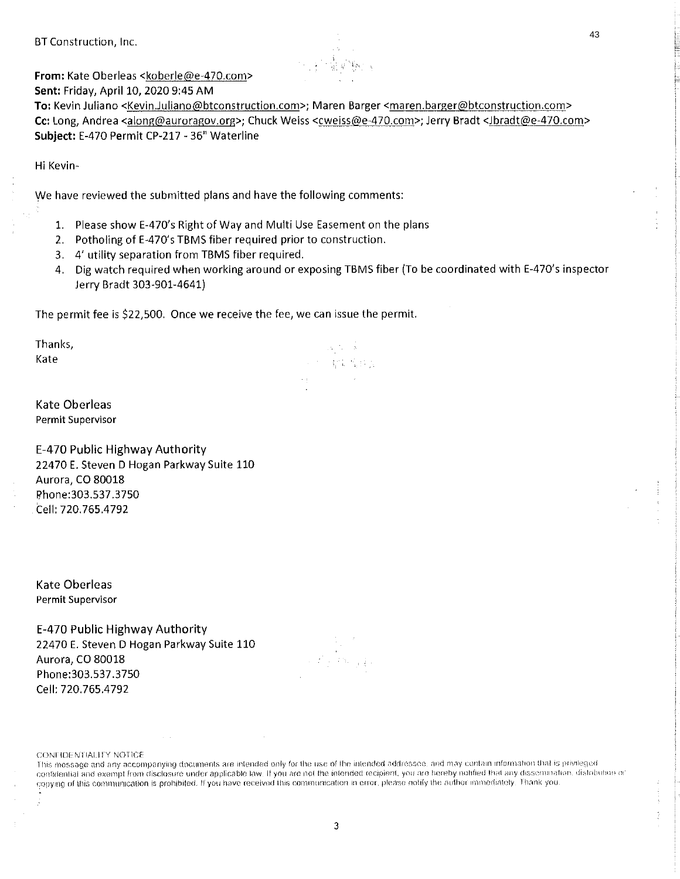BT Construction, Inc.



From: Kate Oberleas ckoberle@e-470.com>

Sent: Friday, April 10, 2020 9:45 AM To: Kevin Juliano <Kevin.Juliano@btconstruction,com>; Maren I3arger <maren.barger@btconstruction.com>

Cc: Long, Andrea <along@auroragov.org>; Chuck Weiss <cweiss@e-470.com>; Jerry Bradt <Jbradt@e-470.com> Subject: E-470 Permit CP-217 -36" Waterline

Hi Kevin-

We have reviewed the submitted plans and have the following comments:

- 1. Please show E-470's Right of Way and Multi Use Easement on the plans
- 2. Potholing of E-470's TBMS fiber required prior to construction.
- 3. 4' utility separation from TBMS fiber required.
- 4. Dig watch required when working around or exposing TBMS fiber (To be coordinated with E-470's inspector Jerry Bradt 303-901-4641)

 $\mathbb{P}_2$  ,  $\mathbb{P}_2$  ,  $\mathbb{P}_3$  ,  $\mathbb{P}_4$ 超新闻报告

The permit fee is \$22,500. Once we receive the fee, we can issue the permit.

Thanks, Kate

Kate Oberleas Permit Supervisor

E-470 Public Highway Authority 22470 E. Steven D Hogan Parkway Suite 110 Aurora, CO 80018 Phone:303.537.3750 Cell: 720.765.4792

Kate Oberleas Permit Supervisor

E-470 Public Highway Authority 22470 E. Steven D Hogan Parkway Suite 110 Aurora, CO 80018 Phone:303.537.3750 Cell: 720.765.4792

CONFIDENTIALITY NOTICE

ß

This message and any accompanying documents are intended only for the use of the intended addressee, and may contain information that is privileged. confidential and exempt from disclosure under applicable law. If you are not the intended recipient, you are hereby notified that any dissemination. distobition or copying of this communication is prohibited. If you have received this communication in error, please notify the author immediately. Thank you,

43

3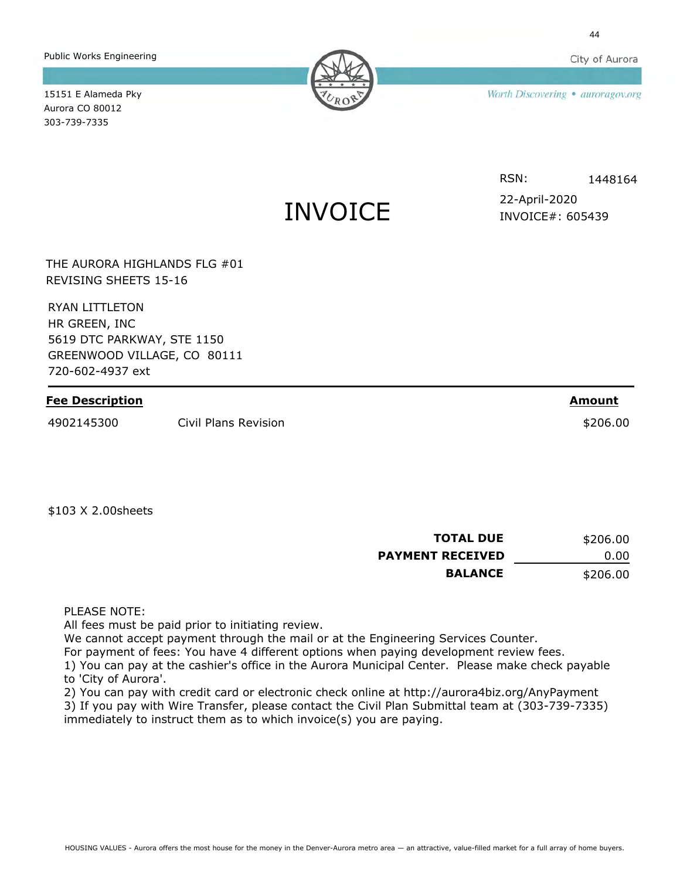City of Aurora

Public Works Engineering

Worth Discovering . auroragov.org

15151 E Alameda Pky Aurora CO 80012 303-739-7335

# INVOICE

RSN: 1448164

INVOICE#: 605439 22-April-2020

THE AURORA HIGHLANDS FLG #01 REVISING SHEETS 15-16

RYAN LITTLETON HR GREEN, INC 5619 DTC PARKWAY, STE 1150 GREENWOOD VILLAGE, CO 80111 720-602-4937 ext

## **Fee Description**

4902145300 Civil Plans Revision \$206.00

**TOTAL DUE PAYMENT RECEIVED** 0.00 \$206.00

\$206.00

**Amount**

**BALANCE**

PLEASE NOTE:

\$103 X 2.00sheets

All fees must be paid prior to initiating review.

We cannot accept payment through the mail or at the Engineering Services Counter.

For payment of fees: You have 4 different options when paying development review fees.

1) You can pay at the cashier's office in the Aurora Municipal Center. Please make check payable to 'City of Aurora'.

2) You can pay with credit card or electronic check online at http://aurora4biz.org/AnyPayment

3) If you pay with Wire Transfer, please contact the Civil Plan Submittal team at (303-739-7335) immediately to instruct them as to which invoice(s) you are paying.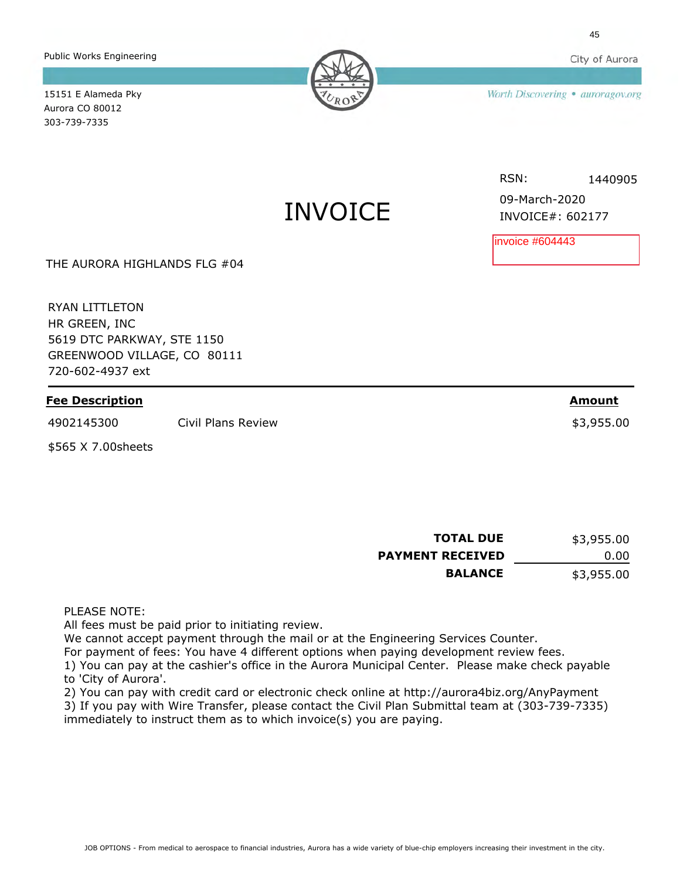Public Works Engineering

Worth Discovering . auroragov.org

15151 E Alameda Pky Aurora CO 80012 303-739-7335

# INVOICE

RSN: 1440905

**Amount**

INVOICE#: 602177 09-March-2020

invoice #604443

THE AURORA HIGHLANDS FLG #04

RYAN LITTLETON HR GREEN, INC 5619 DTC PARKWAY, STE 1150 GREENWOOD VILLAGE, CO 80111 720-602-4937 ext

### **Fee Description**

4902145300 Civil Plans Review \$3,955.00

\$565 X 7.00sheets

**TOTAL DUE PAYMENT RECEIVED BALANCE** 0.00 \$3,955.00 \$3,955.00

PLEASE NOTE:

All fees must be paid prior to initiating review.

We cannot accept payment through the mail or at the Engineering Services Counter.

For payment of fees: You have 4 different options when paying development review fees.

1) You can pay at the cashier's office in the Aurora Municipal Center. Please make check payable to 'City of Aurora'.

2) You can pay with credit card or electronic check online at http://aurora4biz.org/AnyPayment

3) If you pay with Wire Transfer, please contact the Civil Plan Submittal team at (303-739-7335) immediately to instruct them as to which invoice(s) you are paying.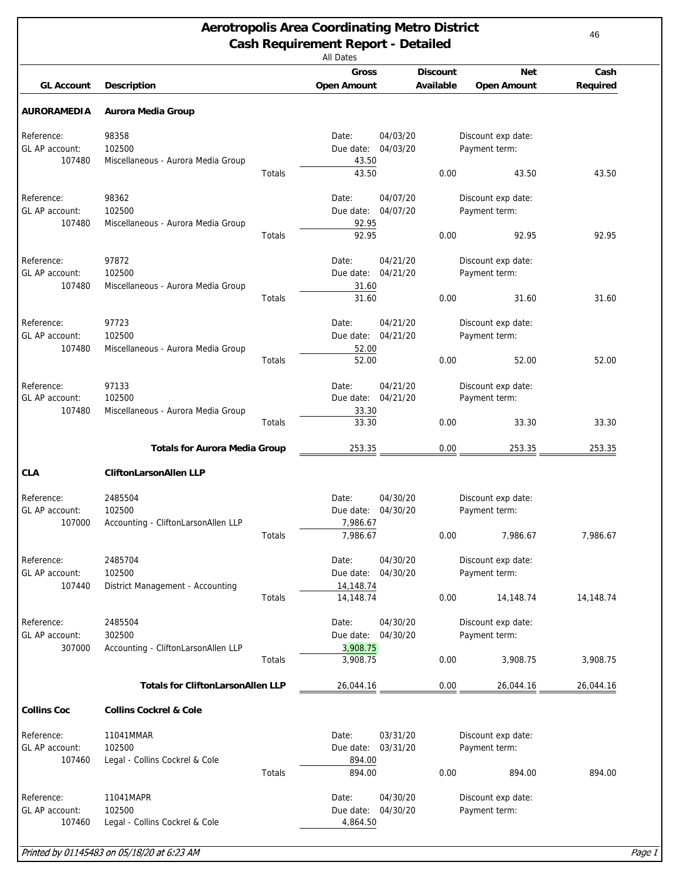<span id="page-45-0"></span>

| <b>Aerotropolis Area Coordinating Metro District</b><br><b>Cash Requirement Report - Detailed</b><br><b>All Dates</b> |                                          |        |                                    |                      |                              |                                  | 46               |
|-----------------------------------------------------------------------------------------------------------------------|------------------------------------------|--------|------------------------------------|----------------------|------------------------------|----------------------------------|------------------|
| <b>GL Account</b>                                                                                                     | <b>Description</b>                       |        | <b>Gross</b><br><b>Open Amount</b> |                      | <b>Discount</b><br>Available | <b>Net</b><br><b>Open Amount</b> | Cash<br>Required |
| <b>AURORAMEDIA</b>                                                                                                    | <b>Aurora Media Group</b>                |        |                                    |                      |                              |                                  |                  |
| Reference:                                                                                                            | 98358                                    |        | Date:                              | 04/03/20             |                              | Discount exp date:               |                  |
| GL AP account:                                                                                                        | 102500                                   |        | Due date:                          | 04/03/20             |                              | Payment term:                    |                  |
| 107480                                                                                                                | Miscellaneous - Aurora Media Group       | Totals | 43.50<br>43.50                     |                      | 0.00                         | 43.50                            | 43.50            |
|                                                                                                                       |                                          |        |                                    |                      |                              |                                  |                  |
| Reference:<br>GL AP account:                                                                                          | 98362<br>102500                          |        | Date:<br>Due date:                 | 04/07/20<br>04/07/20 |                              | Discount exp date:               |                  |
| 107480                                                                                                                | Miscellaneous - Aurora Media Group       |        | 92.95                              |                      |                              | Payment term:                    |                  |
|                                                                                                                       |                                          | Totals | 92.95                              |                      | 0.00                         | 92.95                            | 92.95            |
|                                                                                                                       |                                          |        |                                    |                      |                              |                                  |                  |
| Reference:                                                                                                            | 97872                                    |        | Date:                              | 04/21/20             |                              | Discount exp date:               |                  |
| GL AP account:                                                                                                        | 102500                                   |        | Due date:                          | 04/21/20             |                              | Payment term:                    |                  |
| 107480                                                                                                                | Miscellaneous - Aurora Media Group       |        | 31.60                              |                      |                              |                                  |                  |
|                                                                                                                       |                                          | Totals | 31.60                              |                      | 0.00                         | 31.60                            | 31.60            |
| Reference:                                                                                                            | 97723                                    |        | Date:                              | 04/21/20             |                              | Discount exp date:               |                  |
| GL AP account:                                                                                                        | 102500                                   |        | Due date:                          | 04/21/20             |                              | Payment term:                    |                  |
| 107480                                                                                                                | Miscellaneous - Aurora Media Group       |        | 52.00                              |                      |                              |                                  |                  |
|                                                                                                                       |                                          | Totals | 52.00                              |                      | 0.00                         | 52.00                            | 52.00            |
|                                                                                                                       |                                          |        |                                    |                      |                              |                                  |                  |
| Reference:                                                                                                            | 97133                                    |        | Date:                              | 04/21/20             |                              | Discount exp date:               |                  |
| GL AP account:                                                                                                        | 102500                                   |        | Due date:                          | 04/21/20             |                              | Payment term:                    |                  |
| 107480                                                                                                                | Miscellaneous - Aurora Media Group       | Totals | 33.30<br>33.30                     |                      | 0.00                         | 33.30                            | 33.30            |
|                                                                                                                       |                                          |        |                                    |                      |                              |                                  |                  |
|                                                                                                                       | <b>Totals for Aurora Media Group</b>     |        | 253.35                             |                      | 0.00                         | 253.35                           | 253.35           |
| <b>CLA</b>                                                                                                            | <b>CliftonLarsonAllen LLP</b>            |        |                                    |                      |                              |                                  |                  |
| Reference:                                                                                                            | 2485504                                  |        | Date:                              | 04/30/20             |                              | Discount exp date:               |                  |
| GL AP account:                                                                                                        | 102500                                   |        | Due date: 04/30/20                 |                      |                              | Payment term:                    |                  |
| 107000                                                                                                                | Accounting - CliftonLarsonAllen LLP      |        | 7,986.67                           |                      |                              |                                  |                  |
|                                                                                                                       |                                          | Totals | 7,986.67                           |                      | 0.00                         | 7,986.67                         | 7,986.67         |
| Reference:                                                                                                            | 2485704                                  |        | Date:                              | 04/30/20             |                              | Discount exp date:               |                  |
| GL AP account:                                                                                                        | 102500                                   |        | Due date: 04/30/20                 |                      |                              | Payment term:                    |                  |
| 107440                                                                                                                | District Management - Accounting         |        | 14,148.74                          |                      |                              |                                  |                  |
|                                                                                                                       |                                          | Totals | 14,148.74                          |                      | 0.00                         | 14,148.74                        | 14,148.74        |
|                                                                                                                       |                                          |        |                                    |                      |                              |                                  |                  |
| Reference:                                                                                                            | 2485504                                  |        | Date:                              | 04/30/20             |                              | Discount exp date:               |                  |
| GL AP account:                                                                                                        | 302500                                   |        | Due date:                          | 04/30/20             |                              | Payment term:                    |                  |
| 307000                                                                                                                | Accounting - CliftonLarsonAllen LLP      |        | 3,908.75                           |                      |                              |                                  |                  |
|                                                                                                                       |                                          | Totals | 3,908.75                           |                      | 0.00                         | 3,908.75                         | 3,908.75         |
|                                                                                                                       | <b>Totals for CliftonLarsonAllen LLP</b> |        | 26,044.16                          |                      | $0.00\,$                     | 26,044.16                        | 26,044.16        |
| <b>Collins Coc</b>                                                                                                    | <b>Collins Cockrel &amp; Cole</b>        |        |                                    |                      |                              |                                  |                  |
| Reference:                                                                                                            | 11041MMAR                                |        | Date:                              | 03/31/20             |                              | Discount exp date:               |                  |
| GL AP account:                                                                                                        | 102500                                   |        | Due date:                          | 03/31/20             |                              | Payment term:                    |                  |
| 107460                                                                                                                | Legal - Collins Cockrel & Cole           |        | 894.00                             |                      |                              |                                  |                  |
|                                                                                                                       |                                          | Totals | 894.00                             |                      | 0.00                         | 894.00                           | 894.00           |
|                                                                                                                       |                                          |        |                                    |                      |                              |                                  |                  |
| Reference:                                                                                                            | 11041MAPR                                |        | Date:                              | 04/30/20             |                              | Discount exp date:               |                  |
| GL AP account:                                                                                                        | 102500                                   |        | Due date:                          | 04/30/20             |                              | Payment term:                    |                  |
| 107460                                                                                                                | Legal - Collins Cockrel & Cole           |        | 4,864.50                           |                      |                              |                                  |                  |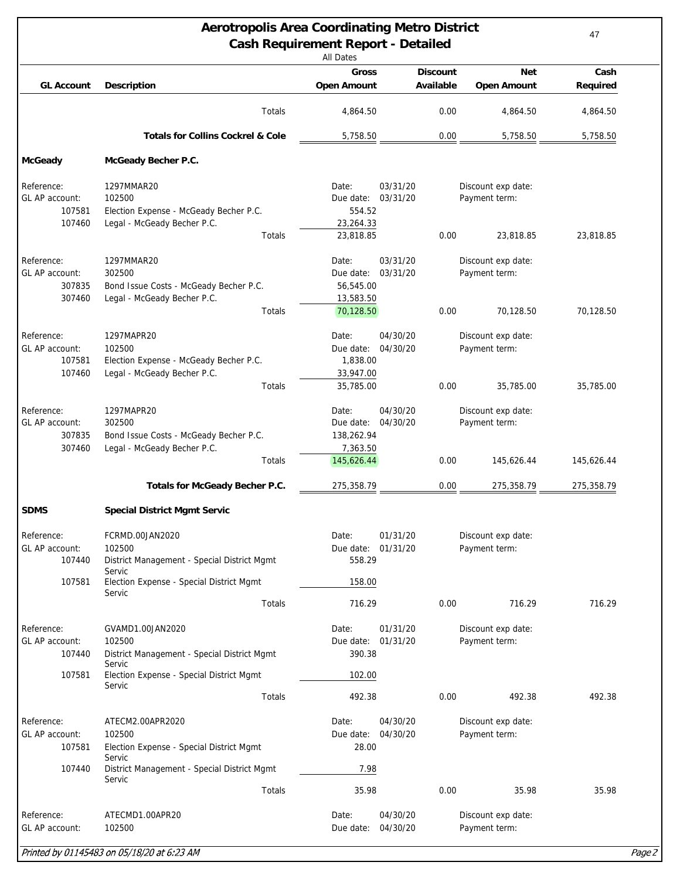| <b>Aerotropolis Area Coordinating Metro District</b><br><b>Cash Requirement Report - Detailed</b><br><b>All Dates</b> |                                                                                                                                |                                                            |                              |                                                   |                  |  |  |
|-----------------------------------------------------------------------------------------------------------------------|--------------------------------------------------------------------------------------------------------------------------------|------------------------------------------------------------|------------------------------|---------------------------------------------------|------------------|--|--|
| <b>GL Account</b>                                                                                                     | <b>Description</b>                                                                                                             | Gross<br><b>Open Amount</b>                                | <b>Discount</b><br>Available | <b>Net</b><br><b>Open Amount</b>                  | Cash<br>Required |  |  |
|                                                                                                                       | Totals                                                                                                                         | 4,864.50                                                   | 0.00                         | 4,864.50                                          | 4,864.50         |  |  |
|                                                                                                                       | <b>Totals for Collins Cockrel &amp; Cole</b>                                                                                   | 5,758.50                                                   | 0.00                         | 5,758.50                                          | 5,758.50         |  |  |
| <b>McGeady</b>                                                                                                        | McGeady Becher P.C.                                                                                                            |                                                            |                              |                                                   |                  |  |  |
| Reference:<br>GL AP account:<br>107581<br>107460                                                                      | 1297MMAR20<br>102500<br>Election Expense - McGeady Becher P.C.<br>Legal - McGeady Becher P.C.                                  | Date:<br>Due date:<br>554.52<br>23,264.33                  | 03/31/20<br>03/31/20         | Discount exp date:<br>Payment term:               |                  |  |  |
|                                                                                                                       | Totals                                                                                                                         | 23,818.85                                                  | 0.00                         | 23,818.85                                         | 23,818.85        |  |  |
| Reference:<br>GL AP account:<br>307835<br>307460                                                                      | 1297MMAR20<br>302500<br>Bond Issue Costs - McGeady Becher P.C.<br>Legal - McGeady Becher P.C.                                  | Date:<br>Due date:<br>56,545.00<br>13,583.50               | 03/31/20<br>03/31/20         | Discount exp date:<br>Payment term:               |                  |  |  |
|                                                                                                                       | Totals                                                                                                                         | 70,128.50                                                  | 0.00                         | 70,128.50                                         | 70,128.50        |  |  |
| Reference:<br>GL AP account:<br>107581<br>107460                                                                      | 1297MAPR20<br>102500<br>Election Expense - McGeady Becher P.C.<br>Legal - McGeady Becher P.C.                                  | Date:<br>Due date:<br>1,838.00<br>33,947.00                | 04/30/20<br>04/30/20         | Discount exp date:<br>Payment term:               |                  |  |  |
|                                                                                                                       | Totals                                                                                                                         | 35,785.00                                                  | 0.00                         | 35,785.00                                         | 35,785.00        |  |  |
| Reference:<br>GL AP account:<br>307835<br>307460                                                                      | 1297MAPR20<br>302500<br>Bond Issue Costs - McGeady Becher P.C.<br>Legal - McGeady Becher P.C.<br>Totals                        | Date:<br>Due date:<br>138,262.94<br>7,363.50<br>145,626.44 | 04/30/20<br>04/30/20<br>0.00 | Discount exp date:<br>Payment term:<br>145,626.44 | 145,626.44       |  |  |
|                                                                                                                       | <b>Totals for McGeady Becher P.C.</b>                                                                                          | 275,358.79                                                 | 0.00                         | 275,358.79                                        | 275,358.79       |  |  |
| <b>SDMS</b>                                                                                                           | <b>Special District Mgmt Servic</b>                                                                                            |                                                            |                              |                                                   |                  |  |  |
| Reference:<br>GL AP account:<br>107440<br>107581                                                                      | FCRMD.00JAN2020<br>102500<br>District Management - Special District Mgmt<br>Servic<br>Election Expense - Special District Mgmt | Date:<br>Due date: 01/31/20<br>558.29<br>158.00            | 01/31/20                     | Discount exp date:<br>Payment term:               |                  |  |  |
|                                                                                                                       | Servic<br>Totals                                                                                                               | 716.29                                                     | 0.00                         | 716.29                                            | 716.29           |  |  |
| Reference:<br>GL AP account:<br>107440                                                                                | GVAMD1.00JAN2020<br>102500<br>District Management - Special District Mgmt<br>Servic                                            | Date:<br>Due date: 01/31/20<br>390.38                      | 01/31/20                     | Discount exp date:<br>Payment term:               |                  |  |  |
| 107581                                                                                                                | Election Expense - Special District Mgmt<br>Servic                                                                             | 102.00                                                     |                              |                                                   |                  |  |  |
|                                                                                                                       | Totals                                                                                                                         | 492.38                                                     | 0.00                         | 492.38                                            | 492.38           |  |  |
| Reference:<br>GL AP account:<br>107581                                                                                | ATECM2.00APR2020<br>102500<br>Election Expense - Special District Mgmt<br>Servic                                               | Date:<br>Due date: 04/30/20<br>28.00                       | 04/30/20                     | Discount exp date:<br>Payment term:               |                  |  |  |
| 107440                                                                                                                | District Management - Special District Mgmt<br>Servic                                                                          | 7.98                                                       |                              |                                                   |                  |  |  |
|                                                                                                                       | Totals                                                                                                                         | 35.98                                                      | 0.00                         | 35.98                                             | 35.98            |  |  |
| Reference:<br>GL AP account:                                                                                          | ATECMD1.00APR20<br>102500                                                                                                      | Date:<br>Due date:                                         | 04/30/20<br>04/30/20         | Discount exp date:<br>Payment term:               |                  |  |  |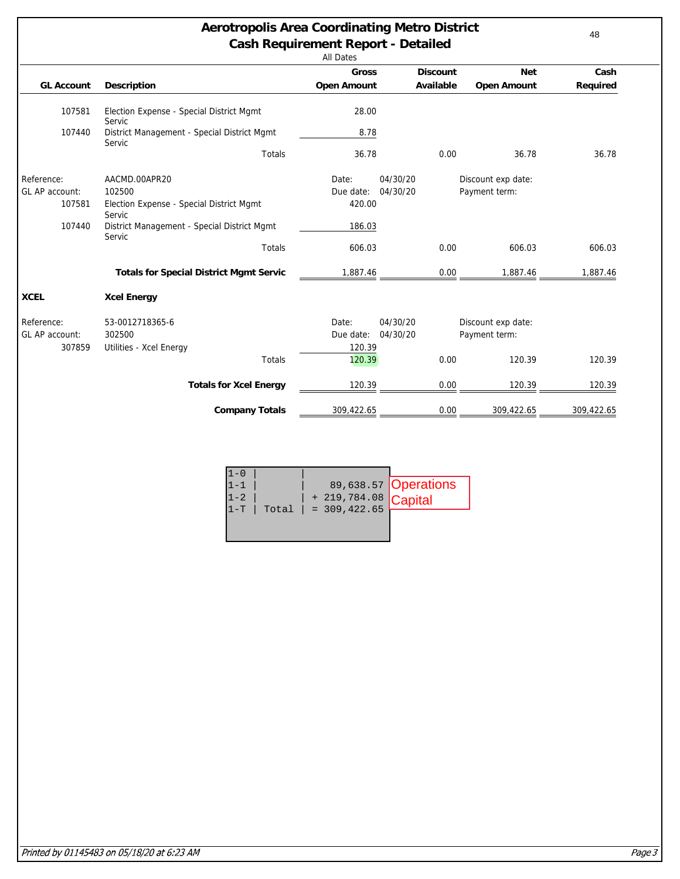# **Aerotropolis Area Coordinating Metro District Cash Requirement Report - Detailed**

| --    | . |  |  |
|-------|---|--|--|
| Dates |   |  |  |

|                           |                                                       | <b>Gross</b>       |          | <b>Discount</b> | <b>Net</b>         | Cash     |
|---------------------------|-------------------------------------------------------|--------------------|----------|-----------------|--------------------|----------|
| <b>GL Account</b>         | <b>Description</b>                                    | <b>Open Amount</b> |          | Available       | <b>Open Amount</b> | Required |
| 107581                    | Election Expense - Special District Mgmt<br>Servic    | 28.00              |          |                 |                    |          |
| 107440                    | District Management - Special District Mgmt<br>Servic | 8.78               |          |                 |                    |          |
|                           | <b>Totals</b>                                         | 36.78              |          | 0.00            | 36.78              | 36.78    |
| Reference:                | AACMD.00APR20                                         | Date:              | 04/30/20 |                 | Discount exp date: |          |
| GL AP account:            | 102500                                                | Due date:          | 04/30/20 |                 | Payment term:      |          |
| 107581                    | Election Expense - Special District Mgmt<br>Servic    | 420.00             |          |                 |                    |          |
| 107440                    | District Management - Special District Mgmt<br>Servic | 186.03             |          |                 |                    |          |
|                           | Totals                                                | 606.03             |          | 0.00            | 606.03             | 606.03   |
|                           |                                                       |                    |          |                 |                    |          |
|                           | <b>Totals for Special District Mgmt Servic</b>        | 1,887.46           |          | 0.00            | 1,887.46           | 1,887.46 |
|                           | <b>Xcel Energy</b>                                    |                    |          |                 |                    |          |
| <b>XCEL</b><br>Reference: | 53-0012718365-6                                       | Date:              | 04/30/20 |                 | Discount exp date: |          |
|                           | 302500                                                | Due date:          | 04/30/20 |                 | Payment term:      |          |
| GL AP account:<br>307859  | Utilities - Xcel Energy<br>Totals                     | 120.39<br>120.39   |          | 0.00            | 120.39             | 120.39   |
|                           | <b>Totals for Xcel Energy</b>                         | 120.39             |          | 0.00            | 120.39             | 120.39   |

| $L - U$ |  |                                                                           |                       |
|---------|--|---------------------------------------------------------------------------|-----------------------|
| $1 - 1$ |  |                                                                           | 89, 638.57 Operations |
| $1 - 2$ |  | $Total \mid + 219,784.08 \n  \nTotal \mid = 309,422.65 \n  \nCapital \n $ |                       |
| $1 - T$ |  |                                                                           |                       |
|         |  |                                                                           |                       |

48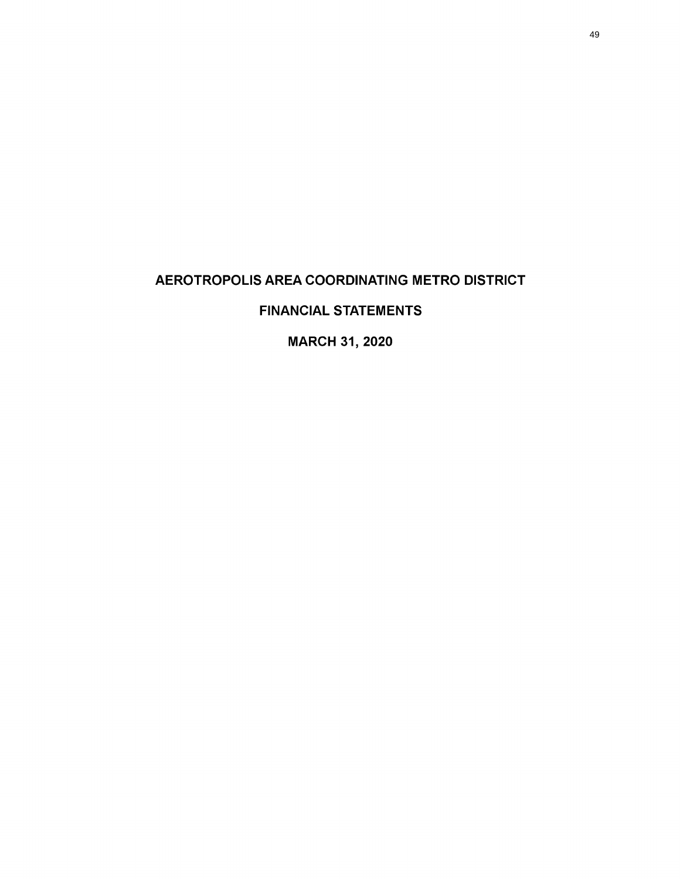# <span id="page-48-0"></span>AEROTROPOLIS AREA COORDINATING METRO DISTRICT

# FINANCIAL STATEMENTS

MARCH 31, 2020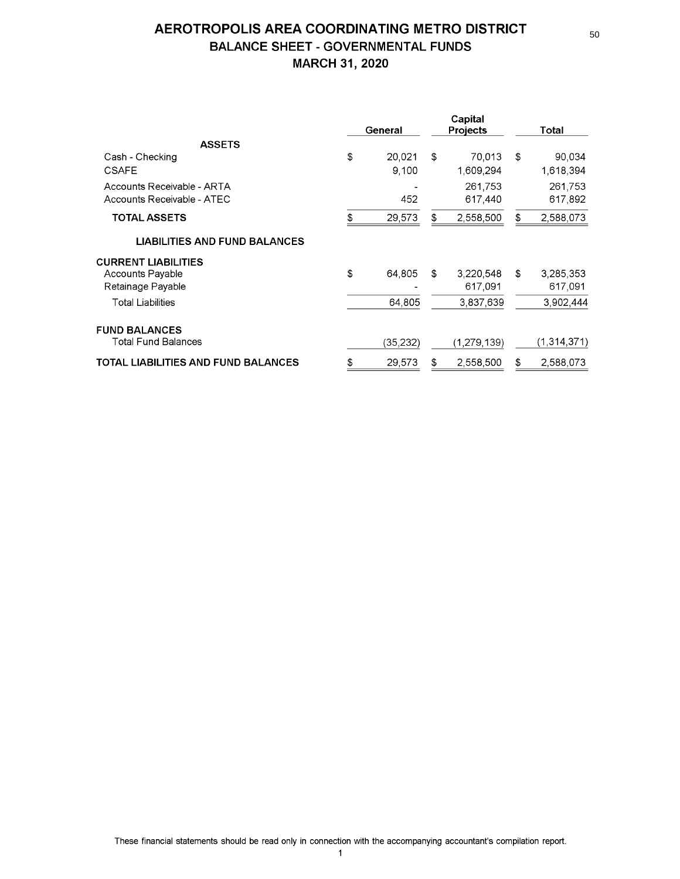# AEROTROPOLIS AREA COORDINATING METRO DISTRICT BALANCE SHEET - GOVERNMENTAL FUNDS MARCH 31, 2020

|                                      | Capital<br>General<br><b>Projects</b> |          |    | Total         |                 |
|--------------------------------------|---------------------------------------|----------|----|---------------|-----------------|
| <b>ASSETS</b>                        |                                       |          |    |               |                 |
| Cash - Checking                      | \$                                    | 20.021   | \$ | 70.013        | \$<br>90,034    |
| <b>CSAFE</b>                         |                                       | 9,100    |    | 1,609,294     | 1,618,394       |
| Accounts Receivable - ARTA           |                                       |          |    | 261,753       | 261,753         |
| Accounts Receivable - ATEC           |                                       | 452      |    | 617,440       | 617,892         |
| <b>TOTAL ASSETS</b>                  | \$                                    | 29,573   | S  | 2,558,500     | \$<br>2,588,073 |
| <b>LIABILITIES AND FUND BALANCES</b> |                                       |          |    |               |                 |
| <b>CURRENT LIABILITIES</b>           |                                       |          |    |               |                 |
| Accounts Payable                     | \$                                    | 64,805   | £. | 3,220,548     | \$<br>3,285,353 |
| Retainage Payable                    |                                       |          |    | 617,091       | 617,091         |
| <b>Total Liabilities</b>             |                                       | 64,805   |    | 3,837,639     | 3,902,444       |
| <b>FUND BALANCES</b>                 |                                       |          |    |               |                 |
| <b>Total Fund Balances</b>           |                                       | (35,232) |    | (1, 279, 139) | (1,314,371)     |
| TOTAL LIABILITIES AND FUND BALANCES  | \$                                    | 29,573   | £  | 2,558,500     | \$<br>2,588,073 |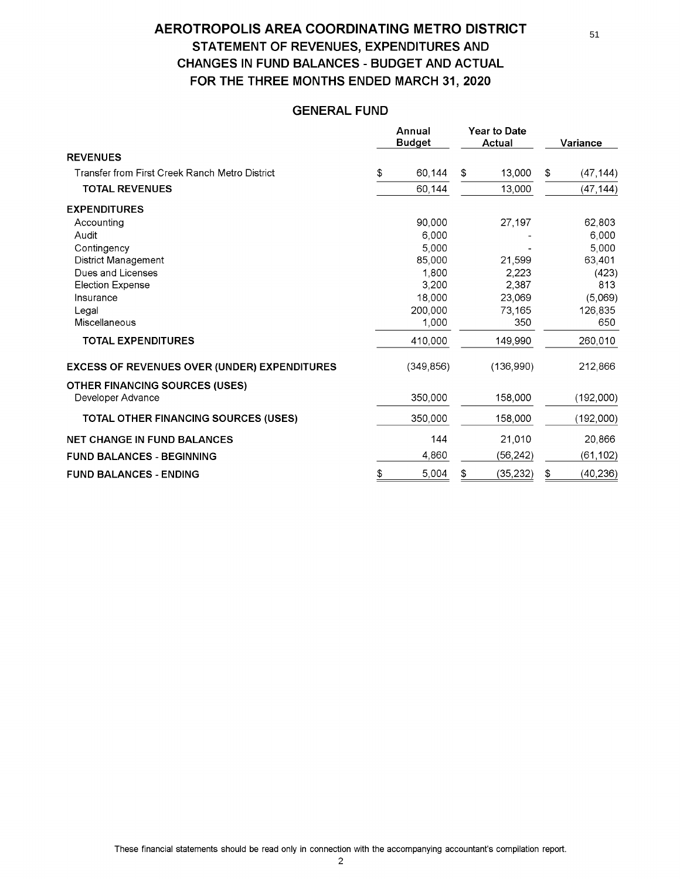# AEROTROPOLIS AREA COORDINATING METRO DISTRICT STATEMENT OF REVENUES, EXPENDITURES AND CHANGES IN FUND BALANCES - BUDGET AND ACTUAL FOR THE THREE MONTHS ENDED MARCH 31, 2020

# GENERAL FUND

|                                                            | Annual<br><b>Budget</b> | <b>Year to Date</b><br><b>Actual</b> | Variance |           |
|------------------------------------------------------------|-------------------------|--------------------------------------|----------|-----------|
| <b>REVENUES</b>                                            |                         |                                      |          |           |
| Transfer from First Creek Ranch Metro District             | \$<br>60,144            | \$<br>13,000                         | \$       | (47, 144) |
| <b>TOTAL REVENUES</b>                                      | 60,144                  | 13,000                               |          | (47, 144) |
| <b>EXPENDITURES</b>                                        |                         |                                      |          |           |
| Accounting                                                 | 90,000                  | 27,197                               |          | 62,803    |
| Audit                                                      | 6,000                   |                                      |          | 6,000     |
| Contingency                                                | 5,000                   |                                      |          | 5,000     |
| District Management                                        | 85,000                  | 21.599                               |          | 63,401    |
| Dues and Licenses                                          | 1.800                   | 2,223                                |          | (423)     |
| <b>Election Expense</b>                                    | 3,200                   | 2,387                                |          | 813       |
| Insurance                                                  | 18,000                  | 23,069                               |          | (5,069)   |
| Legal                                                      | 200.000                 | 73,165                               |          | 126,835   |
| Miscellaneous                                              | 1,000                   | 350                                  |          | 650       |
| <b>TOTAL EXPENDITURES</b>                                  | 410,000                 | 149,990                              |          | 260,010   |
| <b>EXCESS OF REVENUES OVER (UNDER) EXPENDITURES</b>        | (349, 856)              | (136,990)                            |          | 212,866   |
| <b>OTHER FINANCING SOURCES (USES)</b><br>Developer Advance | 350,000                 | 158,000                              |          | (192,000) |
| <b>TOTAL OTHER FINANCING SOURCES (USES)</b>                | 350,000                 | 158,000                              |          | (192,000) |
| <b>NET CHANGE IN FUND BALANCES</b>                         | 144                     | 21,010                               |          | 20,866    |
| <b>FUND BALANCES - BEGINNING</b>                           | 4,860                   | (56, 242)                            |          | (61,102)  |
| <b>FUND BALANCES - ENDING</b>                              | \$<br>5,004             | \$<br>(35, 232)                      | \$       | (40, 236) |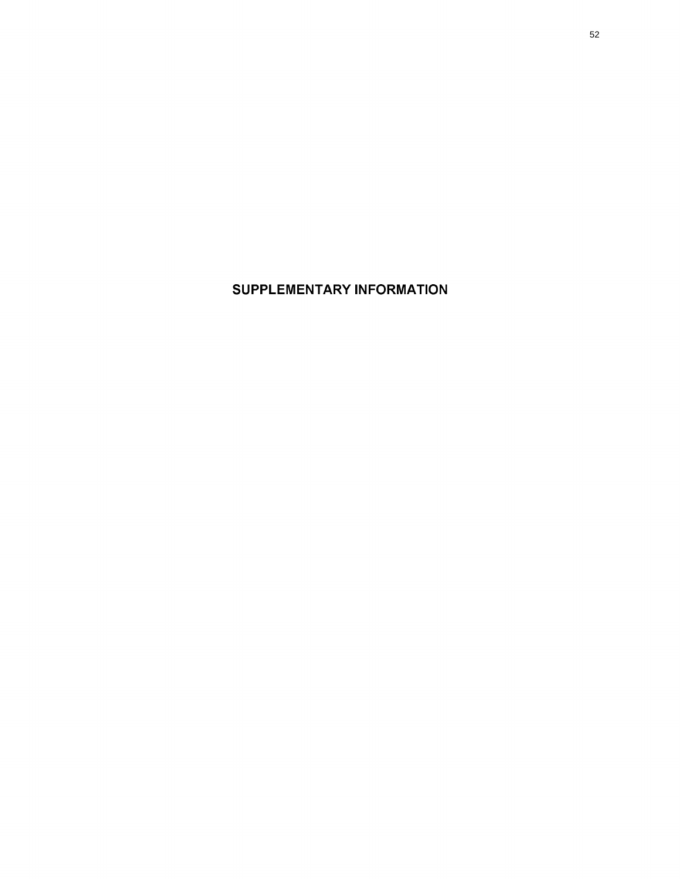SUPPLEMENTARY INFORMATION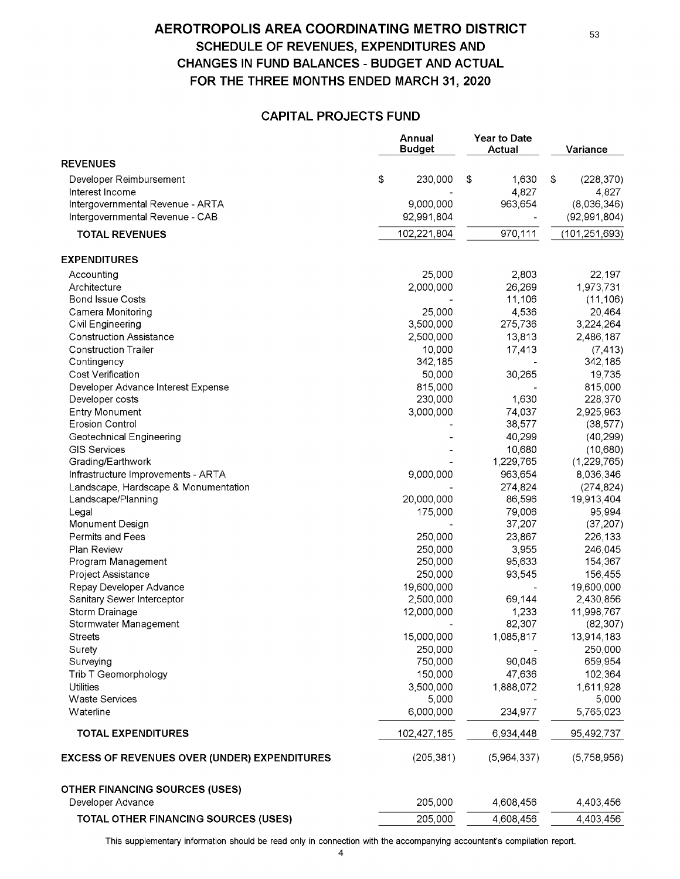# AEROTROPOLIS AREA COORDINATING METRO DISTRICT SCHEDULE OF REVENUES, EXPENDITURES AND CHANGES IN FUND BALANCES - BUDGET AND ACTUAL FOR THE THREE MONTHS ENDED MARCH 31, 2020

### CAPITAL PROJECTS FUND

|                                                     | Annual<br><b>Budget</b> | Year to Date<br>Actual |             | Variance         |
|-----------------------------------------------------|-------------------------|------------------------|-------------|------------------|
| <b>REVENUES</b>                                     |                         |                        |             |                  |
| Developer Reimbursement                             | \$<br>230,000           | \$                     | 1,630       | \$<br>(228, 370) |
| Interest Income                                     |                         |                        | 4,827       | 4,827            |
| Intergovernmental Revenue - ARTA                    | 9,000,000               |                        | 963,654     | (8,036,346)      |
| Intergovernmental Revenue - CAB                     | 92,991,804              |                        |             | (92, 991, 804)   |
| <b>TOTAL REVENUES</b>                               | 102,221,804             |                        | 970,111     | (101, 251, 693)  |
| <b>EXPENDITURES</b>                                 |                         |                        |             |                  |
| Accounting                                          | 25,000                  |                        | 2,803       | 22,197           |
| Architecture                                        | 2,000,000               |                        | 26,269      | 1,973,731        |
| <b>Bond Issue Costs</b>                             |                         |                        | 11,106      | (11, 106)        |
| Camera Monitoring                                   | 25,000                  |                        | 4,536       | 20,464           |
| Civil Engineering                                   | 3,500,000               |                        | 275,736     | 3,224,264        |
| <b>Construction Assistance</b>                      | 2,500,000               |                        | 13,813      | 2,486,187        |
| <b>Construction Trailer</b>                         | 10,000                  |                        | 17,413      | (7, 413)         |
| Contingency                                         | 342,185                 |                        |             | 342,185          |
| Cost Verification                                   | 50,000                  |                        | 30,265      | 19,735           |
| Developer Advance Interest Expense                  | 815,000                 |                        |             | 815,000          |
| Developer costs                                     | 230,000                 |                        | 1,630       | 228,370          |
| <b>Entry Monument</b>                               | 3,000,000               |                        | 74,037      | 2,925,963        |
| <b>Erosion Control</b>                              |                         |                        | 38,577      | (38, 577)        |
| Geotechnical Engineering                            |                         |                        | 40,299      | (40, 299)        |
| <b>GIS Services</b>                                 |                         |                        | 10,680      | (10,680)         |
| Grading/Earthwork                                   |                         |                        | 1,229,765   | (1,229,765)      |
| Infrastructure Improvements - ARTA                  | 9,000,000               |                        | 963,654     | 8,036,346        |
| Landscape, Hardscape & Monumentation                |                         |                        | 274,824     | (274, 824)       |
| Landscape/Planning                                  | 20,000,000              |                        | 86,596      | 19,913,404       |
| Legal                                               | 175,000                 |                        | 79,006      | 95,994           |
| Monument Design                                     |                         |                        | 37,207      | (37, 207)        |
| Permits and Fees                                    | 250,000                 |                        | 23,867      | 226,133          |
| Plan Review                                         | 250,000                 |                        | 3,955       | 246,045          |
| Program Management                                  | 250,000                 |                        | 95,633      | 154,367          |
| Project Assistance                                  | 250,000                 |                        | 93,545      | 156,455          |
| Repay Developer Advance                             | 19,600,000              |                        |             | 19,600,000       |
| Sanitary Sewer Interceptor                          | 2,500,000               |                        | 69,144      | 2,430,856        |
| Storm Drainage                                      | 12,000,000              |                        | 1,233       | 11,998,767       |
| Stormwater Management                               |                         |                        | 82,307      | (82, 307)        |
| <b>Streets</b>                                      | 15,000,000              |                        | 1,085,817   | 13,914,183       |
| Surety                                              | 250,000                 |                        |             | 250,000          |
| Surveying                                           | 750,000                 |                        | 90,046      | 659,954          |
| Trib T Geomorphology                                | 150,000                 |                        | 47,636      | 102,364          |
| <b>Utilities</b>                                    | 3,500,000               |                        | 1,888,072   | 1,611,928        |
| <b>Waste Services</b>                               | 5,000                   |                        |             | 5,000            |
| Waterline                                           | 6,000,000               |                        | 234,977     | 5,765,023        |
| <b>TOTAL EXPENDITURES</b>                           | 102,427,185             |                        | 6,934,448   | 95,492,737       |
|                                                     |                         |                        |             |                  |
| <b>EXCESS OF REVENUES OVER (UNDER) EXPENDITURES</b> | (205, 381)              |                        | (5,964,337) | (5,758,956)      |
| <b>OTHER FINANCING SOURCES (USES)</b>               |                         |                        |             |                  |
| Developer Advance                                   | 205,000                 |                        | 4,608,456   | 4,403,456        |
| TOTAL OTHER FINANCING SOURCES (USES)                | 205,000                 |                        | 4,608,456   | 4,403,456        |

This supplementary information should be read only in connection with the accompanying accountants compilation report.

53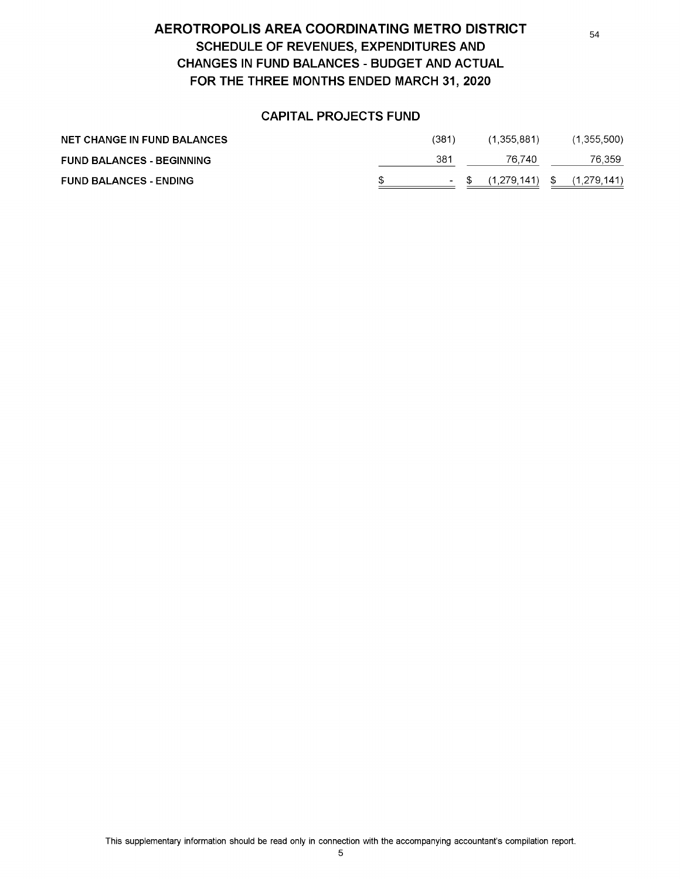# AEROTROPOLIS AREA COORDINATING METRO DISTRICT SCHEDULE OF REVENUES, EXPENDITURES AND CHANGES IN FUND BALANCES - BUDGET AND ACTUAL FOR THE THREE MONTHS ENDED MARCH 31, 2020

## CAPITAL PROJECTS FUND

| <b>NET CHANGE IN FUND BALANCES</b> | 1381                     | (1.355.881) | (1,355,500)       |
|------------------------------------|--------------------------|-------------|-------------------|
| <b>FUND BALANCES - BEGINNING</b>   | 381                      | 76.740      | 76.359            |
| <b>FUND BALANCES - ENDING</b>      | <b>Contract Contract</b> | (1.279.141) | \$<br>(1.279.141) |

This supplementary information should be read only in connection with the accompanying accountants compilation report.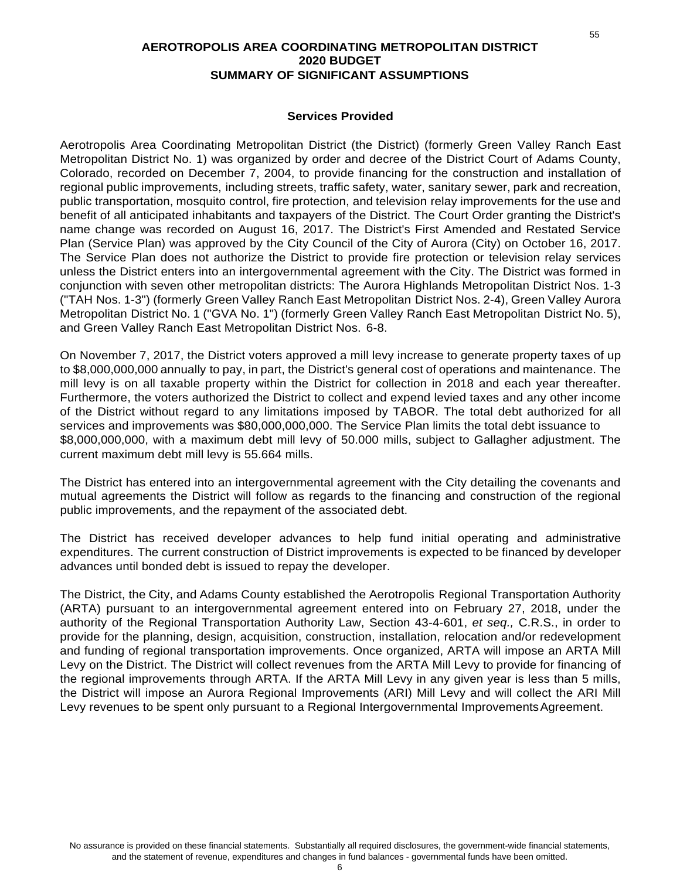### **AEROTROPOLIS AREA COORDINATING METROPOLITAN DISTRICT 2020 BUDGET SUMMARY OF SIGNIFICANT ASSUMPTIONS**

### **Services Provided**

Aerotropolis Area Coordinating Metropolitan District (the District) (formerly Green Valley Ranch East Metropolitan District No. 1) was organized by order and decree of the District Court of Adams County, Colorado, recorded on December 7, 2004, to provide financing for the construction and installation of regional public improvements, including streets, traffic safety, water, sanitary sewer, park and recreation, public transportation, mosquito control, fire protection, and television relay improvements for the use and benefit of all anticipated inhabitants and taxpayers of the District. The Court Order granting the District's name change was recorded on August 16, 2017. The District's First Amended and Restated Service Plan (Service Plan) was approved by the City Council of the City of Aurora (City) on October 16, 2017. The Service Plan does not authorize the District to provide fire protection or television relay services unless the District enters into an intergovernmental agreement with the City. The District was formed in conjunction with seven other metropolitan districts: The Aurora Highlands Metropolitan District Nos. 1-3 ("TAH Nos. 1-3") (formerly Green Valley Ranch East Metropolitan District Nos. 2-4), Green Valley Aurora Metropolitan District No. 1 ("GVA No. 1") (formerly Green Valley Ranch East Metropolitan District No. 5), and Green Valley Ranch East Metropolitan District Nos. 6-8.

On November 7, 2017, the District voters approved a mill levy increase to generate property taxes of up to \$8,000,000,000 annually to pay, in part, the District's general cost of operations and maintenance. The mill levy is on all taxable property within the District for collection in 2018 and each year thereafter. Furthermore, the voters authorized the District to collect and expend levied taxes and any other income of the District without regard to any limitations imposed by TABOR. The total debt authorized for all services and improvements was \$80,000,000,000. The Service Plan limits the total debt issuance to \$8,000,000,000, with a maximum debt mill levy of 50.000 mills, subject to Gallagher adjustment. The current maximum debt mill levy is 55.664 mills.

The District has entered into an intergovernmental agreement with the City detailing the covenants and mutual agreements the District will follow as regards to the financing and construction of the regional public improvements, and the repayment of the associated debt.

The District has received developer advances to help fund initial operating and administrative expenditures. The current construction of District improvements is expected to be financed by developer advances until bonded debt is issued to repay the developer.

The District, the City, and Adams County established the Aerotropolis Regional Transportation Authority (ARTA) pursuant to an intergovernmental agreement entered into on February 27, 2018, under the authority of the Regional Transportation Authority Law, Section 43-4-601, *et seq.,* C.R.S., in order to provide for the planning, design, acquisition, construction, installation, relocation and/or redevelopment and funding of regional transportation improvements. Once organized, ARTA will impose an ARTA Mill Levy on the District. The District will collect revenues from the ARTA Mill Levy to provide for financing of the regional improvements through ARTA. If the ARTA Mill Levy in any given year is less than 5 mills, the District will impose an Aurora Regional Improvements (ARI) Mill Levy and will collect the ARI Mill Levy revenues to be spent only pursuant to a Regional Intergovernmental Improvements Agreement.

55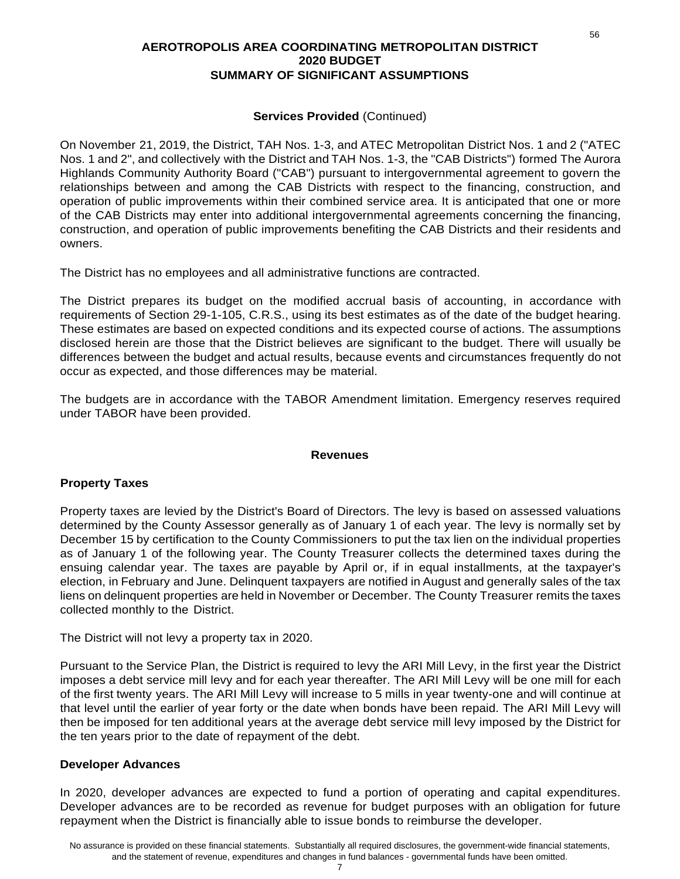### **AEROTROPOLIS AREA COORDINATING METROPOLITAN DISTRICT 2020 BUDGET SUMMARY OF SIGNIFICANT ASSUMPTIONS**

### **Services Provided** (Continued)

On November 21, 2019, the District, TAH Nos. 1-3, and ATEC Metropolitan District Nos. 1 and 2 ("ATEC Nos. 1 and 2", and collectively with the District and TAH Nos. 1-3, the "CAB Districts") formed The Aurora Highlands Community Authority Board ("CAB") pursuant to intergovernmental agreement to govern the relationships between and among the CAB Districts with respect to the financing, construction, and operation of public improvements within their combined service area. It is anticipated that one or more of the CAB Districts may enter into additional intergovernmental agreements concerning the financing, construction, and operation of public improvements benefiting the CAB Districts and their residents and owners.

The District has no employees and all administrative functions are contracted.

The District prepares its budget on the modified accrual basis of accounting, in accordance with requirements of Section 29-1-105, C.R.S., using its best estimates as of the date of the budget hearing. These estimates are based on expected conditions and its expected course of actions. The assumptions disclosed herein are those that the District believes are significant to the budget. There will usually be differences between the budget and actual results, because events and circumstances frequently do not occur as expected, and those differences may be material.

The budgets are in accordance with the TABOR Amendment limitation. Emergency reserves required under TABOR have been provided.

### **Revenues**

### **Property Taxes**

Property taxes are levied by the District's Board of Directors. The levy is based on assessed valuations determined by the County Assessor generally as of January 1 of each year. The levy is normally set by December 15 by certification to the County Commissioners to put the tax lien on the individual properties as of January 1 of the following year. The County Treasurer collects the determined taxes during the ensuing calendar year. The taxes are payable by April or, if in equal installments, at the taxpayer's election, in February and June. Delinquent taxpayers are notified in August and generally sales of the tax liens on delinquent properties are held in November or December. The County Treasurer remits the taxes collected monthly to the District.

The District will not levy a property tax in 2020.

Pursuant to the Service Plan, the District is required to levy the ARI Mill Levy, in the first year the District imposes a debt service mill levy and for each year thereafter. The ARI Mill Levy will be one mill for each of the first twenty years. The ARI Mill Levy will increase to 5 mills in year twenty-one and will continue at that level until the earlier of year forty or the date when bonds have been repaid. The ARI Mill Levy will then be imposed for ten additional years at the average debt service mill levy imposed by the District for the ten years prior to the date of repayment of the debt.

### **Developer Advances**

In 2020, developer advances are expected to fund a portion of operating and capital expenditures. Developer advances are to be recorded as revenue for budget purposes with an obligation for future repayment when the District is financially able to issue bonds to reimburse the developer.

56

### 7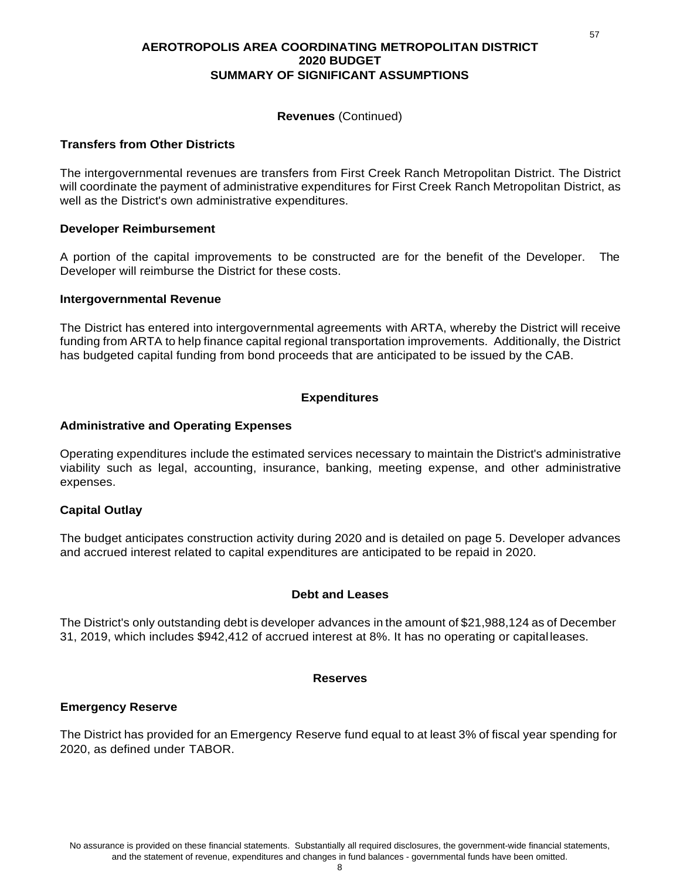### **AEROTROPOLIS AREA COORDINATING METROPOLITAN DISTRICT 2020 BUDGET SUMMARY OF SIGNIFICANT ASSUMPTIONS**

### **Revenues** (Continued)

### **Transfers from Other Districts**

The intergovernmental revenues are transfers from First Creek Ranch Metropolitan District. The District will coordinate the payment of administrative expenditures for First Creek Ranch Metropolitan District, as well as the District's own administrative expenditures.

### **Developer Reimbursement**

A portion of the capital improvements to be constructed are for the benefit of the Developer. The Developer will reimburse the District for these costs.

### **Intergovernmental Revenue**

The District has entered into intergovernmental agreements with ARTA, whereby the District will receive funding from ARTA to help finance capital regional transportation improvements. Additionally, the District has budgeted capital funding from bond proceeds that are anticipated to be issued by the CAB.

### **Expenditures**

### **Administrative and Operating Expenses**

Operating expenditures include the estimated services necessary to maintain the District's administrative viability such as legal, accounting, insurance, banking, meeting expense, and other administrative expenses.

### **Capital Outlay**

The budget anticipates construction activity during 2020 and is detailed on page 5. Developer advances and accrued interest related to capital expenditures are anticipated to be repaid in 2020.

### **Debt and Leases**

The District's only outstanding debt is developer advances in the amount of \$21,988,124 as of December 31, 2019, which includes \$942,412 of accrued interest at 8%. It has no operating or capital leases.

### **Reserves**

### **Emergency Reserve**

The District has provided for an Emergency Reserve fund equal to at least 3% of fiscal year spending for 2020, as defined under TABOR.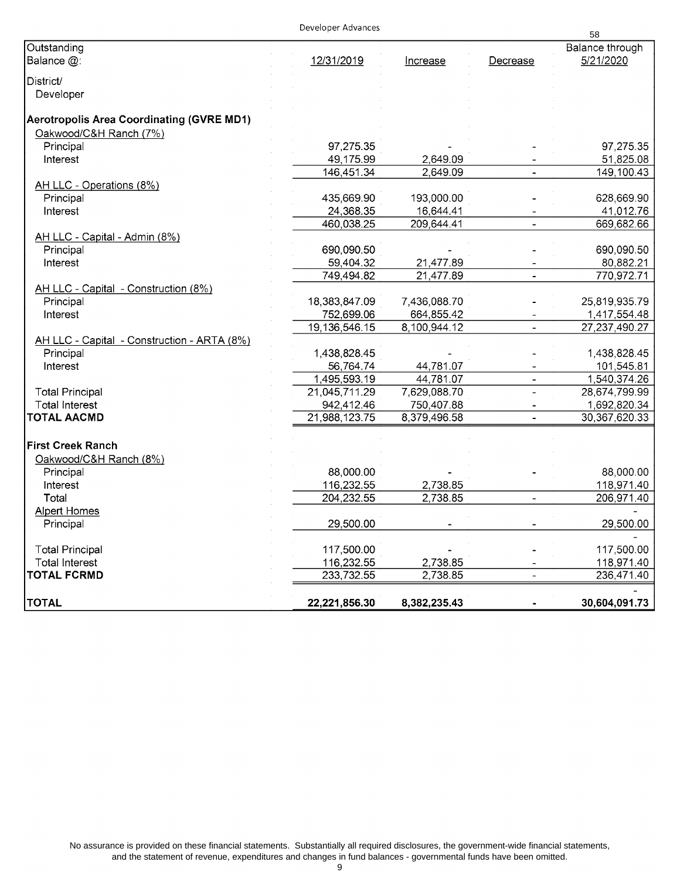### Developer Advances

|                                             |               |                 |                          | 58               |
|---------------------------------------------|---------------|-----------------|--------------------------|------------------|
| Outstanding                                 |               |                 |                          | Balance through  |
| Balance @:                                  | 12/31/2019    | <b>Increase</b> | Decrease                 | 5/21/2020        |
| District/                                   |               |                 |                          |                  |
|                                             |               |                 |                          |                  |
| Developer                                   |               |                 |                          |                  |
| Aerotropolis Area Coordinating (GVRE MD1)   |               |                 |                          |                  |
| Oakwood/C&H Ranch (7%)                      |               |                 |                          |                  |
| Principal                                   | 97,275.35     |                 |                          | 97,275.35        |
| Interest                                    | 49,175.99     | 2,649.09        |                          | 51,825.08        |
|                                             | 146,451.34    | 2,649.09        | $\overline{a}$           | 149,100.43       |
| AH LLC - Operations (8%)                    |               |                 |                          |                  |
| Principal                                   | 435,669.90    | 193,000.00      |                          | 628,669.90       |
| Interest                                    | 24,368.35     | 16,644.41       |                          | 41,012.76        |
|                                             | 460,038.25    | 209,644.41      |                          | 669,682.66       |
| AH LLC - Capital - Admin (8%)               |               |                 |                          |                  |
| Principal                                   | 690,090.50    |                 |                          | 690,090.50       |
| Interest                                    | 59,404.32     | 21,477.89       |                          | 80,882.21        |
|                                             | 749,494.82    | 21,477.89       |                          | 770,972.71       |
| AH LLC - Capital - Construction (8%)        |               |                 |                          |                  |
| Principal                                   | 18,383,847.09 | 7,436,088.70    |                          | 25,819,935.79    |
| Interest                                    | 752,699.06    | 664,855.42      |                          | 1,417,554.48     |
|                                             |               |                 | $\overline{\phantom{a}}$ |                  |
|                                             | 19,136,546.15 | 8,100,944.12    |                          | 27, 237, 490. 27 |
| AH LLC - Capital - Construction - ARTA (8%) |               |                 |                          |                  |
| Principal                                   | 1,438,828.45  |                 |                          | 1,438,828.45     |
| Interest                                    | 56,764.74     | 44,781.07       |                          | 101,545.81       |
|                                             | 1,495,593.19  | 44,781.07       |                          | 1,540,374.26     |
| <b>Total Principal</b>                      | 21,045,711.29 | 7,629,088.70    | $\overline{a}$           | 28,674,799.99    |
| <b>Total Interest</b>                       | 942,412.46    | 750,407.88      |                          | 1,692,820.34     |
| TOTAL AACMD                                 | 21,988,123.75 | 8,379,496.58    |                          | 30,367,620.33    |
|                                             |               |                 |                          |                  |
| <b>First Creek Ranch</b>                    |               |                 |                          |                  |
| Oakwood/C&H Ranch (8%)                      |               |                 |                          |                  |
| Principal                                   | 88,000.00     |                 |                          | 88,000.00        |
| Interest                                    | 116,232.55    | 2,738.85        |                          | 118,971.40       |
| Total                                       | 204,232.55    | 2,738.85        | $\hbox{\small -}$        | 206,971.40       |
| <b>Alpert Homes</b>                         |               |                 |                          |                  |
| Principal                                   | 29,500.00     |                 |                          | 29,500.00        |
|                                             |               |                 |                          |                  |
| <b>Total Principal</b>                      | 117,500.00    |                 |                          | 117,500.00       |
| <b>Total Interest</b>                       | 116,232.55    | 2,738.85        |                          | 118,971.40       |
| TOTAL FCRMD                                 | 233,732.55    | 2,738.85        | $\overline{a}$           | 236,471.40       |
|                                             |               |                 |                          |                  |
| <b>TOTAL</b>                                | 22,221,856.30 | 8,382,235.43    |                          | 30,604,091.73    |

No assurance is provided on these financial statements. Substantially all required disclosures, the government-wide financial statements, and the statement of revenue, expenditures and changes in fund balances - governmental funds have been omitted.